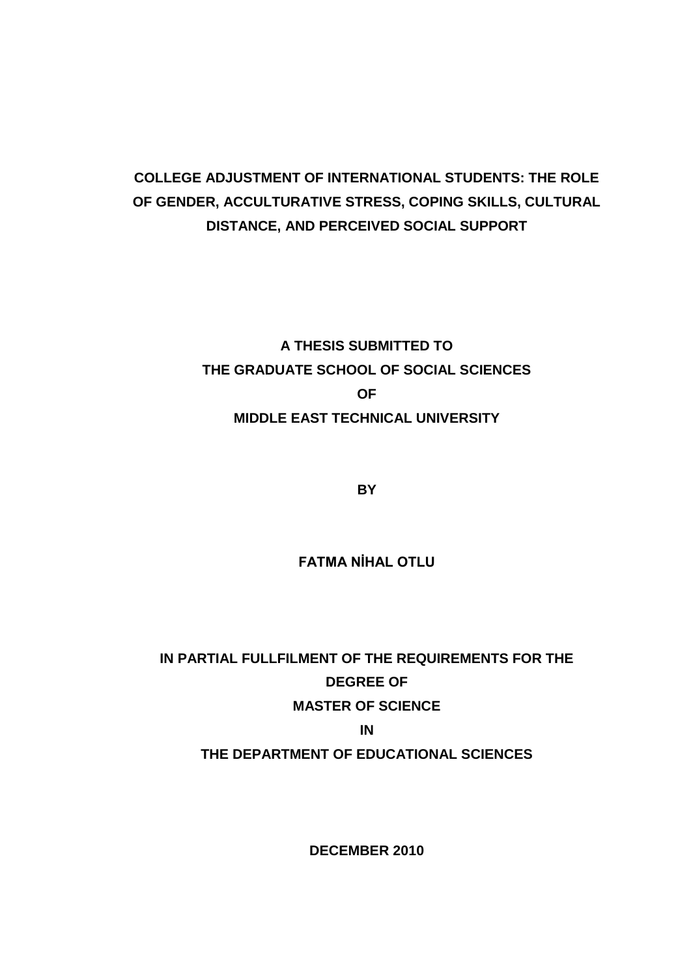# **COLLEGE ADJUSTMENT OF INTERNATIONAL STUDENTS: THE ROLE OF GENDER, ACCULTURATIVE STRESS, COPING SKILLS, CULTURAL DISTANCE, AND PERCEIVED SOCIAL SUPPORT**

# **A THESIS SUBMITTED TO THE GRADUATE SCHOOL OF SOCIAL SCIENCES OF MIDDLE EAST TECHNICAL UNIVERSITY**

**BY** 

**FATMA NİHAL OTLU** 

**IN PARTIAL FULLFILMENT OF THE REQUIREMENTS FOR THE DEGREE OF MASTER OF SCIENCE IN THE DEPARTMENT OF EDUCATIONAL SCIENCES**

**DECEMBER 2010**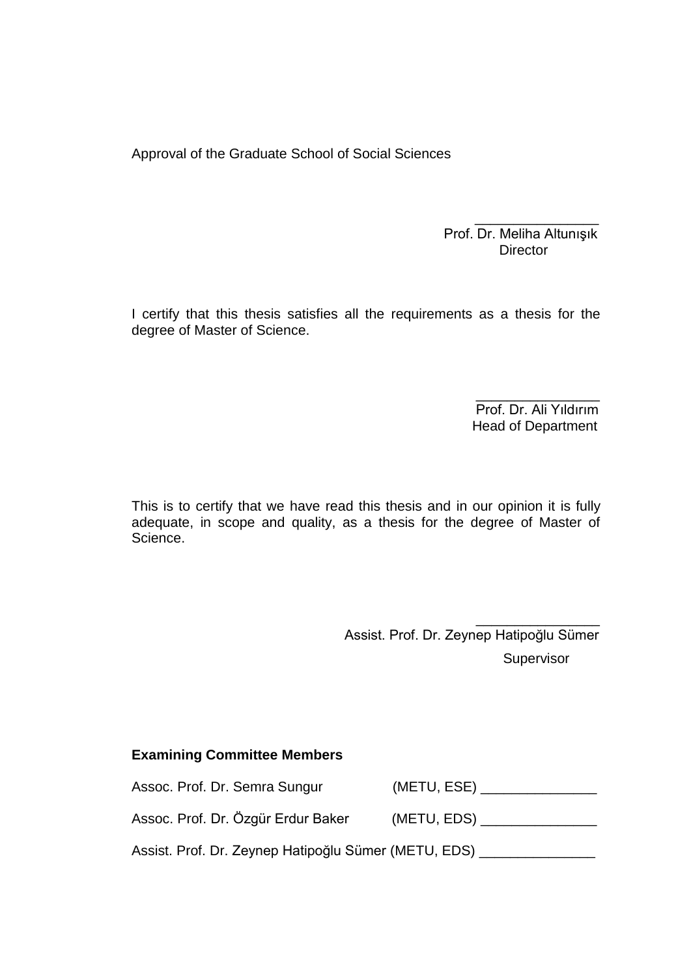Approval of the Graduate School of Social Sciences

 $\frac{1}{\sqrt{2}}$  ,  $\frac{1}{\sqrt{2}}$  ,  $\frac{1}{\sqrt{2}}$  ,  $\frac{1}{\sqrt{2}}$  ,  $\frac{1}{\sqrt{2}}$  ,  $\frac{1}{\sqrt{2}}$  ,  $\frac{1}{\sqrt{2}}$  ,  $\frac{1}{\sqrt{2}}$  ,  $\frac{1}{\sqrt{2}}$  ,  $\frac{1}{\sqrt{2}}$  ,  $\frac{1}{\sqrt{2}}$  ,  $\frac{1}{\sqrt{2}}$  ,  $\frac{1}{\sqrt{2}}$  ,  $\frac{1}{\sqrt{2}}$  ,  $\frac{1}{\sqrt{2}}$ Prof. Dr. Meliha Altunışık **Director Director** 

I certify that this thesis satisfies all the requirements as a thesis for the degree of Master of Science.

 $\overline{\phantom{a}}$  , and the contract of the contract of the contract of the contract of the contract of the contract of the contract of the contract of the contract of the contract of the contract of the contract of the contrac Prof. Dr. Ali Yıldırım Head of Department

This is to certify that we have read this thesis and in our opinion it is fully adequate, in scope and quality, as a thesis for the degree of Master of Science.

 $\frac{1}{2}$  , and the contract of the contract of the contract of the contract of the contract of the contract of the contract of the contract of the contract of the contract of the contract of the contract of the contract Assist. Prof. Dr. Zeynep Hatipoğlu Sümer **Supervisor** 

#### **Examining Committee Members**

Assoc. Prof. Dr. Semra Sungur (METU, ESE) \_\_\_\_\_\_\_\_\_\_\_\_\_\_\_\_

Assoc. Prof. Dr. Özgür Erdur Baker (METU, EDS) \_\_\_\_\_\_\_\_\_\_\_\_\_\_\_

Assist. Prof. Dr. Zeynep Hatipoğlu Sümer (METU, EDS) \_\_\_\_\_\_\_\_\_\_\_\_\_\_\_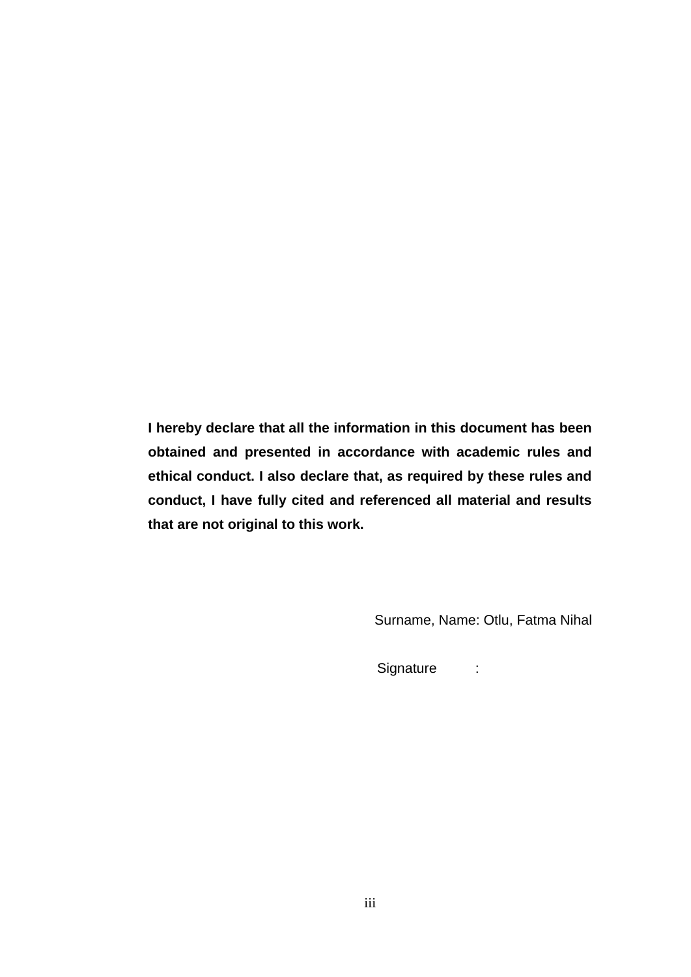**I hereby declare that all the information in this document has been obtained and presented in accordance with academic rules and ethical conduct. I also declare that, as required by these rules and conduct, I have fully cited and referenced all material and results that are not original to this work.** 

Surname, Name: Otlu, Fatma Nihal

Signature :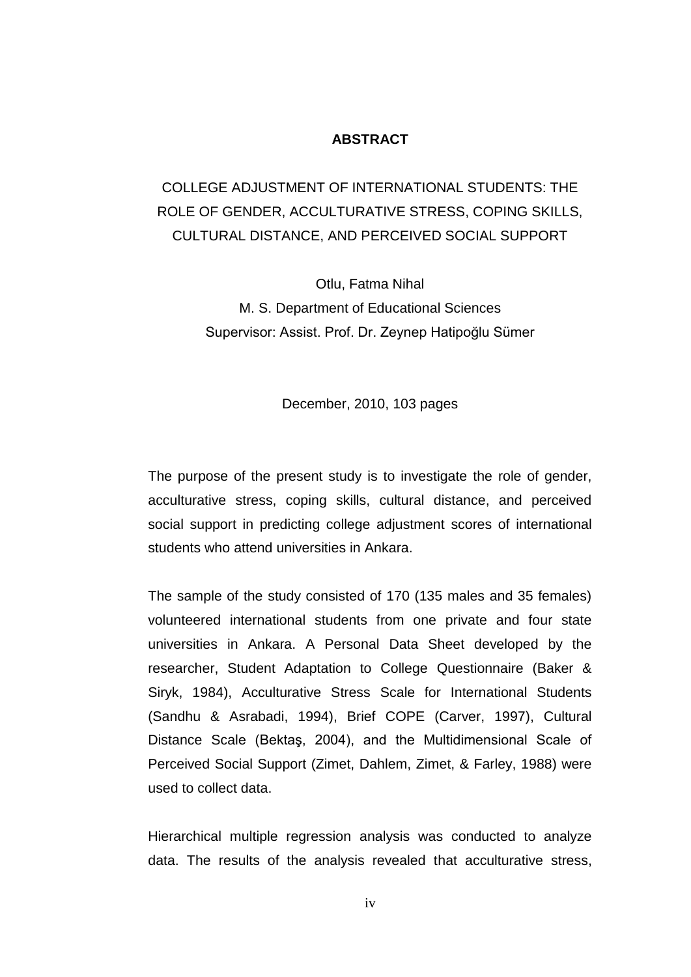#### **ABSTRACT**

# COLLEGE ADJUSTMENT OF INTERNATIONAL STUDENTS: THE ROLE OF GENDER, ACCULTURATIVE STRESS, COPING SKILLS, CULTURAL DISTANCE, AND PERCEIVED SOCIAL SUPPORT

Otlu, Fatma Nihal M. S. Department of Educational Sciences Supervisor: Assist. Prof. Dr. Zeynep Hatipoğlu Sümer

December, 2010, 103 pages

The purpose of the present study is to investigate the role of gender, acculturative stress, coping skills, cultural distance, and perceived social support in predicting college adjustment scores of international students who attend universities in Ankara.

The sample of the study consisted of 170 (135 males and 35 females) volunteered international students from one private and four state universities in Ankara. A Personal Data Sheet developed by the researcher, Student Adaptation to College Questionnaire (Baker & Siryk, 1984), Acculturative Stress Scale for International Students (Sandhu & Asrabadi, 1994), Brief COPE (Carver, 1997), Cultural Distance Scale (Bektaş, 2004), and the Multidimensional Scale of Perceived Social Support (Zimet, Dahlem, Zimet, & Farley, 1988) were used to collect data.

Hierarchical multiple regression analysis was conducted to analyze data. The results of the analysis revealed that acculturative stress,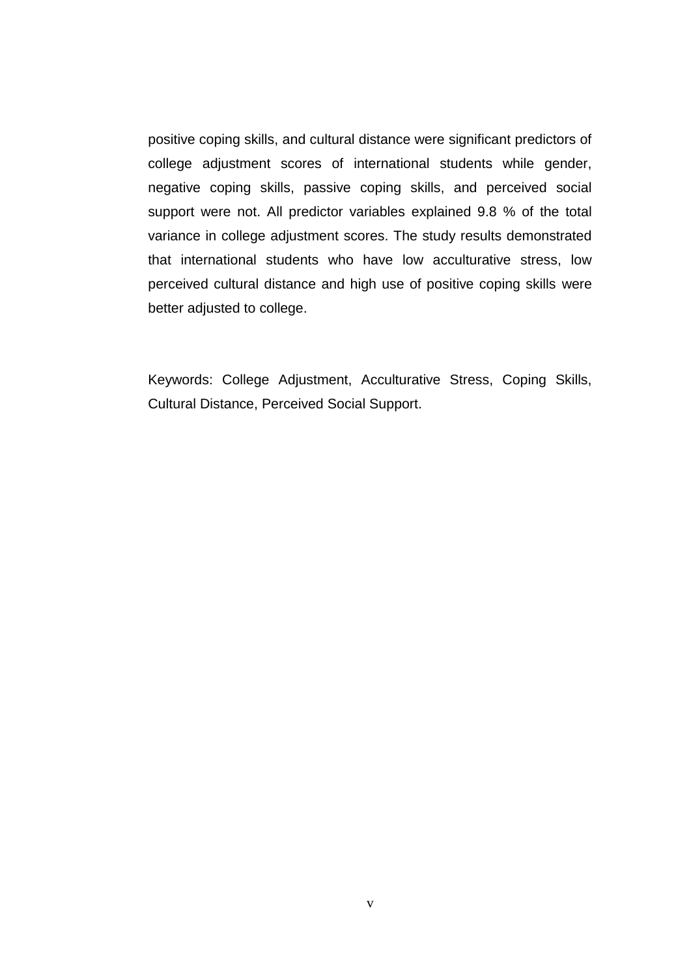positive coping skills, and cultural distance were significant predictors of college adjustment scores of international students while gender, negative coping skills, passive coping skills, and perceived social support were not. All predictor variables explained 9.8 % of the total variance in college adjustment scores. The study results demonstrated that international students who have low acculturative stress, low perceived cultural distance and high use of positive coping skills were better adjusted to college.

Keywords: College Adjustment, Acculturative Stress, Coping Skills, Cultural Distance, Perceived Social Support.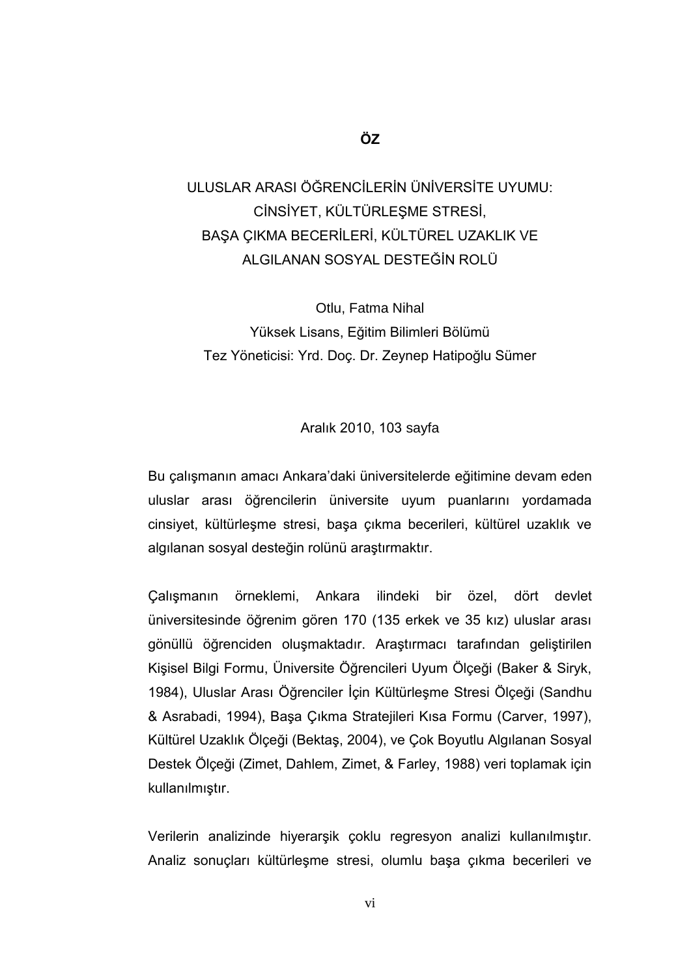# ULUSLAR ARASI ÖĞRENCİLERİN ÜNİVERSİTE UYUMU: CİNSİYET, KÜLTÜRLEŞME STRESİ, BAŞA ÇIKMA BECERİLERİ, KÜLTÜREL UZAKLIK VE ALGILANAN SOSYAL DESTEĞİN ROLÜ

Otlu, Fatma Nihal Yüksek Lisans, Eğitim Bilimleri Bölümü Tez Yöneticisi: Yrd. Doç. Dr. Zeynep Hatipoğlu Sümer

#### Aralık 2010, 103 sayfa

Bu çalışmanın amacı Ankara'daki üniversitelerde eğitimine devam eden uluslar arası öğrencilerin üniversite uyum puanlarını yordamada cinsiyet, kültürleĢme stresi, baĢa çıkma becerileri, kültürel uzaklık ve algılanan sosyal desteğin rolünü araştırmaktır.

ÇalıĢmanın örneklemi, Ankara ilindeki bir özel, dört devlet üniversitesinde öğrenim gören 170 (135 erkek ve 35 kız) uluslar arası gönüllü öğrenciden oluşmaktadır. Araştırmacı tarafından geliştirilen KiĢisel Bilgi Formu, Üniversite Öğrencileri Uyum Ölçeği (Baker & Siryk, 1984), Uluslar Arası Öğrenciler İçin Kültürleşme Stresi Ölçeği (Sandhu & Asrabadi, 1994), BaĢa Çıkma Stratejileri Kısa Formu (Carver, 1997), Kültürel Uzaklık Ölçeği (BektaĢ, 2004), ve Çok Boyutlu Algılanan Sosyal Destek Ölçeği (Zimet, Dahlem, Zimet, & Farley, 1988) veri toplamak için kullanılmıştır.

Verilerin analizinde hiyerarşik çoklu regresyon analizi kullanılmıştır. Analiz sonuçları kültürleşme stresi, olumlu başa çıkma becerileri ve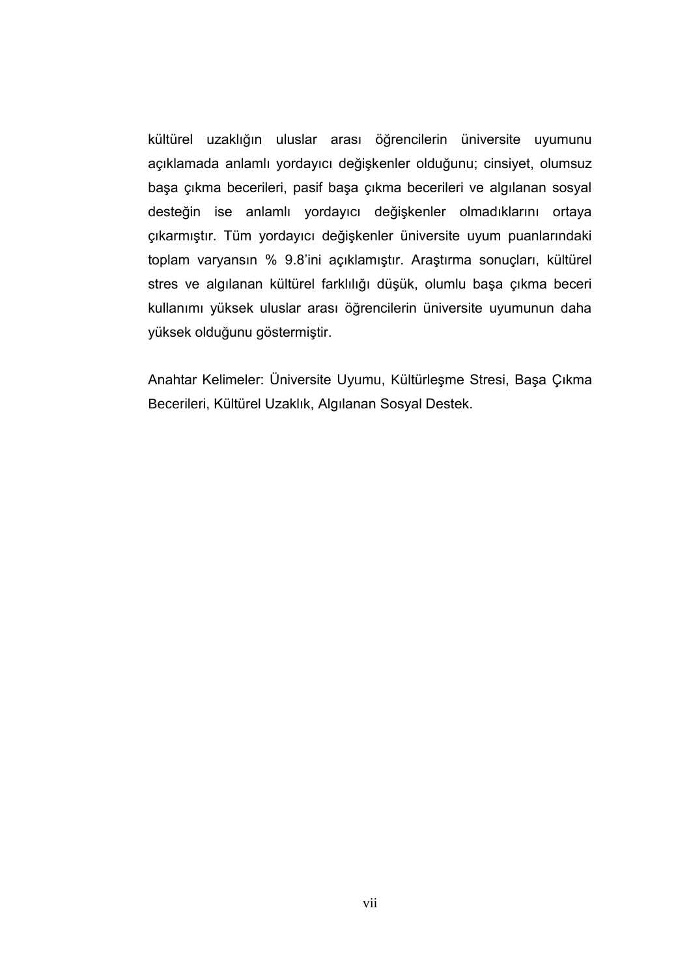kültürel uzaklığın uluslar arası öğrencilerin üniversite uyumunu açıklamada anlamlı yordayıcı değişkenler olduğunu; cinsiyet, olumsuz başa çıkma becerileri, pasif başa çıkma becerileri ve algılanan sosyal desteğin ise anlamlı yordayıcı değişkenler olmadıklarını ortaya çıkarmıştır. Tüm yordayıcı değişkenler üniversite uyum puanlarındaki toplam varyansın % 9.8'ini açıklamıştır. Araştırma sonuçları, kültürel stres ve algılanan kültürel farklılığı düşük, olumlu başa çıkma beceri kullanımı yüksek uluslar arası öğrencilerin üniversite uyumunun daha yüksek olduğunu göstermiştir.

Anahtar Kelimeler: Üniversite Uyumu, KültürleĢme Stresi, BaĢa Çıkma Becerileri, Kültürel Uzaklık, Algılanan Sosyal Destek.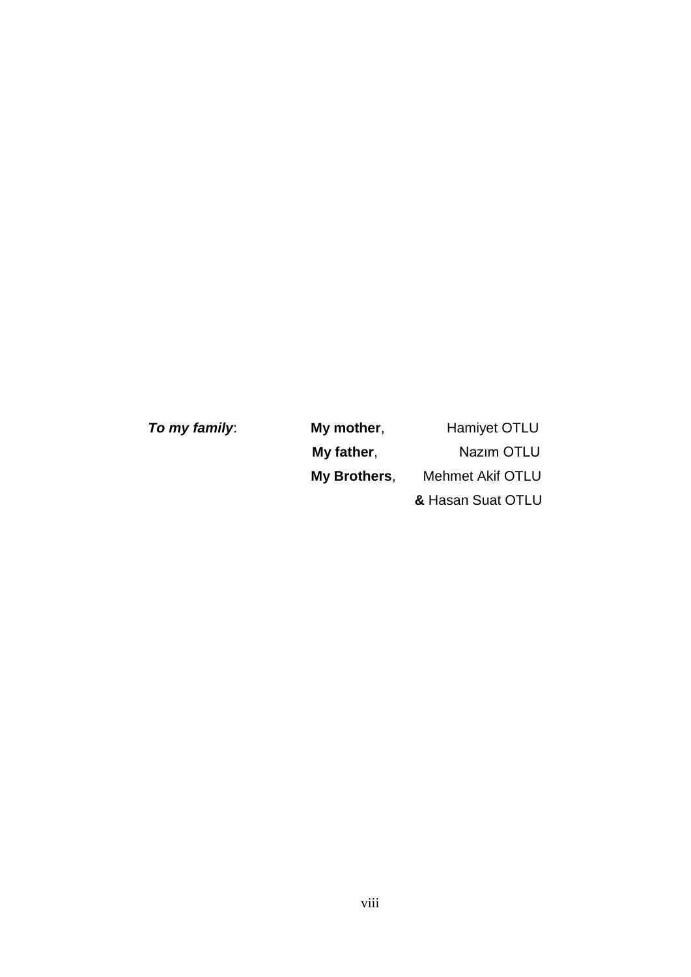| To my family: | My mother,               | <b>Hamiyet OTLU</b> |
|---------------|--------------------------|---------------------|
|               | Nazim OTLU<br>My father, |                     |
|               | My Brothers,             | Mehmet Akif OTLU    |
|               |                          | & Hasan Suat OTLU   |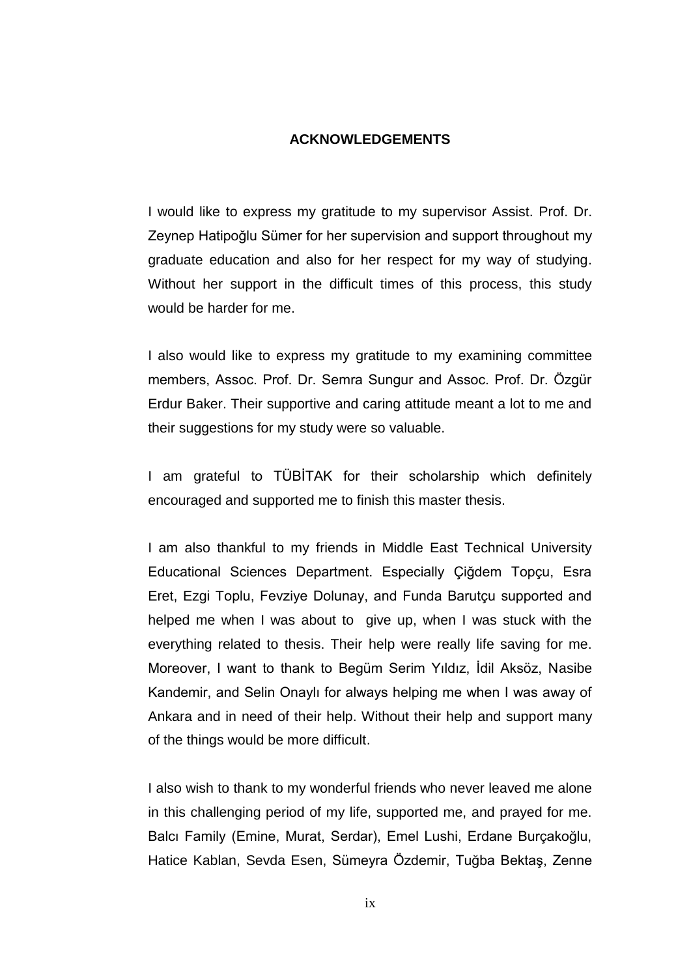#### **ACKNOWLEDGEMENTS**

I would like to express my gratitude to my supervisor Assist. Prof. Dr. Zeynep Hatipoğlu Sümer for her supervision and support throughout my graduate education and also for her respect for my way of studying. Without her support in the difficult times of this process, this study would be harder for me.

I also would like to express my gratitude to my examining committee members, Assoc. Prof. Dr. Semra Sungur and Assoc. Prof. Dr. Özgür Erdur Baker. Their supportive and caring attitude meant a lot to me and their suggestions for my study were so valuable.

I am grateful to TÜBİTAK for their scholarship which definitely encouraged and supported me to finish this master thesis.

I am also thankful to my friends in Middle East Technical University Educational Sciences Department. Especially Çiğdem Topçu, Esra Eret, Ezgi Toplu, Fevziye Dolunay, and Funda Barutçu supported and helped me when I was about to give up, when I was stuck with the everything related to thesis. Their help were really life saving for me. Moreover, I want to thank to Begüm Serim Yıldız, İdil Aksöz, Nasibe Kandemir, and Selin Onaylı for always helping me when I was away of Ankara and in need of their help. Without their help and support many of the things would be more difficult.

I also wish to thank to my wonderful friends who never leaved me alone in this challenging period of my life, supported me, and prayed for me. Balcı Family (Emine, Murat, Serdar), Emel Lushi, Erdane Burçakoğlu, Hatice Kablan, Sevda Esen, Sümeyra Özdemir, Tuğba BektaĢ, Zenne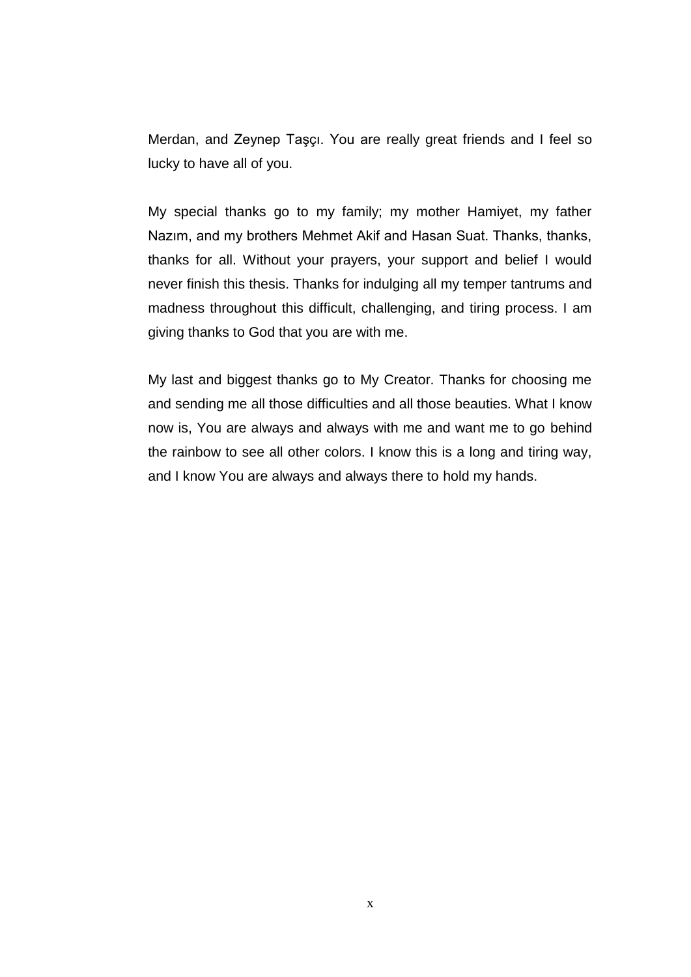Merdan, and Zeynep TaĢçı. You are really great friends and I feel so lucky to have all of you.

My special thanks go to my family; my mother Hamiyet, my father Nazım, and my brothers Mehmet Akif and Hasan Suat. Thanks, thanks, thanks for all. Without your prayers, your support and belief I would never finish this thesis. Thanks for indulging all my temper tantrums and madness throughout this difficult, challenging, and tiring process. I am giving thanks to God that you are with me.

My last and biggest thanks go to My Creator. Thanks for choosing me and sending me all those difficulties and all those beauties. What I know now is, You are always and always with me and want me to go behind the rainbow to see all other colors. I know this is a long and tiring way, and I know You are always and always there to hold my hands.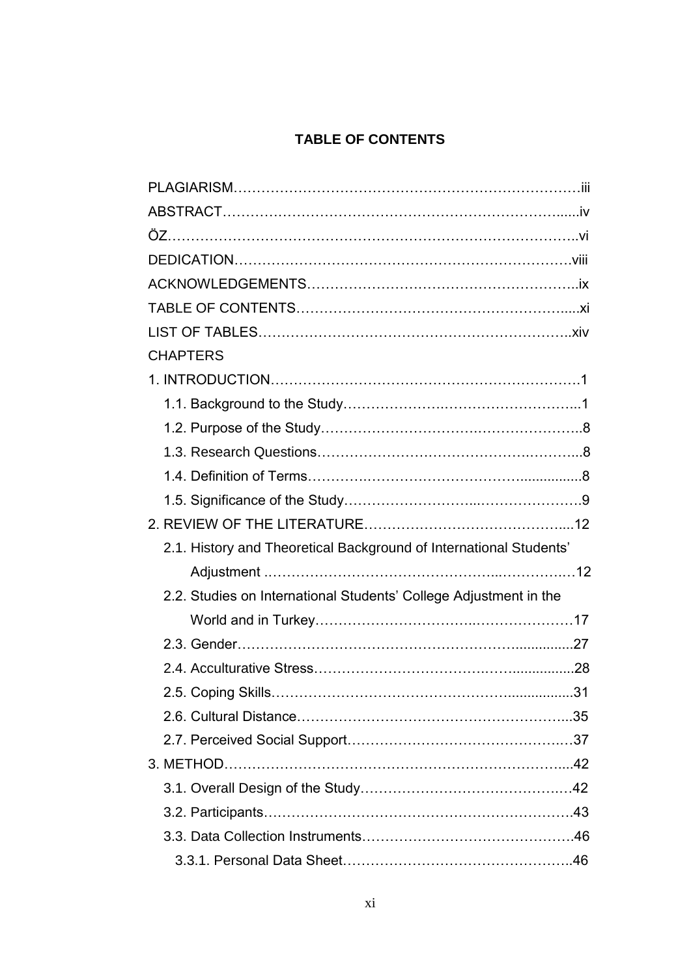# **TABLE OF CONTENTS**

| <b>CHAPTERS</b>                                                    |  |
|--------------------------------------------------------------------|--|
|                                                                    |  |
|                                                                    |  |
|                                                                    |  |
|                                                                    |  |
|                                                                    |  |
|                                                                    |  |
|                                                                    |  |
| 2.1. History and Theoretical Background of International Students' |  |
|                                                                    |  |
| 2.2. Studies on International Students' College Adjustment in the  |  |
|                                                                    |  |
|                                                                    |  |
|                                                                    |  |
|                                                                    |  |
|                                                                    |  |
|                                                                    |  |
|                                                                    |  |
|                                                                    |  |
|                                                                    |  |
|                                                                    |  |
|                                                                    |  |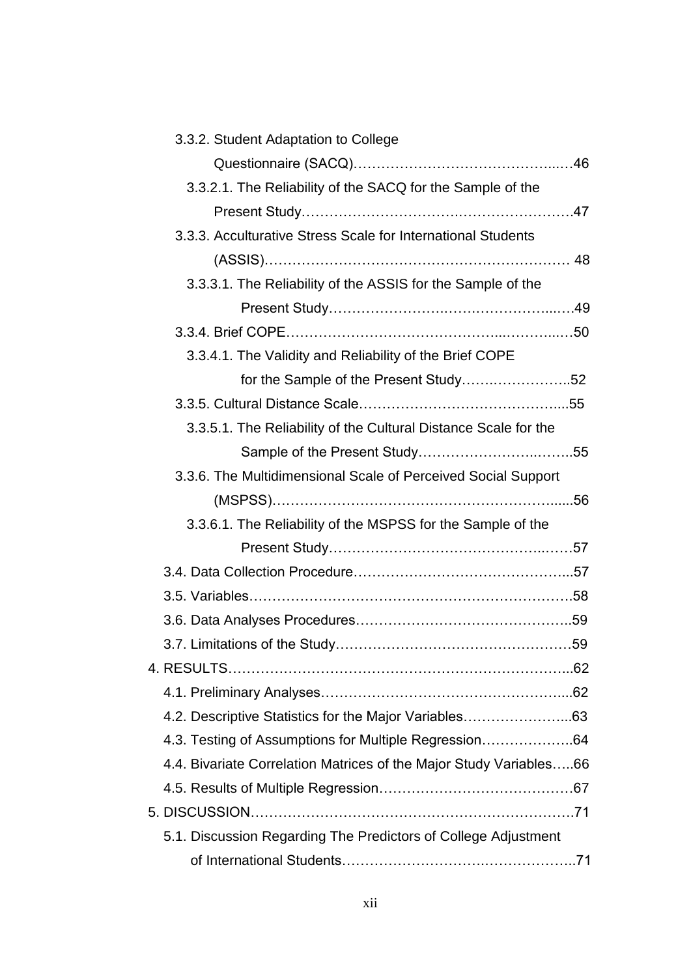| 3.3.2. Student Adaptation to College                               |  |
|--------------------------------------------------------------------|--|
|                                                                    |  |
| 3.3.2.1. The Reliability of the SACQ for the Sample of the         |  |
|                                                                    |  |
| 3.3.3. Acculturative Stress Scale for International Students       |  |
|                                                                    |  |
| 3.3.3.1. The Reliability of the ASSIS for the Sample of the        |  |
|                                                                    |  |
|                                                                    |  |
| 3.3.4.1. The Validity and Reliability of the Brief COPE            |  |
| for the Sample of the Present Study52                              |  |
|                                                                    |  |
| 3.3.5.1. The Reliability of the Cultural Distance Scale for the    |  |
|                                                                    |  |
| 3.3.6. The Multidimensional Scale of Perceived Social Support      |  |
|                                                                    |  |
| 3.3.6.1. The Reliability of the MSPSS for the Sample of the        |  |
|                                                                    |  |
|                                                                    |  |
|                                                                    |  |
|                                                                    |  |
|                                                                    |  |
|                                                                    |  |
|                                                                    |  |
| 4.2. Descriptive Statistics for the Major Variables63              |  |
| 4.3. Testing of Assumptions for Multiple Regression64              |  |
| 4.4. Bivariate Correlation Matrices of the Major Study Variables66 |  |
|                                                                    |  |
|                                                                    |  |
| 5.1. Discussion Regarding The Predictors of College Adjustment     |  |
|                                                                    |  |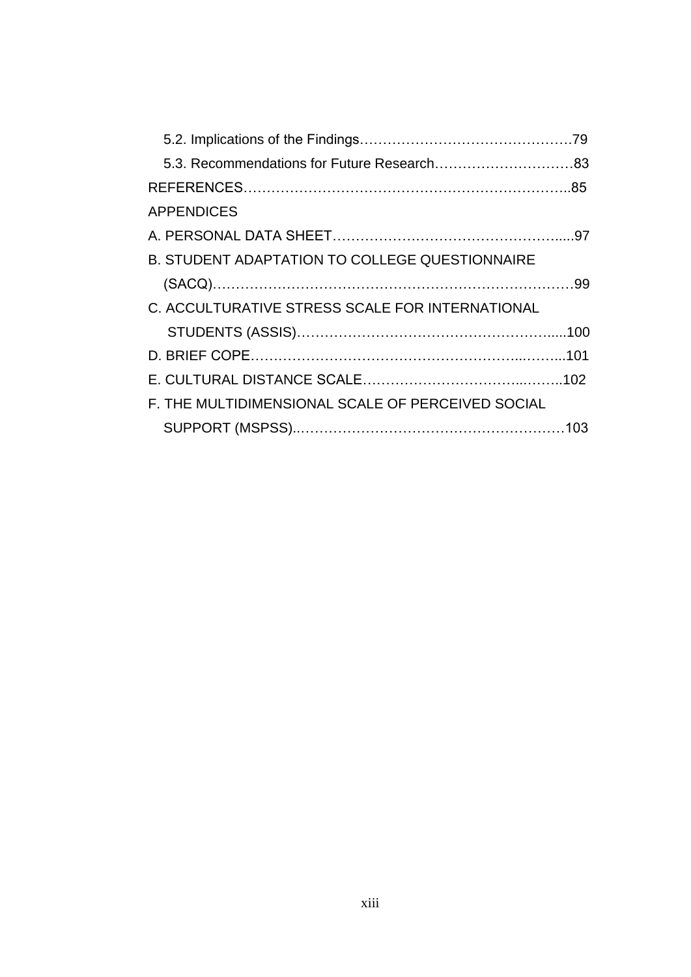| <b>APPENDICES</b>                                 |  |
|---------------------------------------------------|--|
|                                                   |  |
| B. STUDENT ADAPTATION TO COLLEGE QUESTIONNAIRE    |  |
|                                                   |  |
| C. ACCULTURATIVE STRESS SCALE FOR INTERNATIONAL   |  |
|                                                   |  |
|                                                   |  |
|                                                   |  |
| F. THE MULTIDIMENSIONAL SCALE OF PERCEIVED SOCIAL |  |
|                                                   |  |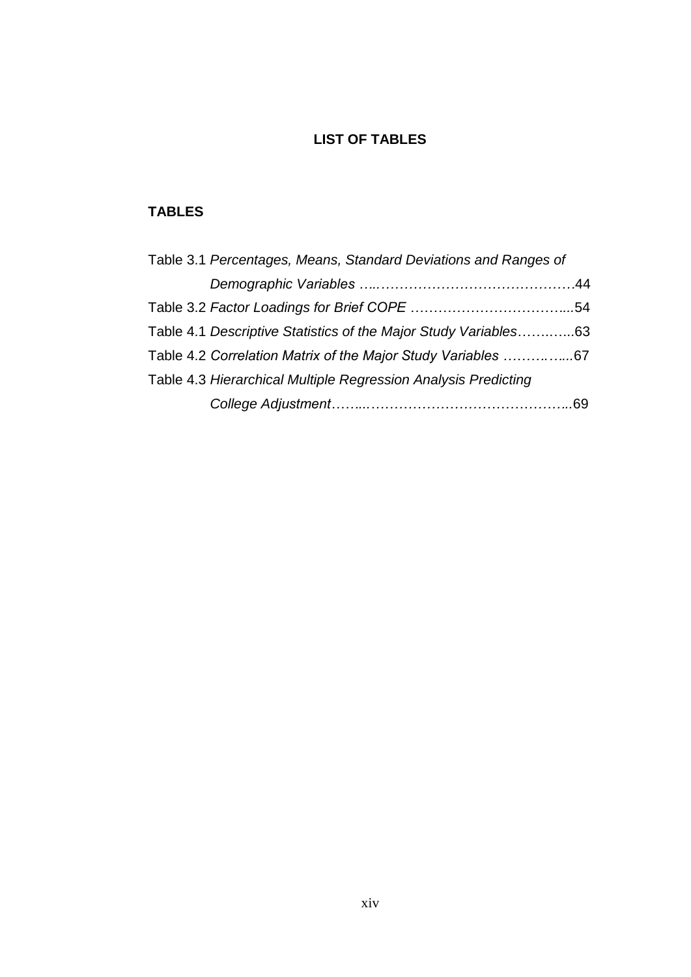## **LIST OF TABLES**

## **TABLES**

| Table 3.1 Percentages, Means, Standard Deviations and Ranges of |  |
|-----------------------------------------------------------------|--|
|                                                                 |  |
|                                                                 |  |
| Table 4.1 Descriptive Statistics of the Major Study Variables63 |  |
| Table 4.2 Correlation Matrix of the Major Study Variables 67    |  |
| Table 4.3 Hierarchical Multiple Regression Analysis Predicting  |  |
|                                                                 |  |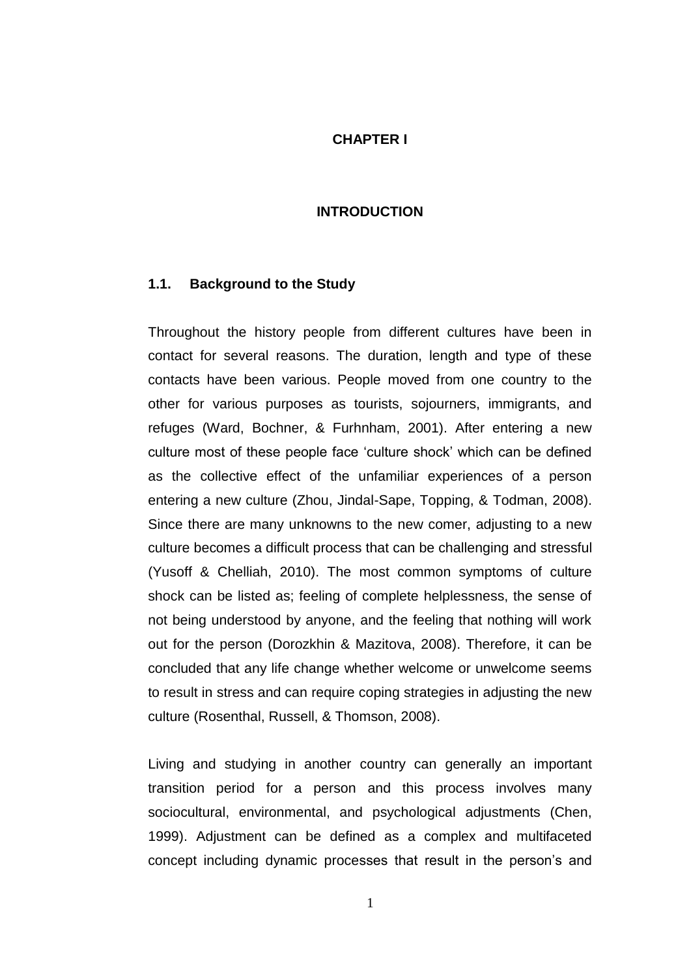#### **CHAPTER I**

#### **INTRODUCTION**

#### **1.1. Background to the Study**

Throughout the history people from different cultures have been in contact for several reasons. The duration, length and type of these contacts have been various. People moved from one country to the other for various purposes as tourists, sojourners, immigrants, and refuges (Ward, Bochner, & Furhnham, 2001). After entering a new culture most of these people face "culture shock" which can be defined as the collective effect of the unfamiliar experiences of a person entering a new culture (Zhou, Jindal-Sape, Topping, & Todman, 2008). Since there are many unknowns to the new comer, adjusting to a new culture becomes a difficult process that can be challenging and stressful (Yusoff & Chelliah, 2010). The most common symptoms of culture shock can be listed as; feeling of complete helplessness, the sense of not being understood by anyone, and the feeling that nothing will work out for the person (Dorozkhin & Mazitova, 2008). Therefore, it can be concluded that any life change whether welcome or unwelcome seems to result in stress and can require coping strategies in adjusting the new culture (Rosenthal, Russell, & Thomson, 2008).

Living and studying in another country can generally an important transition period for a person and this process involves many sociocultural, environmental, and psychological adjustments (Chen, 1999). Adjustment can be defined as a complex and multifaceted concept including dynamic processes that result in the person"s and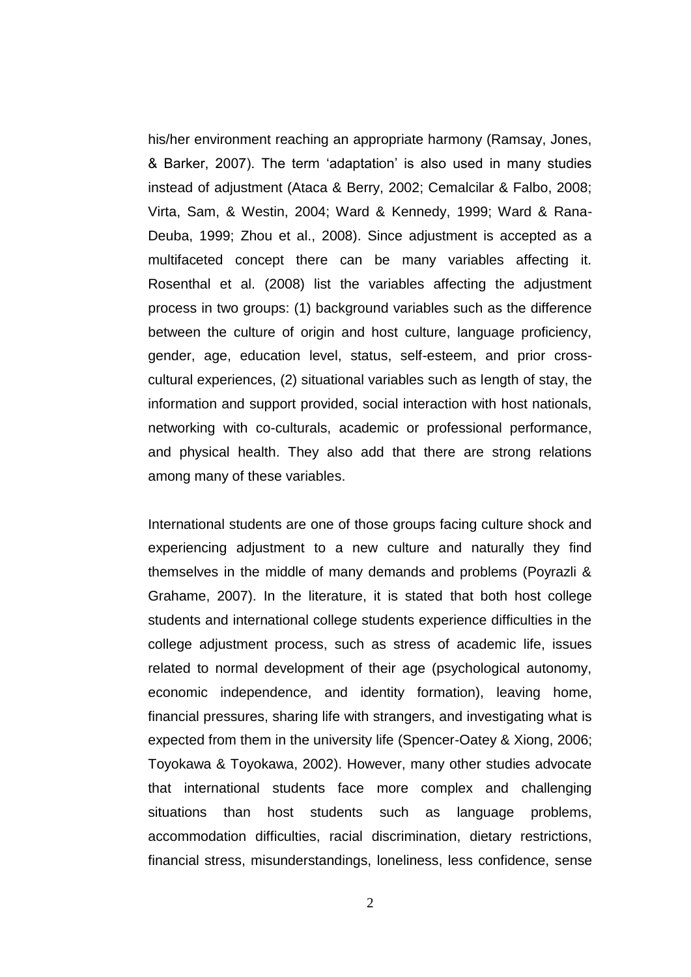his/her environment reaching an appropriate harmony (Ramsay, Jones, & Barker, 2007). The term "adaptation" is also used in many studies instead of adjustment (Ataca & Berry, 2002; Cemalcilar & Falbo, 2008; Virta, Sam, & Westin, 2004; Ward & Kennedy, 1999; Ward & Rana-Deuba, 1999; Zhou et al., 2008). Since adjustment is accepted as a multifaceted concept there can be many variables affecting it. Rosenthal et al. (2008) list the variables affecting the adjustment process in two groups: (1) background variables such as the difference between the culture of origin and host culture, language proficiency, gender, age, education level, status, self-esteem, and prior crosscultural experiences, (2) situational variables such as length of stay, the information and support provided, social interaction with host nationals, networking with co-culturals, academic or professional performance, and physical health. They also add that there are strong relations among many of these variables.

International students are one of those groups facing culture shock and experiencing adjustment to a new culture and naturally they find themselves in the middle of many demands and problems (Poyrazli & Grahame, 2007). In the literature, it is stated that both host college students and international college students experience difficulties in the college adjustment process, such as stress of academic life, issues related to normal development of their age (psychological autonomy, economic independence, and identity formation), leaving home, financial pressures, sharing life with strangers, and investigating what is expected from them in the university life (Spencer-Oatey & Xiong, 2006; Toyokawa & Toyokawa, 2002). However, many other studies advocate that international students face more complex and challenging situations than host students such as language problems, accommodation difficulties, racial discrimination, dietary restrictions, financial stress, misunderstandings, loneliness, less confidence, sense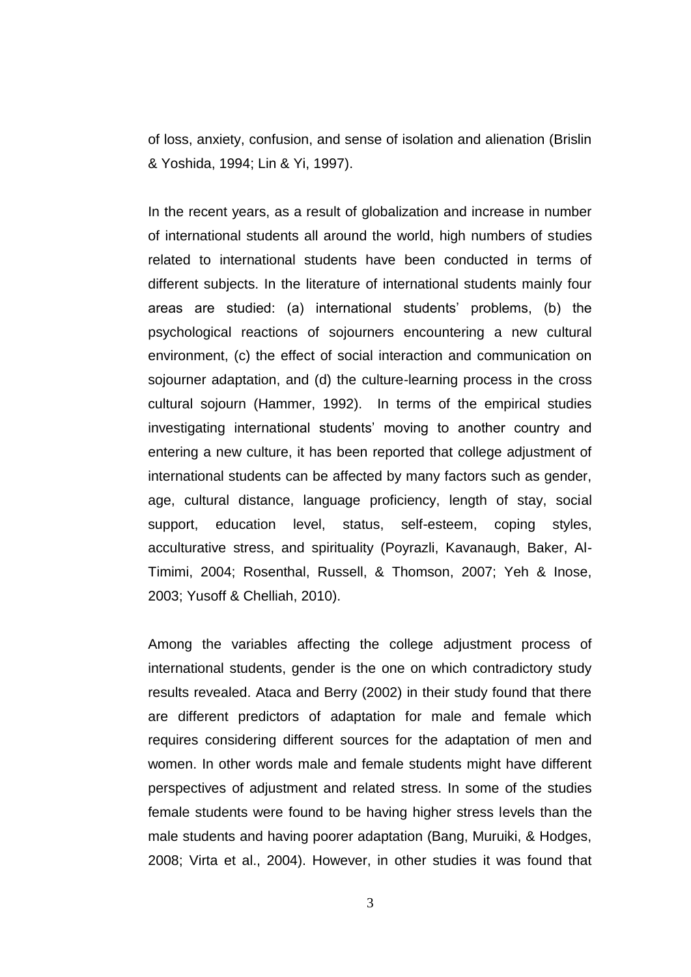of loss, anxiety, confusion, and sense of isolation and alienation (Brislin & Yoshida, 1994; Lin & Yi, 1997).

In the recent years, as a result of globalization and increase in number of international students all around the world, high numbers of studies related to international students have been conducted in terms of different subjects. In the literature of international students mainly four areas are studied: (a) international students" problems, (b) the psychological reactions of sojourners encountering a new cultural environment, (c) the effect of social interaction and communication on sojourner adaptation, and (d) the culture-learning process in the cross cultural sojourn (Hammer, 1992). In terms of the empirical studies investigating international students' moving to another country and entering a new culture, it has been reported that college adjustment of international students can be affected by many factors such as gender, age, cultural distance, language proficiency, length of stay, social support, education level, status, self-esteem, coping styles, acculturative stress, and spirituality (Poyrazli, Kavanaugh, Baker, Al-Timimi, 2004; Rosenthal, Russell, & Thomson, 2007; Yeh & Inose, 2003; Yusoff & Chelliah, 2010).

Among the variables affecting the college adjustment process of international students, gender is the one on which contradictory study results revealed. Ataca and Berry (2002) in their study found that there are different predictors of adaptation for male and female which requires considering different sources for the adaptation of men and women. In other words male and female students might have different perspectives of adjustment and related stress. In some of the studies female students were found to be having higher stress levels than the male students and having poorer adaptation (Bang, Muruiki, & Hodges, 2008; Virta et al., 2004). However, in other studies it was found that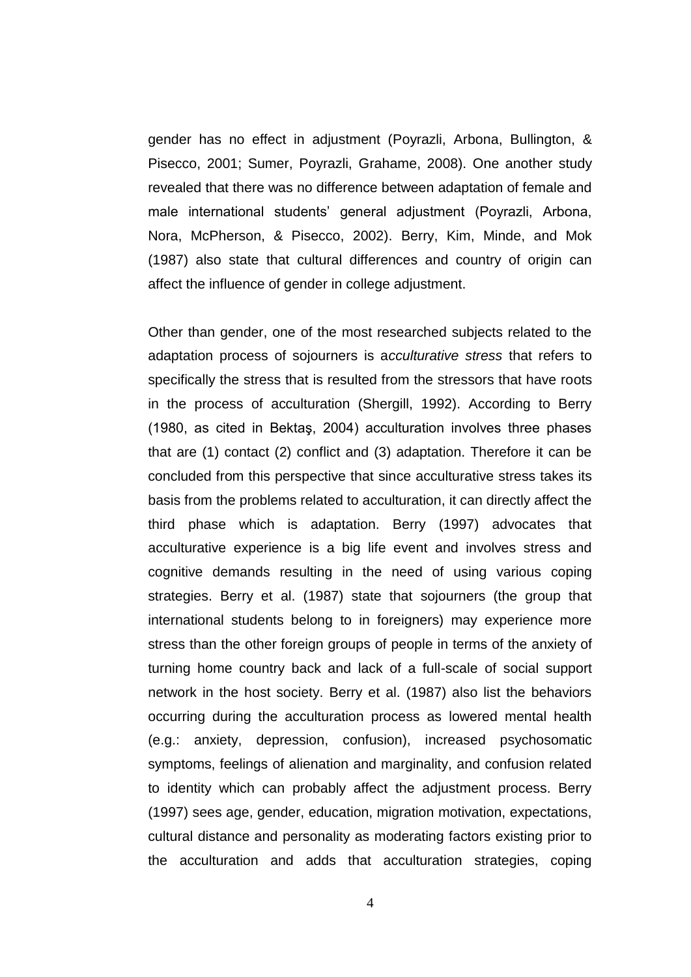gender has no effect in adjustment (Poyrazli, Arbona, Bullington, & Pisecco, 2001; Sumer, Poyrazli, Grahame, 2008). One another study revealed that there was no difference between adaptation of female and male international students" general adjustment (Poyrazli, Arbona, Nora, McPherson, & Pisecco, 2002). Berry, Kim, Minde, and Mok (1987) also state that cultural differences and country of origin can affect the influence of gender in college adjustment.

Other than gender, one of the most researched subjects related to the adaptation process of sojourners is a*cculturative stress* that refers to specifically the stress that is resulted from the stressors that have roots in the process of acculturation (Shergill, 1992). According to Berry (1980, as cited in Bektaş, 2004) acculturation involves three phases that are (1) contact (2) conflict and (3) adaptation. Therefore it can be concluded from this perspective that since acculturative stress takes its basis from the problems related to acculturation, it can directly affect the third phase which is adaptation. Berry (1997) advocates that acculturative experience is a big life event and involves stress and cognitive demands resulting in the need of using various coping strategies. Berry et al. (1987) state that sojourners (the group that international students belong to in foreigners) may experience more stress than the other foreign groups of people in terms of the anxiety of turning home country back and lack of a full-scale of social support network in the host society. Berry et al. (1987) also list the behaviors occurring during the acculturation process as lowered mental health (e.g.: anxiety, depression, confusion), increased psychosomatic symptoms, feelings of alienation and marginality, and confusion related to identity which can probably affect the adjustment process. Berry (1997) sees age, gender, education, migration motivation, expectations, cultural distance and personality as moderating factors existing prior to the acculturation and adds that acculturation strategies, coping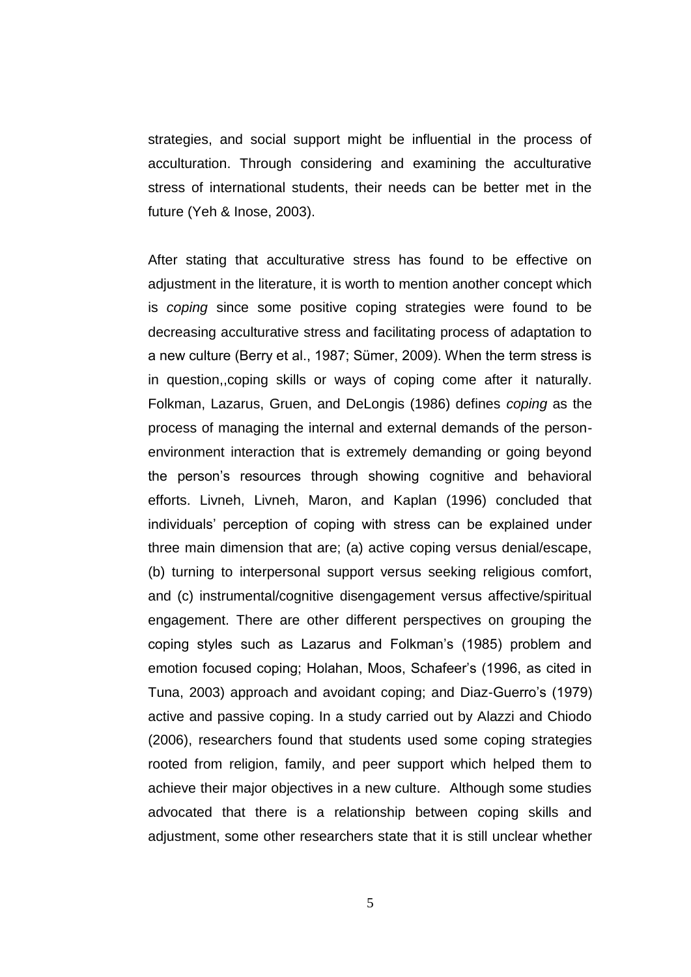strategies, and social support might be influential in the process of acculturation. Through considering and examining the acculturative stress of international students, their needs can be better met in the future (Yeh & Inose, 2003).

After stating that acculturative stress has found to be effective on adjustment in the literature, it is worth to mention another concept which is *coping* since some positive coping strategies were found to be decreasing acculturative stress and facilitating process of adaptation to a new culture (Berry et al., 1987; Sümer, 2009). When the term stress is in question,,coping skills or ways of coping come after it naturally. Folkman, Lazarus, Gruen, and DeLongis (1986) defines *coping* as the process of managing the internal and external demands of the personenvironment interaction that is extremely demanding or going beyond the person"s resources through showing cognitive and behavioral efforts. Livneh, Livneh, Maron, and Kaplan (1996) concluded that individuals" perception of coping with stress can be explained under three main dimension that are; (a) active coping versus denial/escape, (b) turning to interpersonal support versus seeking religious comfort, and (c) instrumental/cognitive disengagement versus affective/spiritual engagement. There are other different perspectives on grouping the coping styles such as Lazarus and Folkman"s (1985) problem and emotion focused coping; Holahan, Moos, Schafeer's (1996, as cited in Tuna, 2003) approach and avoidant coping; and Diaz-Guerro"s (1979) active and passive coping. In a study carried out by Alazzi and Chiodo (2006), researchers found that students used some coping strategies rooted from religion, family, and peer support which helped them to achieve their major objectives in a new culture. Although some studies advocated that there is a relationship between coping skills and adjustment, some other researchers state that it is still unclear whether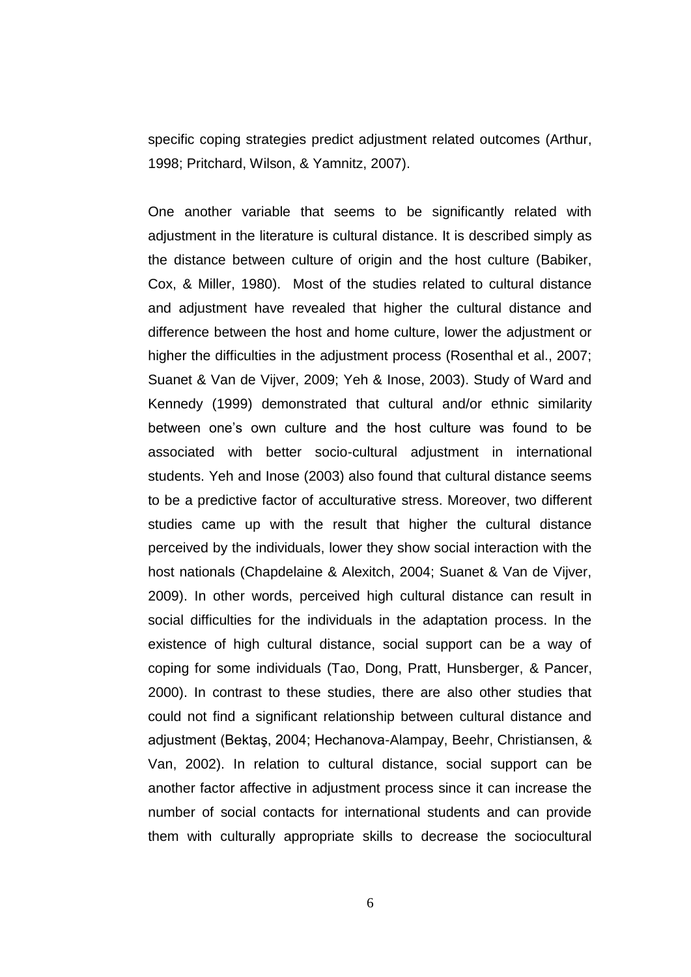specific coping strategies predict adjustment related outcomes (Arthur, 1998; Pritchard, Wilson, & Yamnitz, 2007).

One another variable that seems to be significantly related with adjustment in the literature is cultural distance. It is described simply as the distance between culture of origin and the host culture (Babiker, Cox, & Miller, 1980). Most of the studies related to cultural distance and adjustment have revealed that higher the cultural distance and difference between the host and home culture, lower the adjustment or higher the difficulties in the adjustment process (Rosenthal et al., 2007; Suanet & Van de Vijver, 2009; Yeh & Inose, 2003). Study of Ward and Kennedy (1999) demonstrated that cultural and/or ethnic similarity between one"s own culture and the host culture was found to be associated with better socio-cultural adjustment in international students. Yeh and Inose (2003) also found that cultural distance seems to be a predictive factor of acculturative stress. Moreover, two different studies came up with the result that higher the cultural distance perceived by the individuals, lower they show social interaction with the host nationals (Chapdelaine & Alexitch, 2004; Suanet & Van de Vijver, 2009). In other words, perceived high cultural distance can result in social difficulties for the individuals in the adaptation process. In the existence of high cultural distance, social support can be a way of coping for some individuals (Tao, Dong, Pratt, Hunsberger, & Pancer, 2000). In contrast to these studies, there are also other studies that could not find a significant relationship between cultural distance and adjustment (Bektaş, 2004; Hechanova-Alampay, Beehr, Christiansen, & Van, 2002). In relation to cultural distance, social support can be another factor affective in adjustment process since it can increase the number of social contacts for international students and can provide them with culturally appropriate skills to decrease the sociocultural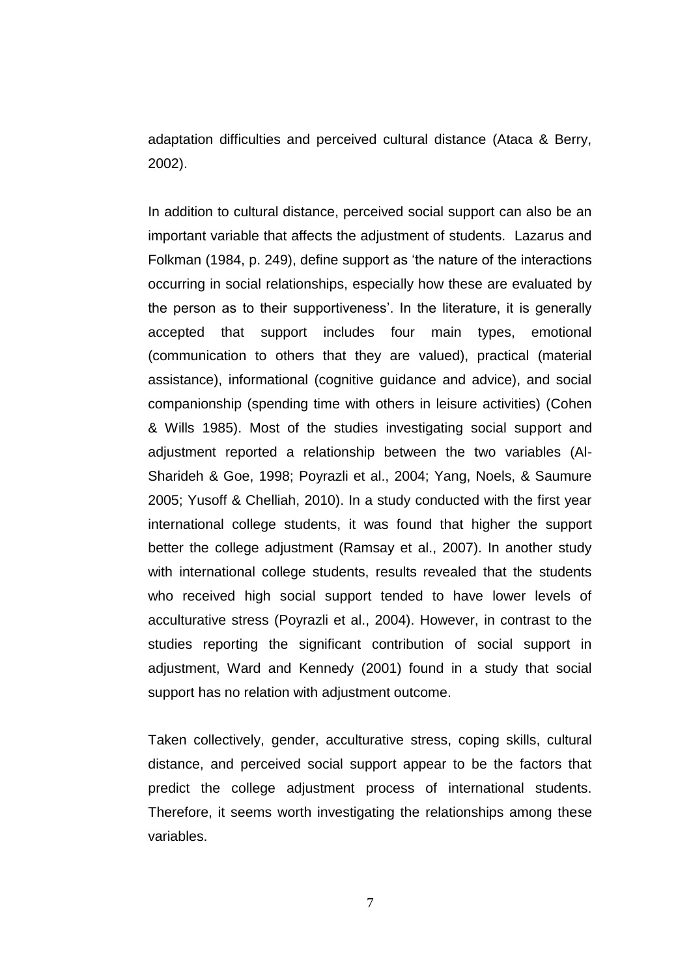adaptation difficulties and perceived cultural distance (Ataca & Berry, 2002).

In addition to cultural distance, perceived social support can also be an important variable that affects the adjustment of students. Lazarus and Folkman (1984, p. 249), define support as "the nature of the interactions occurring in social relationships, especially how these are evaluated by the person as to their supportiveness'. In the literature, it is generally accepted that support includes four main types, emotional (communication to others that they are valued), practical (material assistance), informational (cognitive guidance and advice), and social companionship (spending time with others in leisure activities) (Cohen & Wills 1985). Most of the studies investigating social support and adjustment reported a relationship between the two variables (Al-Sharideh & Goe, 1998; Poyrazli et al., 2004; Yang, Noels, & Saumure 2005; Yusoff & Chelliah, 2010). In a study conducted with the first year international college students, it was found that higher the support better the college adjustment (Ramsay et al., 2007). In another study with international college students, results revealed that the students who received high social support tended to have lower levels of acculturative stress (Poyrazli et al., 2004). However, in contrast to the studies reporting the significant contribution of social support in adjustment, Ward and Kennedy (2001) found in a study that social support has no relation with adjustment outcome.

Taken collectively, gender, acculturative stress, coping skills, cultural distance, and perceived social support appear to be the factors that predict the college adjustment process of international students. Therefore, it seems worth investigating the relationships among these variables.

7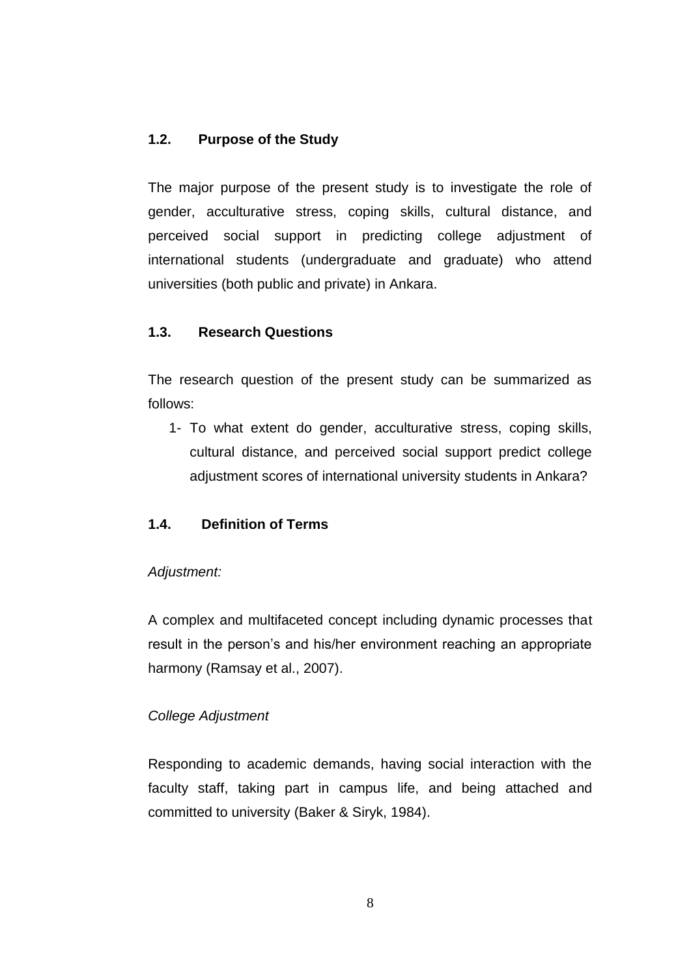### **1.2. Purpose of the Study**

The major purpose of the present study is to investigate the role of gender, acculturative stress, coping skills, cultural distance, and perceived social support in predicting college adjustment of international students (undergraduate and graduate) who attend universities (both public and private) in Ankara.

#### **1.3. Research Questions**

The research question of the present study can be summarized as follows:

1- To what extent do gender, acculturative stress, coping skills, cultural distance, and perceived social support predict college adjustment scores of international university students in Ankara?

## **1.4. Definition of Terms**

#### *Adjustment:*

A complex and multifaceted concept including dynamic processes that result in the person's and his/her environment reaching an appropriate harmony (Ramsay et al., 2007).

## *College Adjustment*

Responding to academic demands, having social interaction with the faculty staff, taking part in campus life, and being attached and committed to university (Baker & Siryk, 1984).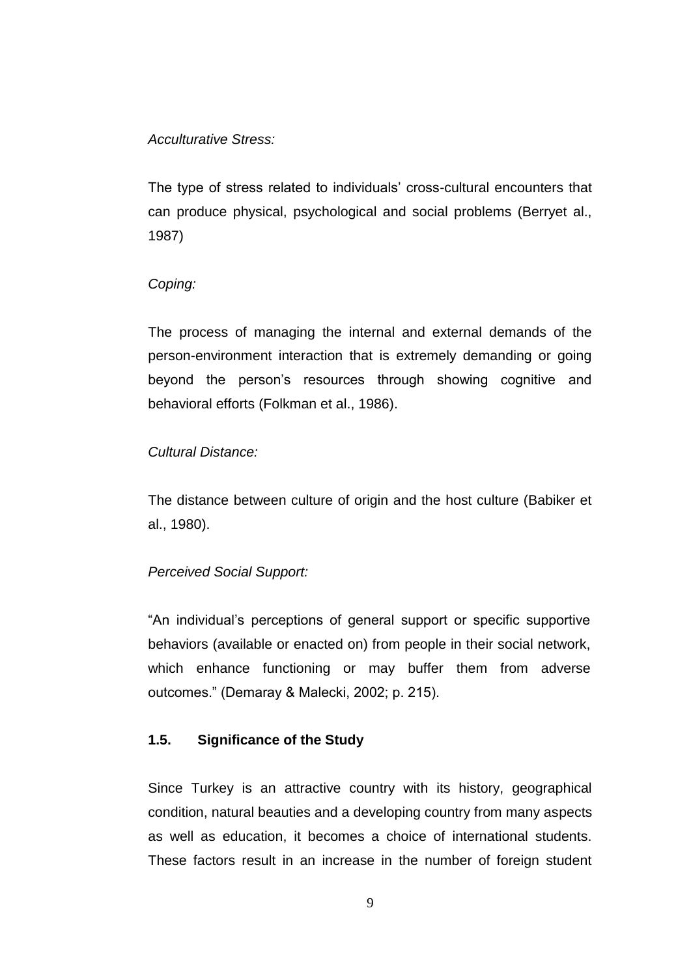#### *Acculturative Stress:*

The type of stress related to individuals" cross-cultural encounters that can produce physical, psychological and social problems (Berryet al., 1987)

### *Coping:*

The process of managing the internal and external demands of the person-environment interaction that is extremely demanding or going beyond the person"s resources through showing cognitive and behavioral efforts (Folkman et al., 1986).

### *Cultural Distance:*

The distance between culture of origin and the host culture (Babiker et al., 1980).

## *Perceived Social Support:*

"An individual"s perceptions of general support or specific supportive behaviors (available or enacted on) from people in their social network, which enhance functioning or may buffer them from adverse outcomes." (Demaray & Malecki, 2002; p. 215).

## **1.5. Significance of the Study**

Since Turkey is an attractive country with its history, geographical condition, natural beauties and a developing country from many aspects as well as education, it becomes a choice of international students. These factors result in an increase in the number of foreign student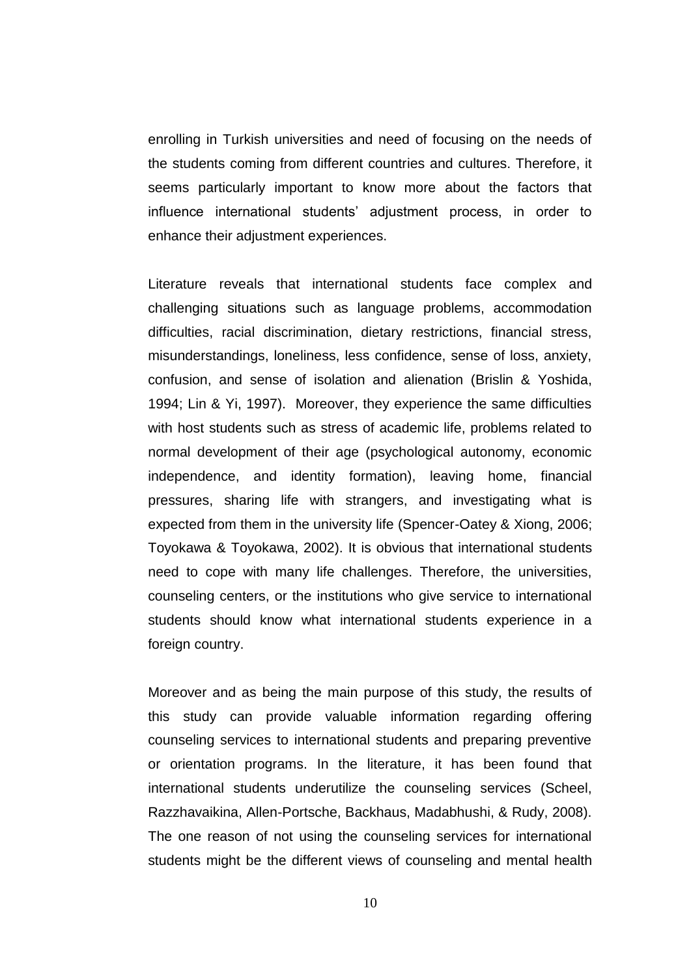enrolling in Turkish universities and need of focusing on the needs of the students coming from different countries and cultures. Therefore, it seems particularly important to know more about the factors that influence international students' adjustment process, in order to enhance their adjustment experiences.

Literature reveals that international students face complex and challenging situations such as language problems, accommodation difficulties, racial discrimination, dietary restrictions, financial stress, misunderstandings, loneliness, less confidence, sense of loss, anxiety, confusion, and sense of isolation and alienation (Brislin & Yoshida, 1994; Lin & Yi, 1997). Moreover, they experience the same difficulties with host students such as stress of academic life, problems related to normal development of their age (psychological autonomy, economic independence, and identity formation), leaving home, financial pressures, sharing life with strangers, and investigating what is expected from them in the university life (Spencer-Oatey & Xiong, 2006; Toyokawa & Toyokawa, 2002). It is obvious that international students need to cope with many life challenges. Therefore, the universities, counseling centers, or the institutions who give service to international students should know what international students experience in a foreign country.

Moreover and as being the main purpose of this study, the results of this study can provide valuable information regarding offering counseling services to international students and preparing preventive or orientation programs. In the literature, it has been found that international students underutilize the counseling services (Scheel, Razzhavaikina, Allen-Portsche, Backhaus, Madabhushi, & Rudy, 2008). The one reason of not using the counseling services for international students might be the different views of counseling and mental health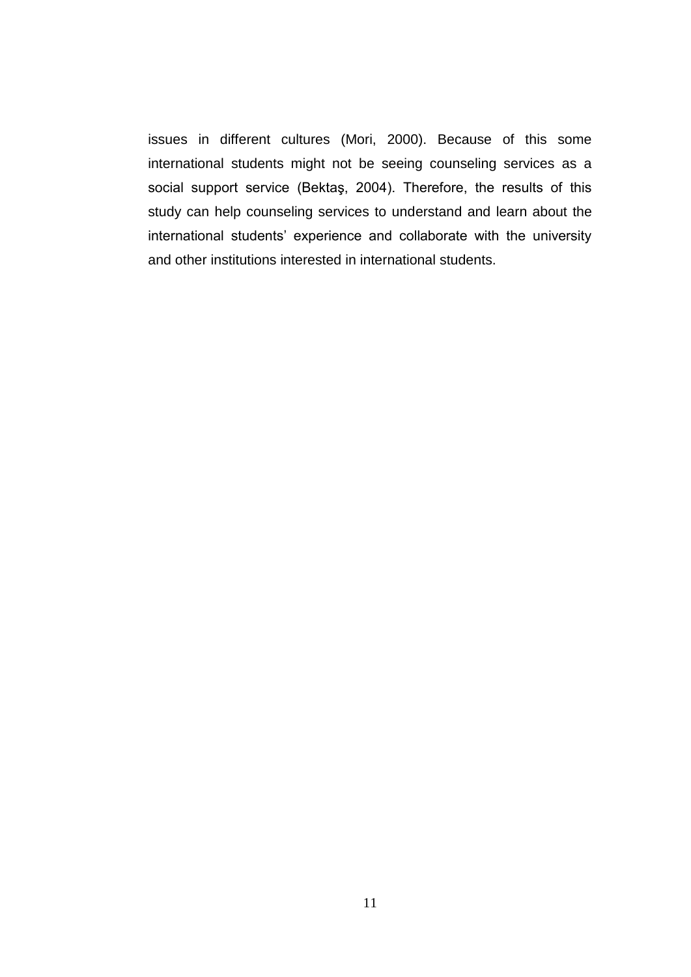issues in different cultures (Mori, 2000). Because of this some international students might not be seeing counseling services as a social support service (Bektaş, 2004). Therefore, the results of this study can help counseling services to understand and learn about the international students' experience and collaborate with the university and other institutions interested in international students.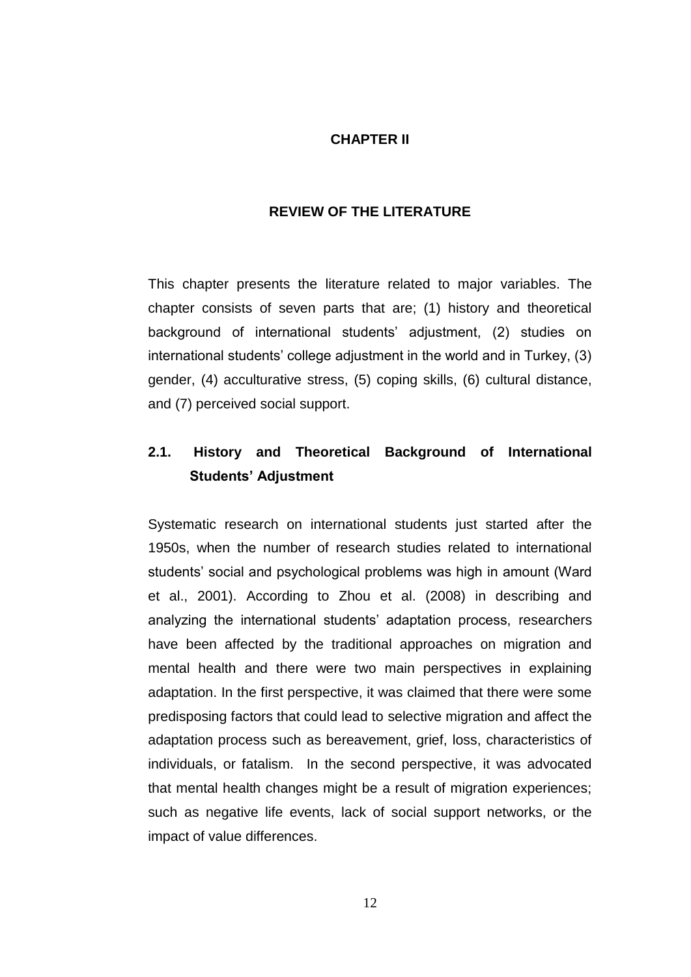#### **CHAPTER II**

#### **REVIEW OF THE LITERATURE**

This chapter presents the literature related to major variables. The chapter consists of seven parts that are; (1) history and theoretical background of international students' adjustment, (2) studies on international students' college adjustment in the world and in Turkey, (3) gender, (4) acculturative stress, (5) coping skills, (6) cultural distance, and (7) perceived social support.

# **2.1. History and Theoretical Background of International Students' Adjustment**

Systematic research on international students just started after the 1950s, when the number of research studies related to international students" social and psychological problems was high in amount (Ward et al., 2001). According to Zhou et al. (2008) in describing and analyzing the international students' adaptation process, researchers have been affected by the traditional approaches on migration and mental health and there were two main perspectives in explaining adaptation. In the first perspective, it was claimed that there were some predisposing factors that could lead to selective migration and affect the adaptation process such as bereavement, grief, loss, characteristics of individuals, or fatalism. In the second perspective, it was advocated that mental health changes might be a result of migration experiences; such as negative life events, lack of social support networks, or the impact of value differences.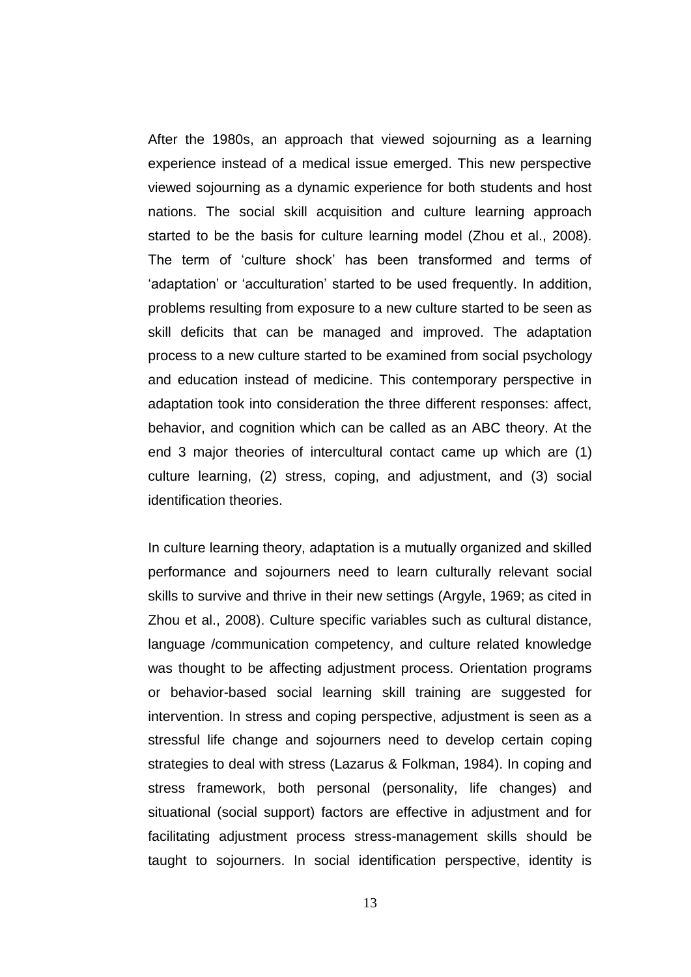After the 1980s, an approach that viewed sojourning as a learning experience instead of a medical issue emerged. This new perspective viewed sojourning as a dynamic experience for both students and host nations. The social skill acquisition and culture learning approach started to be the basis for culture learning model (Zhou et al., 2008). The term of "culture shock" has been transformed and terms of 'adaptation' or 'acculturation' started to be used frequently. In addition, problems resulting from exposure to a new culture started to be seen as skill deficits that can be managed and improved. The adaptation process to a new culture started to be examined from social psychology and education instead of medicine. This contemporary perspective in adaptation took into consideration the three different responses: affect, behavior, and cognition which can be called as an ABC theory. At the end 3 major theories of intercultural contact came up which are (1) culture learning, (2) stress, coping, and adjustment, and (3) social identification theories.

In culture learning theory, adaptation is a mutually organized and skilled performance and sojourners need to learn culturally relevant social skills to survive and thrive in their new settings (Argyle, 1969; as cited in Zhou et al., 2008). Culture specific variables such as cultural distance, language /communication competency, and culture related knowledge was thought to be affecting adjustment process. Orientation programs or behavior-based social learning skill training are suggested for intervention. In stress and coping perspective, adjustment is seen as a stressful life change and sojourners need to develop certain coping strategies to deal with stress (Lazarus & Folkman, 1984). In coping and stress framework, both personal (personality, life changes) and situational (social support) factors are effective in adjustment and for facilitating adjustment process stress-management skills should be taught to sojourners. In social identification perspective, identity is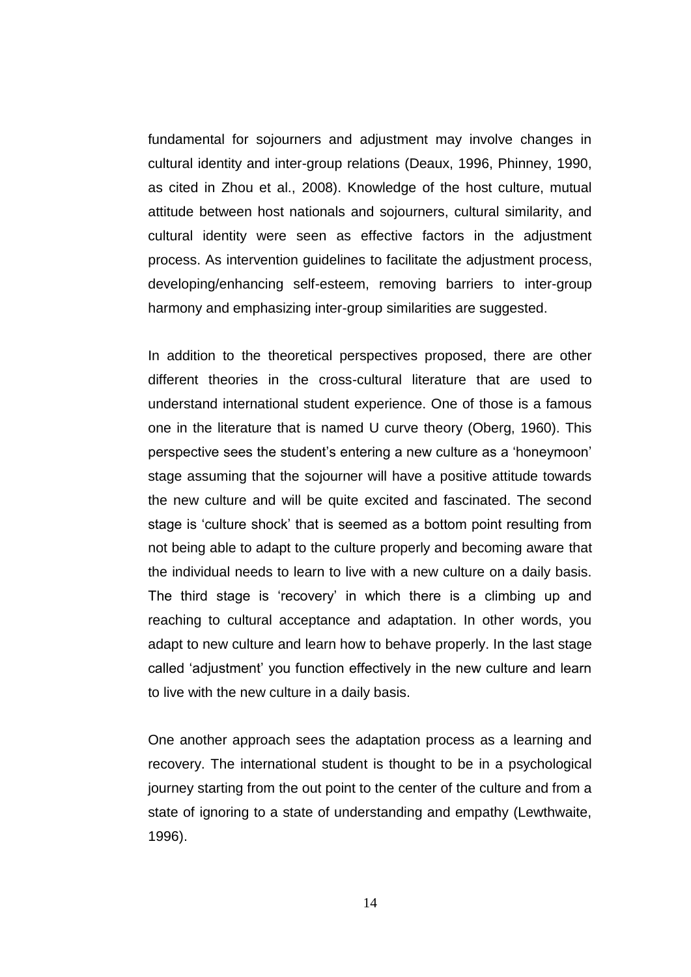fundamental for sojourners and adjustment may involve changes in cultural identity and inter-group relations (Deaux, 1996, Phinney, 1990, as cited in Zhou et al., 2008). Knowledge of the host culture, mutual attitude between host nationals and sojourners, cultural similarity, and cultural identity were seen as effective factors in the adjustment process. As intervention guidelines to facilitate the adjustment process, developing/enhancing self-esteem, removing barriers to inter-group harmony and emphasizing inter-group similarities are suggested.

In addition to the theoretical perspectives proposed, there are other different theories in the cross-cultural literature that are used to understand international student experience. One of those is a famous one in the literature that is named U curve theory (Oberg, 1960). This perspective sees the student"s entering a new culture as a "honeymoon" stage assuming that the sojourner will have a positive attitude towards the new culture and will be quite excited and fascinated. The second stage is "culture shock" that is seemed as a bottom point resulting from not being able to adapt to the culture properly and becoming aware that the individual needs to learn to live with a new culture on a daily basis. The third stage is 'recovery' in which there is a climbing up and reaching to cultural acceptance and adaptation. In other words, you adapt to new culture and learn how to behave properly. In the last stage called "adjustment" you function effectively in the new culture and learn to live with the new culture in a daily basis.

One another approach sees the adaptation process as a learning and recovery. The international student is thought to be in a psychological journey starting from the out point to the center of the culture and from a state of ignoring to a state of understanding and empathy (Lewthwaite, 1996).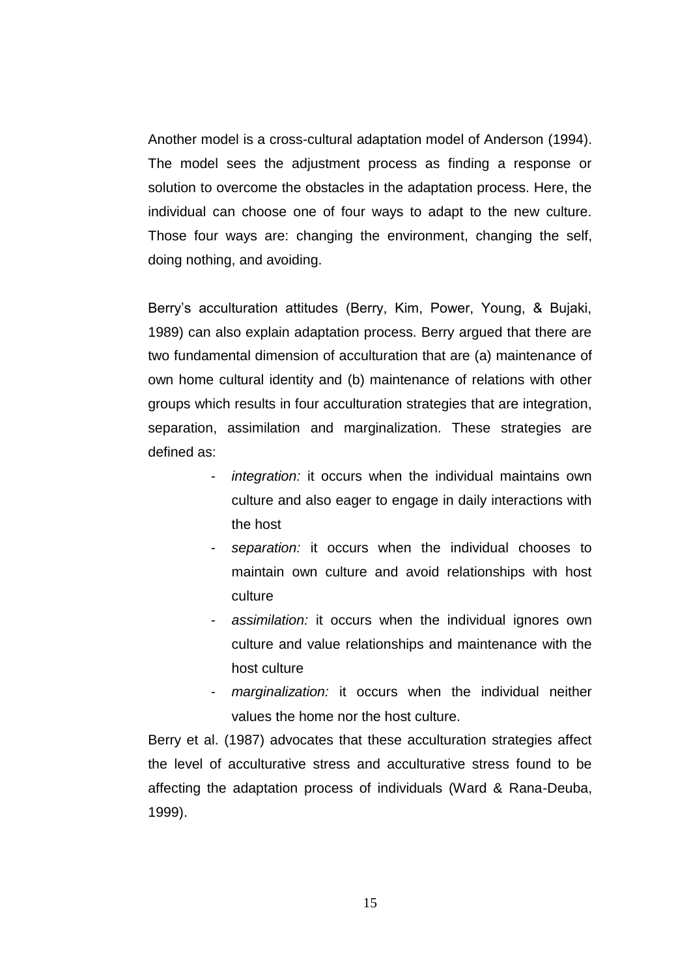Another model is a cross-cultural adaptation model of Anderson (1994). The model sees the adjustment process as finding a response or solution to overcome the obstacles in the adaptation process. Here, the individual can choose one of four ways to adapt to the new culture. Those four ways are: changing the environment, changing the self, doing nothing, and avoiding.

Berry"s acculturation attitudes (Berry, Kim, Power, Young, & Bujaki, 1989) can also explain adaptation process. Berry argued that there are two fundamental dimension of acculturation that are (a) maintenance of own home cultural identity and (b) maintenance of relations with other groups which results in four acculturation strategies that are integration, separation, assimilation and marginalization. These strategies are defined as:

- *integration:* it occurs when the individual maintains own culture and also eager to engage in daily interactions with the host
- *- separation:* it occurs when the individual chooses to maintain own culture and avoid relationships with host culture
- *- assimilation:* it occurs when the individual ignores own culture and value relationships and maintenance with the host culture
- *- marginalization:* it occurs when the individual neither values the home nor the host culture.

Berry et al. (1987) advocates that these acculturation strategies affect the level of acculturative stress and acculturative stress found to be affecting the adaptation process of individuals (Ward & Rana-Deuba, 1999).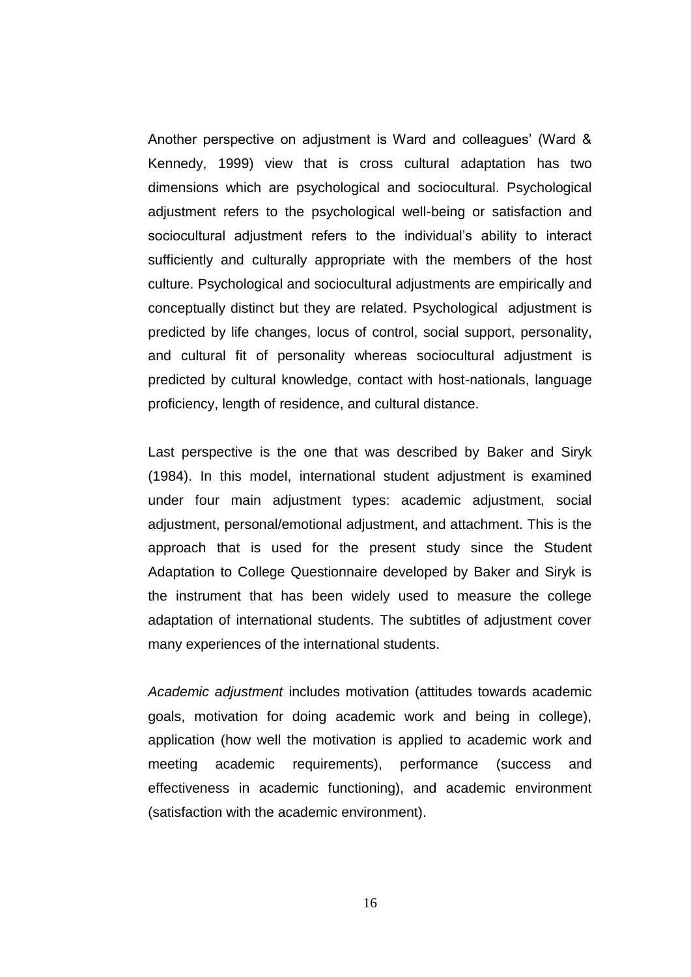Another perspective on adjustment is Ward and colleagues' (Ward & Kennedy, 1999) view that is cross cultural adaptation has two dimensions which are psychological and sociocultural. Psychological adjustment refers to the psychological well-being or satisfaction and sociocultural adjustment refers to the individual's ability to interact sufficiently and culturally appropriate with the members of the host culture. Psychological and sociocultural adjustments are empirically and conceptually distinct but they are related. Psychological adjustment is predicted by life changes, locus of control, social support, personality, and cultural fit of personality whereas sociocultural adjustment is predicted by cultural knowledge, contact with host-nationals, language proficiency, length of residence, and cultural distance.

Last perspective is the one that was described by Baker and Siryk (1984). In this model, international student adjustment is examined under four main adjustment types: academic adjustment, social adjustment, personal/emotional adjustment, and attachment. This is the approach that is used for the present study since the Student Adaptation to College Questionnaire developed by Baker and Siryk is the instrument that has been widely used to measure the college adaptation of international students. The subtitles of adjustment cover many experiences of the international students.

*Academic adjustment* includes motivation (attitudes towards academic goals, motivation for doing academic work and being in college), application (how well the motivation is applied to academic work and meeting academic requirements), performance (success and effectiveness in academic functioning), and academic environment (satisfaction with the academic environment).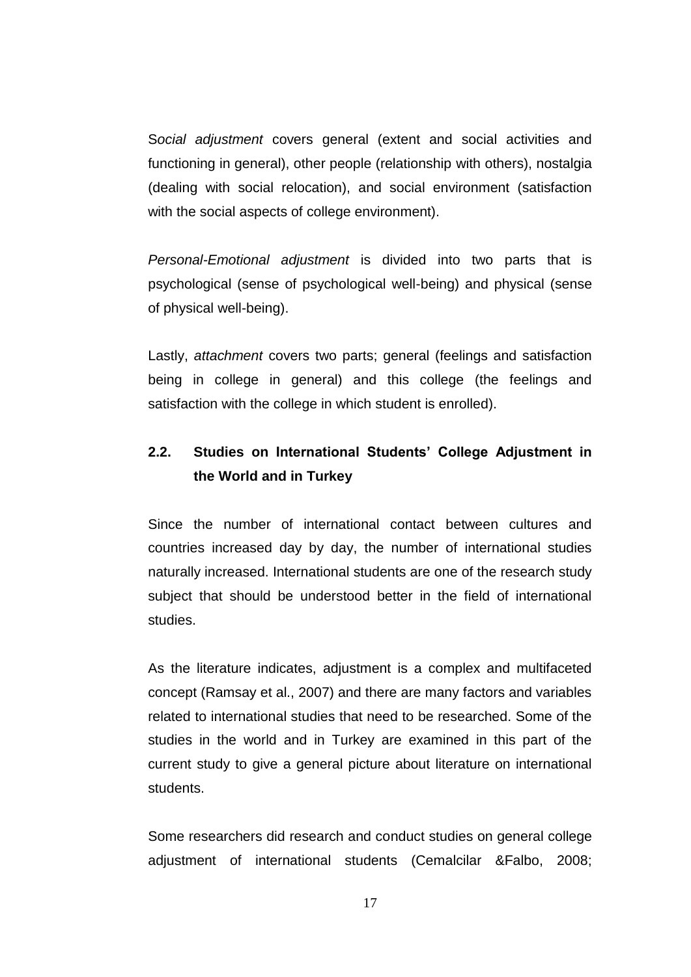S*ocial adjustment* covers general (extent and social activities and functioning in general), other people (relationship with others), nostalgia (dealing with social relocation), and social environment (satisfaction with the social aspects of college environment).

*Personal-Emotional adjustment* is divided into two parts that is psychological (sense of psychological well-being) and physical (sense of physical well-being).

Lastly, *attachment* covers two parts; general (feelings and satisfaction being in college in general) and this college (the feelings and satisfaction with the college in which student is enrolled).

# **2.2. Studies on International Students' College Adjustment in the World and in Turkey**

Since the number of international contact between cultures and countries increased day by day, the number of international studies naturally increased. International students are one of the research study subject that should be understood better in the field of international studies.

As the literature indicates, adjustment is a complex and multifaceted concept (Ramsay et al., 2007) and there are many factors and variables related to international studies that need to be researched. Some of the studies in the world and in Turkey are examined in this part of the current study to give a general picture about literature on international students.

Some researchers did research and conduct studies on general college adjustment of international students (Cemalcilar &Falbo, 2008;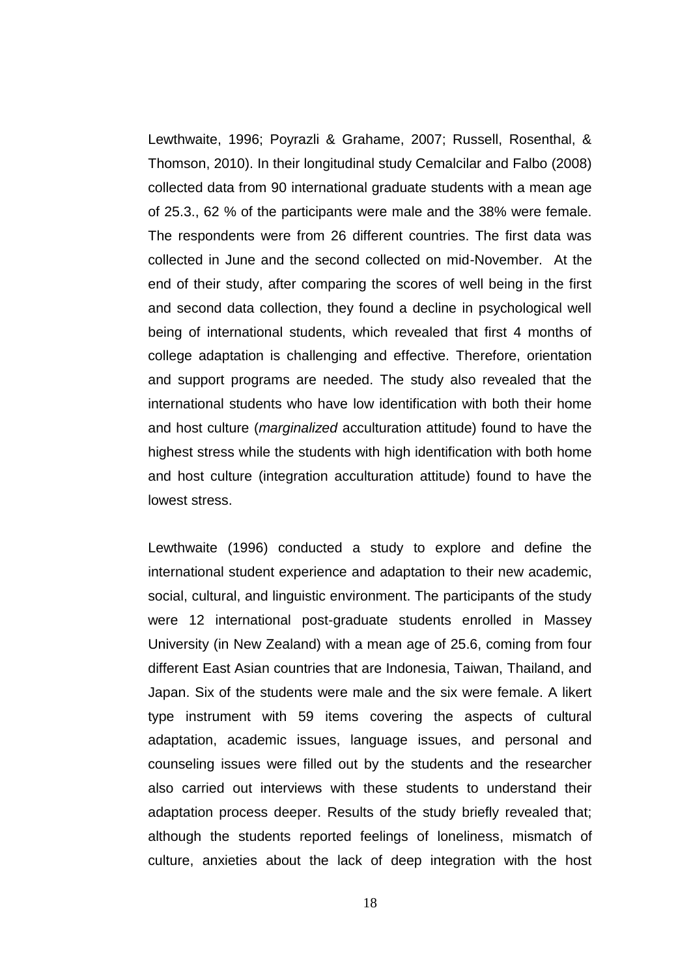Lewthwaite, 1996; Poyrazli & Grahame, 2007; Russell, Rosenthal, & Thomson, 2010). In their longitudinal study Cemalcilar and Falbo (2008) collected data from 90 international graduate students with a mean age of 25.3., 62 % of the participants were male and the 38% were female. The respondents were from 26 different countries. The first data was collected in June and the second collected on mid-November. At the end of their study, after comparing the scores of well being in the first and second data collection, they found a decline in psychological well being of international students, which revealed that first 4 months of college adaptation is challenging and effective. Therefore, orientation and support programs are needed. The study also revealed that the international students who have low identification with both their home and host culture (*marginalized* acculturation attitude) found to have the highest stress while the students with high identification with both home and host culture (integration acculturation attitude) found to have the lowest stress.

Lewthwaite (1996) conducted a study to explore and define the international student experience and adaptation to their new academic, social, cultural, and linguistic environment. The participants of the study were 12 international post-graduate students enrolled in Massey University (in New Zealand) with a mean age of 25.6, coming from four different East Asian countries that are Indonesia, Taiwan, Thailand, and Japan. Six of the students were male and the six were female. A likert type instrument with 59 items covering the aspects of cultural adaptation, academic issues, language issues, and personal and counseling issues were filled out by the students and the researcher also carried out interviews with these students to understand their adaptation process deeper. Results of the study briefly revealed that; although the students reported feelings of loneliness, mismatch of culture, anxieties about the lack of deep integration with the host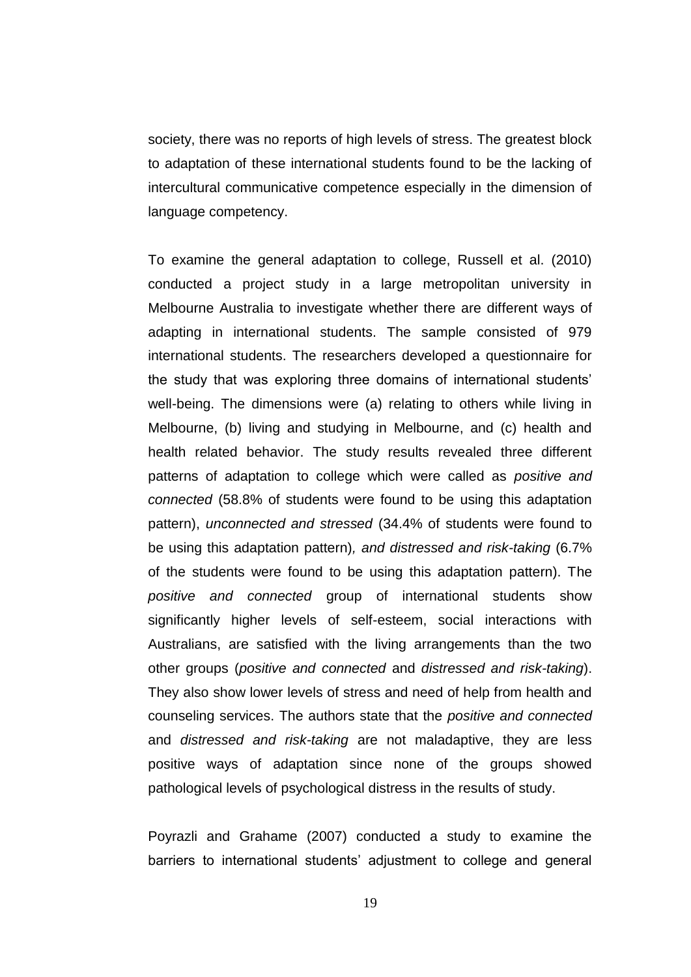society, there was no reports of high levels of stress. The greatest block to adaptation of these international students found to be the lacking of intercultural communicative competence especially in the dimension of language competency.

To examine the general adaptation to college, Russell et al. (2010) conducted a project study in a large metropolitan university in Melbourne Australia to investigate whether there are different ways of adapting in international students. The sample consisted of 979 international students. The researchers developed a questionnaire for the study that was exploring three domains of international students" well-being. The dimensions were (a) relating to others while living in Melbourne, (b) living and studying in Melbourne, and (c) health and health related behavior. The study results revealed three different patterns of adaptation to college which were called as *positive and connected* (58.8% of students were found to be using this adaptation pattern), *unconnected and stressed* (34.4% of students were found to be using this adaptation pattern)*, and distressed and risk-taking* (6.7% of the students were found to be using this adaptation pattern). The *positive and connected* group of international students show significantly higher levels of self-esteem, social interactions with Australians, are satisfied with the living arrangements than the two other groups (*positive and connected* and *distressed and risk-taking*). They also show lower levels of stress and need of help from health and counseling services. The authors state that the *positive and connected*  and *distressed and risk-taking* are not maladaptive, they are less positive ways of adaptation since none of the groups showed pathological levels of psychological distress in the results of study.

Poyrazli and Grahame (2007) conducted a study to examine the barriers to international students' adjustment to college and general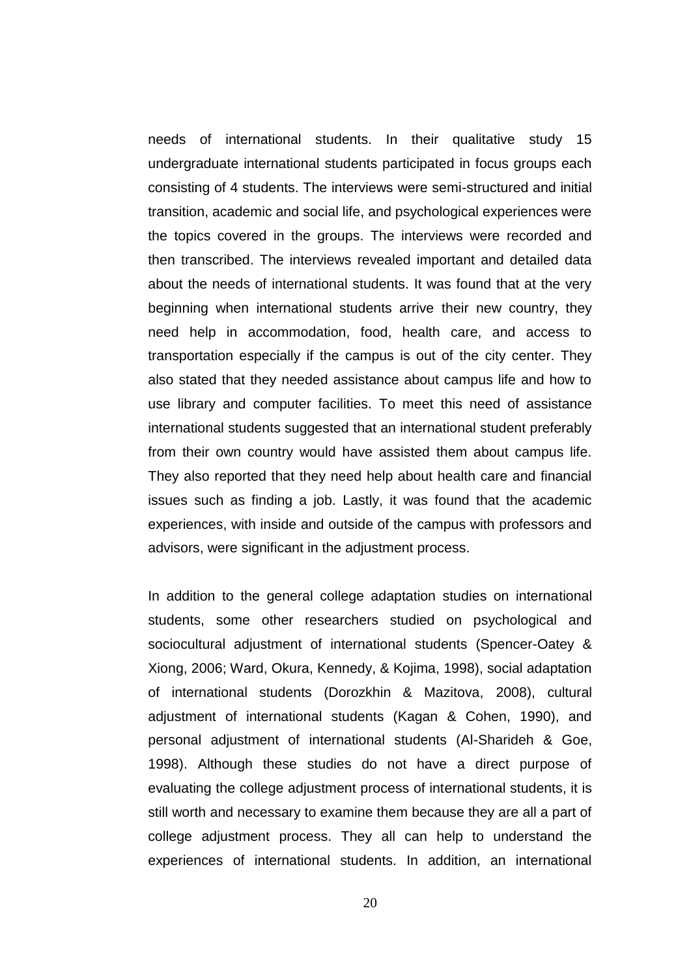needs of international students. In their qualitative study 15 undergraduate international students participated in focus groups each consisting of 4 students. The interviews were semi-structured and initial transition, academic and social life, and psychological experiences were the topics covered in the groups. The interviews were recorded and then transcribed. The interviews revealed important and detailed data about the needs of international students. It was found that at the very beginning when international students arrive their new country, they need help in accommodation, food, health care, and access to transportation especially if the campus is out of the city center. They also stated that they needed assistance about campus life and how to use library and computer facilities. To meet this need of assistance international students suggested that an international student preferably from their own country would have assisted them about campus life. They also reported that they need help about health care and financial issues such as finding a job. Lastly, it was found that the academic experiences, with inside and outside of the campus with professors and advisors, were significant in the adjustment process.

In addition to the general college adaptation studies on international students, some other researchers studied on psychological and sociocultural adjustment of international students (Spencer-Oatey & Xiong, 2006; Ward, Okura, Kennedy, & Kojima, 1998), social adaptation of international students (Dorozkhin & Mazitova, 2008), cultural adjustment of international students (Kagan & Cohen, 1990), and personal adjustment of international students (Al-Sharideh & Goe, 1998). Although these studies do not have a direct purpose of evaluating the college adjustment process of international students, it is still worth and necessary to examine them because they are all a part of college adjustment process. They all can help to understand the experiences of international students. In addition, an international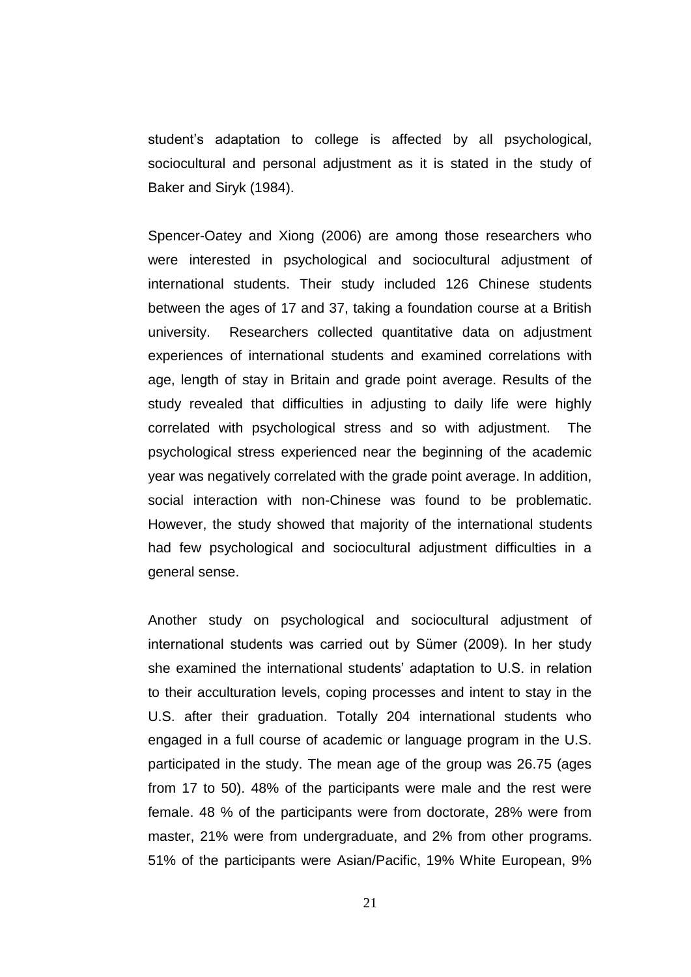student"s adaptation to college is affected by all psychological, sociocultural and personal adjustment as it is stated in the study of Baker and Siryk (1984).

Spencer-Oatey and Xiong (2006) are among those researchers who were interested in psychological and sociocultural adjustment of international students. Their study included 126 Chinese students between the ages of 17 and 37, taking a foundation course at a British university. Researchers collected quantitative data on adjustment experiences of international students and examined correlations with age, length of stay in Britain and grade point average. Results of the study revealed that difficulties in adjusting to daily life were highly correlated with psychological stress and so with adjustment. The psychological stress experienced near the beginning of the academic year was negatively correlated with the grade point average. In addition, social interaction with non-Chinese was found to be problematic. However, the study showed that majority of the international students had few psychological and sociocultural adjustment difficulties in a general sense.

Another study on psychological and sociocultural adjustment of international students was carried out by Sümer (2009). In her study she examined the international students" adaptation to U.S. in relation to their acculturation levels, coping processes and intent to stay in the U.S. after their graduation. Totally 204 international students who engaged in a full course of academic or language program in the U.S. participated in the study. The mean age of the group was 26.75 (ages from 17 to 50). 48% of the participants were male and the rest were female. 48 % of the participants were from doctorate, 28% were from master, 21% were from undergraduate, and 2% from other programs. 51% of the participants were Asian/Pacific, 19% White European, 9%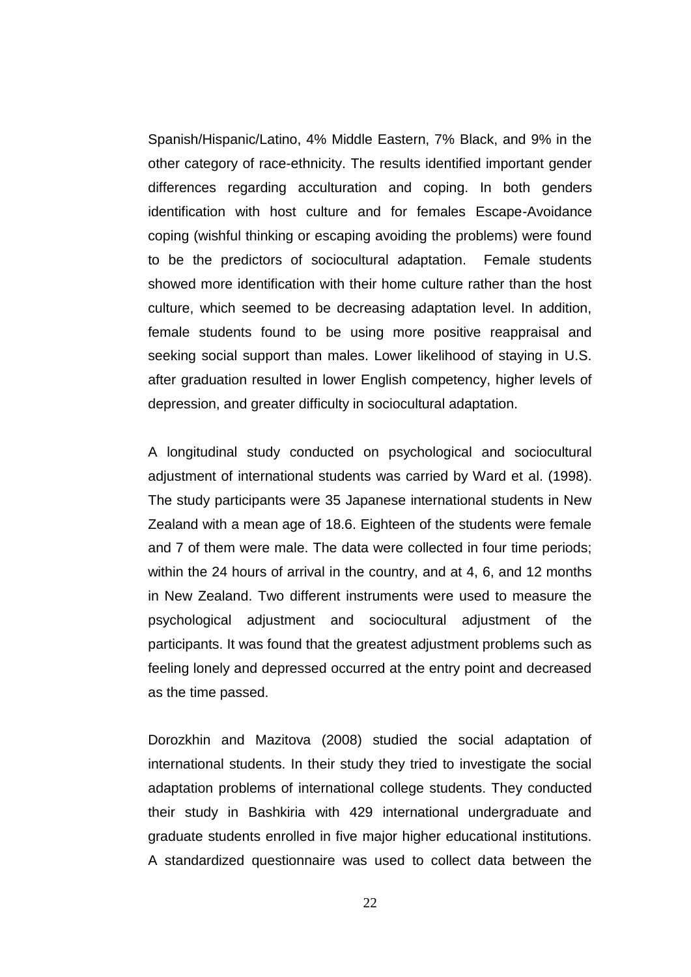Spanish/Hispanic/Latino, 4% Middle Eastern, 7% Black, and 9% in the other category of race-ethnicity. The results identified important gender differences regarding acculturation and coping. In both genders identification with host culture and for females Escape-Avoidance coping (wishful thinking or escaping avoiding the problems) were found to be the predictors of sociocultural adaptation. Female students showed more identification with their home culture rather than the host culture, which seemed to be decreasing adaptation level. In addition, female students found to be using more positive reappraisal and seeking social support than males. Lower likelihood of staying in U.S. after graduation resulted in lower English competency, higher levels of depression, and greater difficulty in sociocultural adaptation.

A longitudinal study conducted on psychological and sociocultural adjustment of international students was carried by Ward et al. (1998). The study participants were 35 Japanese international students in New Zealand with a mean age of 18.6. Eighteen of the students were female and 7 of them were male. The data were collected in four time periods; within the 24 hours of arrival in the country, and at 4, 6, and 12 months in New Zealand. Two different instruments were used to measure the psychological adjustment and sociocultural adjustment of the participants. It was found that the greatest adjustment problems such as feeling lonely and depressed occurred at the entry point and decreased as the time passed.

Dorozkhin and Mazitova (2008) studied the social adaptation of international students. In their study they tried to investigate the social adaptation problems of international college students. They conducted their study in Bashkiria with 429 international undergraduate and graduate students enrolled in five major higher educational institutions. A standardized questionnaire was used to collect data between the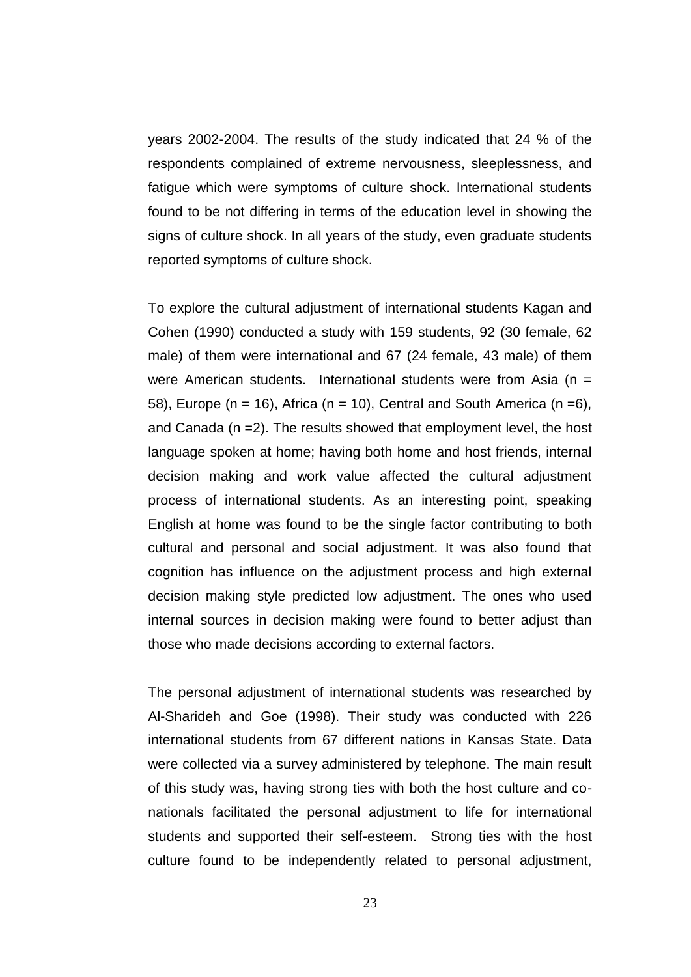years 2002-2004. The results of the study indicated that 24 % of the respondents complained of extreme nervousness, sleeplessness, and fatigue which were symptoms of culture shock. International students found to be not differing in terms of the education level in showing the signs of culture shock. In all years of the study, even graduate students reported symptoms of culture shock.

To explore the cultural adjustment of international students Kagan and Cohen (1990) conducted a study with 159 students, 92 (30 female, 62 male) of them were international and 67 (24 female, 43 male) of them were American students. International students were from Asia ( $n =$ 58), Europe (n = 16), Africa (n = 10), Central and South America (n = 6), and Canada (n =2). The results showed that employment level, the host language spoken at home; having both home and host friends, internal decision making and work value affected the cultural adjustment process of international students. As an interesting point, speaking English at home was found to be the single factor contributing to both cultural and personal and social adjustment. It was also found that cognition has influence on the adjustment process and high external decision making style predicted low adjustment. The ones who used internal sources in decision making were found to better adjust than those who made decisions according to external factors.

The personal adjustment of international students was researched by Al-Sharideh and Goe (1998). Their study was conducted with 226 international students from 67 different nations in Kansas State. Data were collected via a survey administered by telephone. The main result of this study was, having strong ties with both the host culture and conationals facilitated the personal adjustment to life for international students and supported their self-esteem. Strong ties with the host culture found to be independently related to personal adjustment,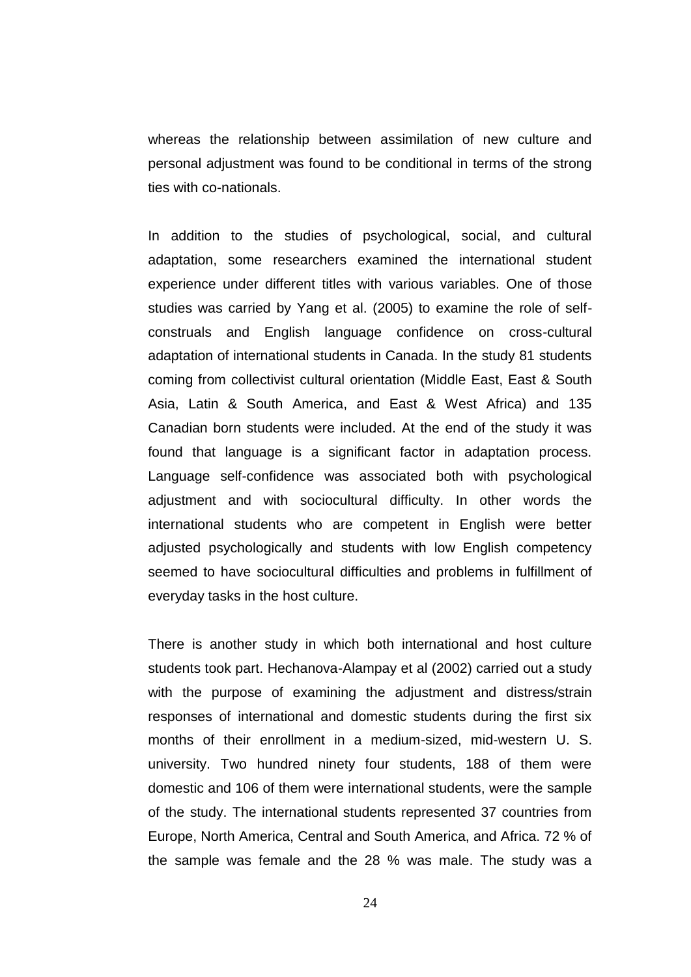whereas the relationship between assimilation of new culture and personal adjustment was found to be conditional in terms of the strong ties with co-nationals.

In addition to the studies of psychological, social, and cultural adaptation, some researchers examined the international student experience under different titles with various variables. One of those studies was carried by Yang et al. (2005) to examine the role of selfconstruals and English language confidence on cross-cultural adaptation of international students in Canada. In the study 81 students coming from collectivist cultural orientation (Middle East, East & South Asia, Latin & South America, and East & West Africa) and 135 Canadian born students were included. At the end of the study it was found that language is a significant factor in adaptation process. Language self-confidence was associated both with psychological adjustment and with sociocultural difficulty. In other words the international students who are competent in English were better adjusted psychologically and students with low English competency seemed to have sociocultural difficulties and problems in fulfillment of everyday tasks in the host culture.

There is another study in which both international and host culture students took part. Hechanova-Alampay et al (2002) carried out a study with the purpose of examining the adjustment and distress/strain responses of international and domestic students during the first six months of their enrollment in a medium-sized, mid-western U. S. university. Two hundred ninety four students, 188 of them were domestic and 106 of them were international students, were the sample of the study. The international students represented 37 countries from Europe, North America, Central and South America, and Africa. 72 % of the sample was female and the 28 % was male. The study was a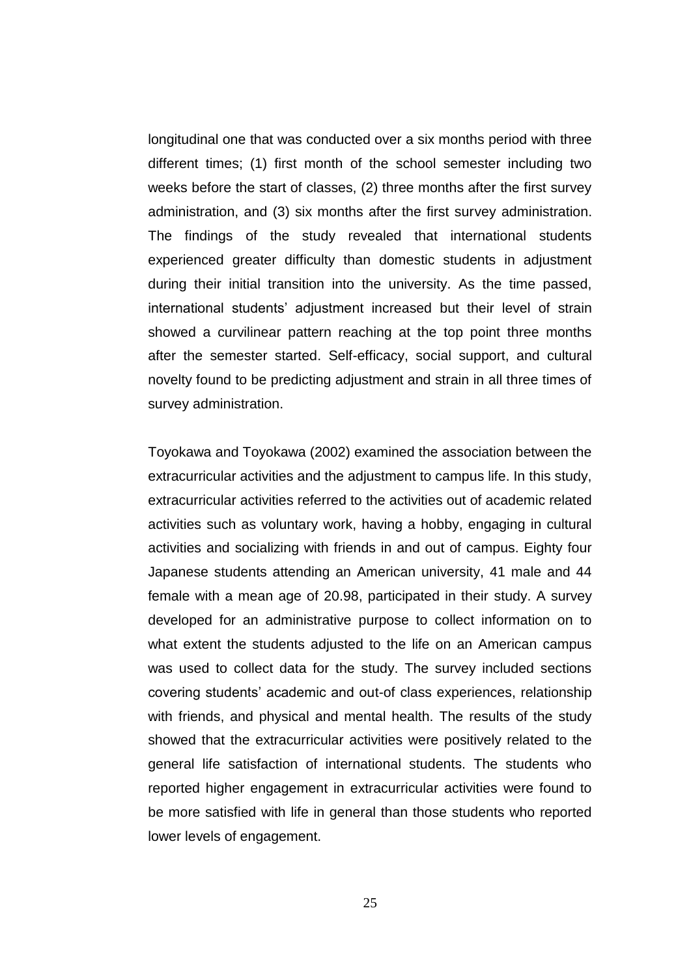longitudinal one that was conducted over a six months period with three different times; (1) first month of the school semester including two weeks before the start of classes, (2) three months after the first survey administration, and (3) six months after the first survey administration. The findings of the study revealed that international students experienced greater difficulty than domestic students in adjustment during their initial transition into the university. As the time passed, international students' adjustment increased but their level of strain showed a curvilinear pattern reaching at the top point three months after the semester started. Self-efficacy, social support, and cultural novelty found to be predicting adjustment and strain in all three times of survey administration.

Toyokawa and Toyokawa (2002) examined the association between the extracurricular activities and the adjustment to campus life. In this study, extracurricular activities referred to the activities out of academic related activities such as voluntary work, having a hobby, engaging in cultural activities and socializing with friends in and out of campus. Eighty four Japanese students attending an American university, 41 male and 44 female with a mean age of 20.98, participated in their study. A survey developed for an administrative purpose to collect information on to what extent the students adjusted to the life on an American campus was used to collect data for the study. The survey included sections covering students" academic and out-of class experiences, relationship with friends, and physical and mental health. The results of the study showed that the extracurricular activities were positively related to the general life satisfaction of international students. The students who reported higher engagement in extracurricular activities were found to be more satisfied with life in general than those students who reported lower levels of engagement.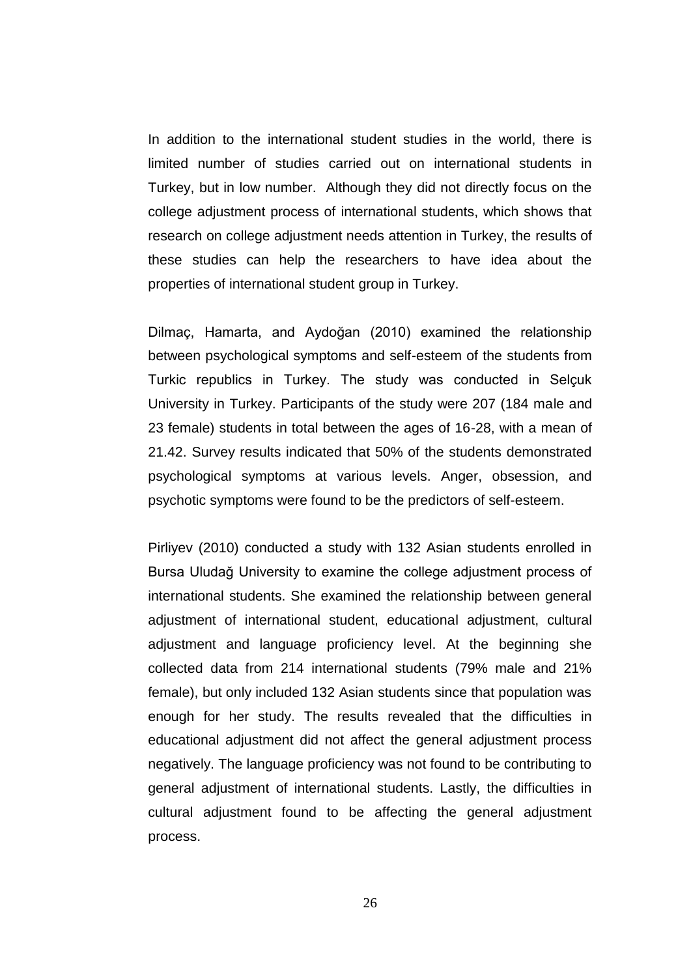In addition to the international student studies in the world, there is limited number of studies carried out on international students in Turkey, but in low number. Although they did not directly focus on the college adjustment process of international students, which shows that research on college adjustment needs attention in Turkey, the results of these studies can help the researchers to have idea about the properties of international student group in Turkey.

Dilmaç, Hamarta, and Aydoğan (2010) examined the relationship between psychological symptoms and self-esteem of the students from Turkic republics in Turkey. The study was conducted in Selçuk University in Turkey. Participants of the study were 207 (184 male and 23 female) students in total between the ages of 16-28, with a mean of 21.42. Survey results indicated that 50% of the students demonstrated psychological symptoms at various levels. Anger, obsession, and psychotic symptoms were found to be the predictors of self-esteem.

Pirliyev (2010) conducted a study with 132 Asian students enrolled in Bursa Uludağ University to examine the college adjustment process of international students. She examined the relationship between general adjustment of international student, educational adjustment, cultural adjustment and language proficiency level. At the beginning she collected data from 214 international students (79% male and 21% female), but only included 132 Asian students since that population was enough for her study. The results revealed that the difficulties in educational adjustment did not affect the general adjustment process negatively. The language proficiency was not found to be contributing to general adjustment of international students. Lastly, the difficulties in cultural adjustment found to be affecting the general adjustment process.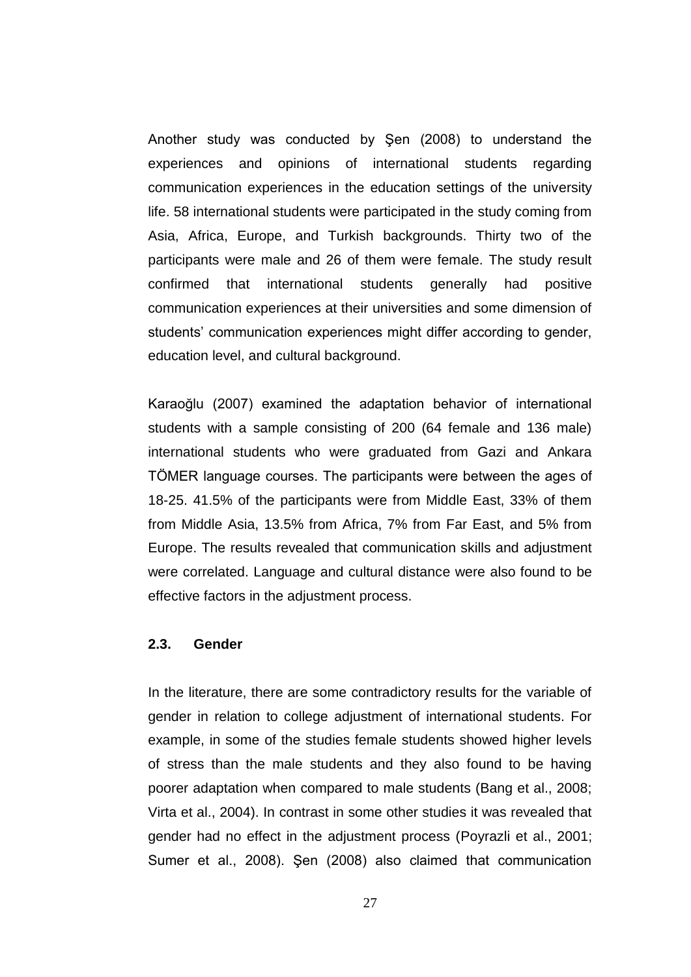Another study was conducted by Şen (2008) to understand the experiences and opinions of international students regarding communication experiences in the education settings of the university life. 58 international students were participated in the study coming from Asia, Africa, Europe, and Turkish backgrounds. Thirty two of the participants were male and 26 of them were female. The study result confirmed that international students generally had positive communication experiences at their universities and some dimension of students' communication experiences might differ according to gender, education level, and cultural background.

Karaoğlu (2007) examined the adaptation behavior of international students with a sample consisting of 200 (64 female and 136 male) international students who were graduated from Gazi and Ankara TÖMER language courses. The participants were between the ages of 18-25. 41.5% of the participants were from Middle East, 33% of them from Middle Asia, 13.5% from Africa, 7% from Far East, and 5% from Europe. The results revealed that communication skills and adjustment were correlated. Language and cultural distance were also found to be effective factors in the adjustment process.

## **2.3. Gender**

In the literature, there are some contradictory results for the variable of gender in relation to college adjustment of international students. For example, in some of the studies female students showed higher levels of stress than the male students and they also found to be having poorer adaptation when compared to male students (Bang et al., 2008; Virta et al., 2004). In contrast in some other studies it was revealed that gender had no effect in the adjustment process (Poyrazli et al., 2001; Sumer et al., 2008). Şen (2008) also claimed that communication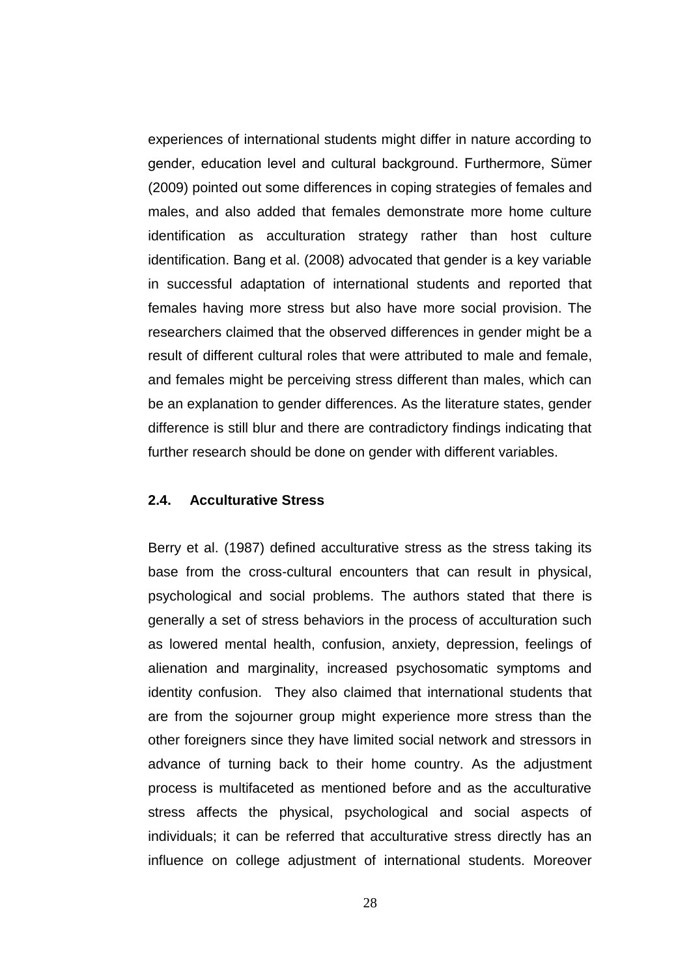experiences of international students might differ in nature according to gender, education level and cultural background. Furthermore, Sümer (2009) pointed out some differences in coping strategies of females and males, and also added that females demonstrate more home culture identification as acculturation strategy rather than host culture identification. Bang et al. (2008) advocated that gender is a key variable in successful adaptation of international students and reported that females having more stress but also have more social provision. The researchers claimed that the observed differences in gender might be a result of different cultural roles that were attributed to male and female, and females might be perceiving stress different than males, which can be an explanation to gender differences. As the literature states, gender difference is still blur and there are contradictory findings indicating that further research should be done on gender with different variables.

## **2.4. Acculturative Stress**

Berry et al. (1987) defined acculturative stress as the stress taking its base from the cross-cultural encounters that can result in physical, psychological and social problems. The authors stated that there is generally a set of stress behaviors in the process of acculturation such as lowered mental health, confusion, anxiety, depression, feelings of alienation and marginality, increased psychosomatic symptoms and identity confusion. They also claimed that international students that are from the sojourner group might experience more stress than the other foreigners since they have limited social network and stressors in advance of turning back to their home country. As the adjustment process is multifaceted as mentioned before and as the acculturative stress affects the physical, psychological and social aspects of individuals; it can be referred that acculturative stress directly has an influence on college adjustment of international students. Moreover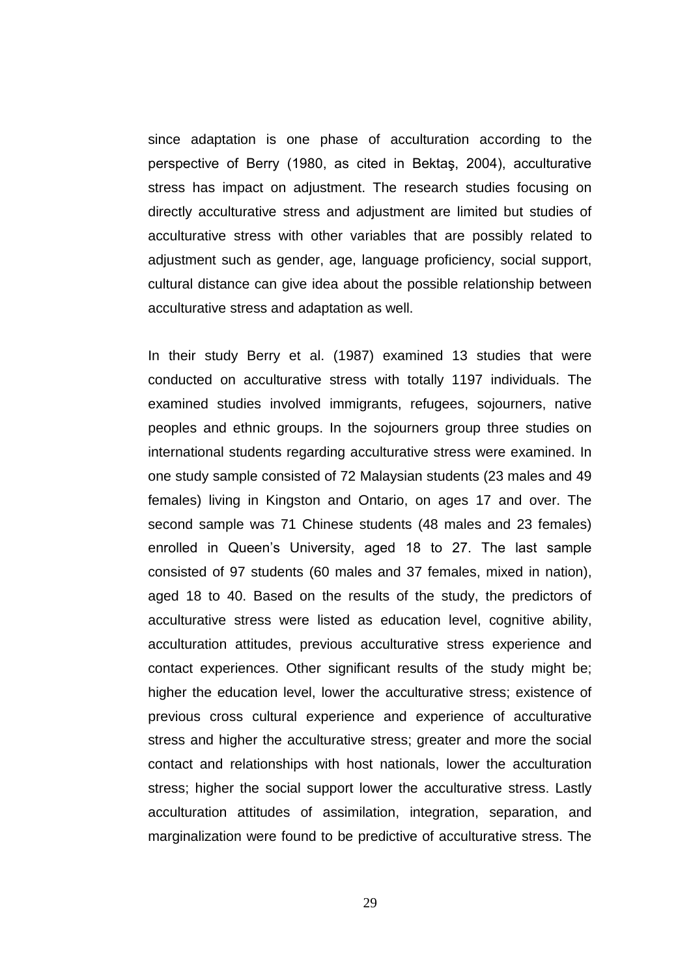since adaptation is one phase of acculturation according to the perspective of Berry (1980, as cited in Bektaş, 2004), acculturative stress has impact on adjustment. The research studies focusing on directly acculturative stress and adjustment are limited but studies of acculturative stress with other variables that are possibly related to adjustment such as gender, age, language proficiency, social support, cultural distance can give idea about the possible relationship between acculturative stress and adaptation as well.

In their study Berry et al. (1987) examined 13 studies that were conducted on acculturative stress with totally 1197 individuals. The examined studies involved immigrants, refugees, sojourners, native peoples and ethnic groups. In the sojourners group three studies on international students regarding acculturative stress were examined. In one study sample consisted of 72 Malaysian students (23 males and 49 females) living in Kingston and Ontario, on ages 17 and over. The second sample was 71 Chinese students (48 males and 23 females) enrolled in Queen"s University, aged 18 to 27. The last sample consisted of 97 students (60 males and 37 females, mixed in nation), aged 18 to 40. Based on the results of the study, the predictors of acculturative stress were listed as education level, cognitive ability, acculturation attitudes, previous acculturative stress experience and contact experiences. Other significant results of the study might be; higher the education level, lower the acculturative stress; existence of previous cross cultural experience and experience of acculturative stress and higher the acculturative stress; greater and more the social contact and relationships with host nationals, lower the acculturation stress; higher the social support lower the acculturative stress. Lastly acculturation attitudes of assimilation, integration, separation, and marginalization were found to be predictive of acculturative stress. The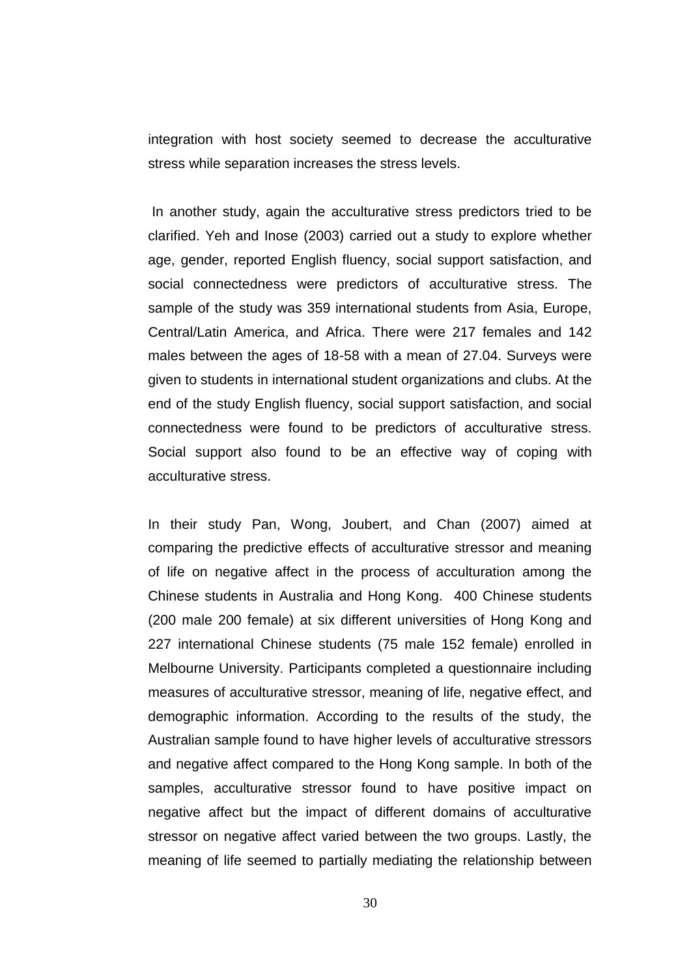integration with host society seemed to decrease the acculturative stress while separation increases the stress levels.

In another study, again the acculturative stress predictors tried to be clarified. Yeh and Inose (2003) carried out a study to explore whether age, gender, reported English fluency, social support satisfaction, and social connectedness were predictors of acculturative stress. The sample of the study was 359 international students from Asia, Europe, Central/Latin America, and Africa. There were 217 females and 142 males between the ages of 18-58 with a mean of 27.04. Surveys were given to students in international student organizations and clubs. At the end of the study English fluency, social support satisfaction, and social connectedness were found to be predictors of acculturative stress. Social support also found to be an effective way of coping with acculturative stress.

In their study Pan, Wong, Joubert, and Chan (2007) aimed at comparing the predictive effects of acculturative stressor and meaning of life on negative affect in the process of acculturation among the Chinese students in Australia and Hong Kong. 400 Chinese students (200 male 200 female) at six different universities of Hong Kong and 227 international Chinese students (75 male 152 female) enrolled in Melbourne University. Participants completed a questionnaire including measures of acculturative stressor, meaning of life, negative effect, and demographic information. According to the results of the study, the Australian sample found to have higher levels of acculturative stressors and negative affect compared to the Hong Kong sample. In both of the samples, acculturative stressor found to have positive impact on negative affect but the impact of different domains of acculturative stressor on negative affect varied between the two groups. Lastly, the meaning of life seemed to partially mediating the relationship between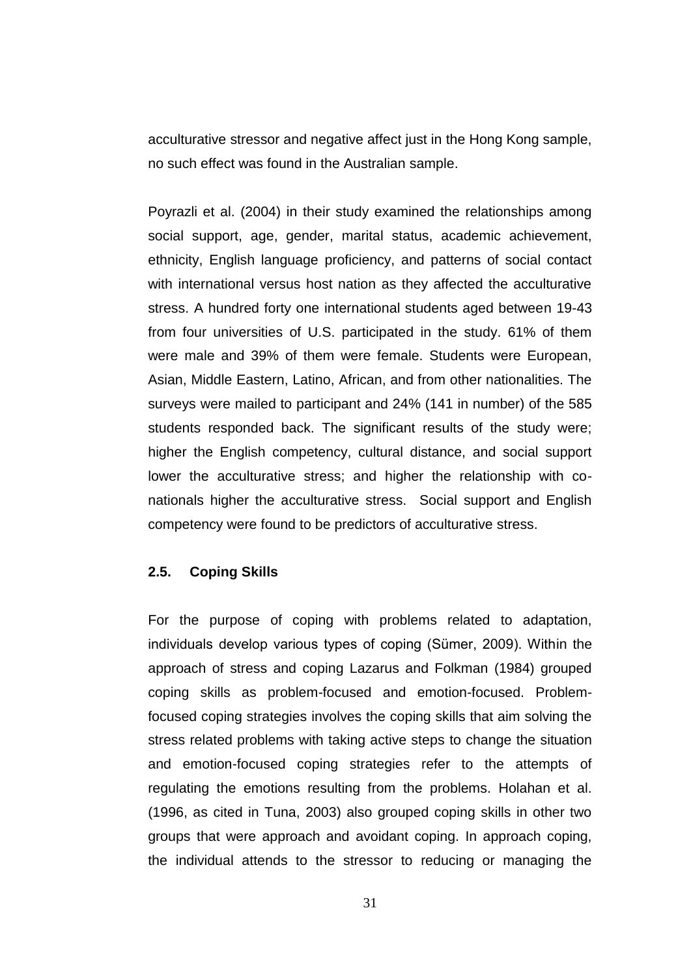acculturative stressor and negative affect just in the Hong Kong sample, no such effect was found in the Australian sample.

Poyrazli et al. (2004) in their study examined the relationships among social support, age, gender, marital status, academic achievement, ethnicity, English language proficiency, and patterns of social contact with international versus host nation as they affected the acculturative stress. A hundred forty one international students aged between 19-43 from four universities of U.S. participated in the study. 61% of them were male and 39% of them were female. Students were European, Asian, Middle Eastern, Latino, African, and from other nationalities. The surveys were mailed to participant and 24% (141 in number) of the 585 students responded back. The significant results of the study were; higher the English competency, cultural distance, and social support lower the acculturative stress; and higher the relationship with conationals higher the acculturative stress. Social support and English competency were found to be predictors of acculturative stress.

## **2.5. Coping Skills**

For the purpose of coping with problems related to adaptation, individuals develop various types of coping (Sümer, 2009). Within the approach of stress and coping Lazarus and Folkman (1984) grouped coping skills as problem-focused and emotion-focused. Problemfocused coping strategies involves the coping skills that aim solving the stress related problems with taking active steps to change the situation and emotion-focused coping strategies refer to the attempts of regulating the emotions resulting from the problems. Holahan et al. (1996, as cited in Tuna, 2003) also grouped coping skills in other two groups that were approach and avoidant coping. In approach coping, the individual attends to the stressor to reducing or managing the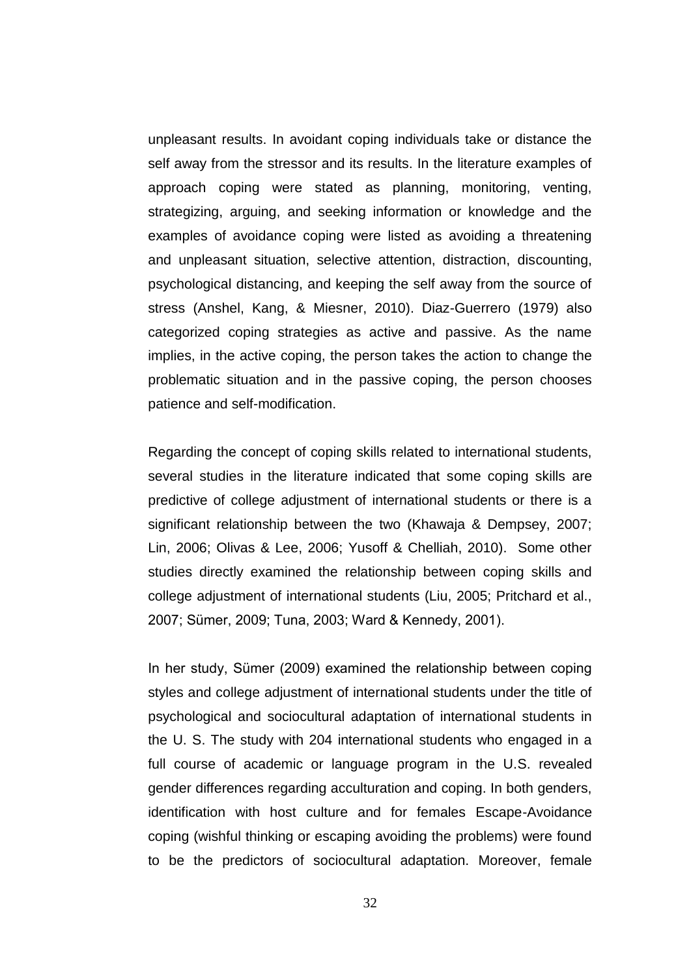unpleasant results. In avoidant coping individuals take or distance the self away from the stressor and its results. In the literature examples of approach coping were stated as planning, monitoring, venting, strategizing, arguing, and seeking information or knowledge and the examples of avoidance coping were listed as avoiding a threatening and unpleasant situation, selective attention, distraction, discounting, psychological distancing, and keeping the self away from the source of stress (Anshel, Kang, & Miesner, 2010). Diaz-Guerrero (1979) also categorized coping strategies as active and passive. As the name implies, in the active coping, the person takes the action to change the problematic situation and in the passive coping, the person chooses patience and self-modification.

Regarding the concept of coping skills related to international students, several studies in the literature indicated that some coping skills are predictive of college adjustment of international students or there is a significant relationship between the two (Khawaja & Dempsey, 2007; Lin, 2006; Olivas & Lee, 2006; Yusoff & Chelliah, 2010). Some other studies directly examined the relationship between coping skills and college adjustment of international students (Liu, 2005; Pritchard et al., 2007; Sümer, 2009; Tuna, 2003; Ward & Kennedy, 2001).

In her study, Sümer (2009) examined the relationship between coping styles and college adjustment of international students under the title of psychological and sociocultural adaptation of international students in the U. S. The study with 204 international students who engaged in a full course of academic or language program in the U.S. revealed gender differences regarding acculturation and coping. In both genders, identification with host culture and for females Escape-Avoidance coping (wishful thinking or escaping avoiding the problems) were found to be the predictors of sociocultural adaptation. Moreover, female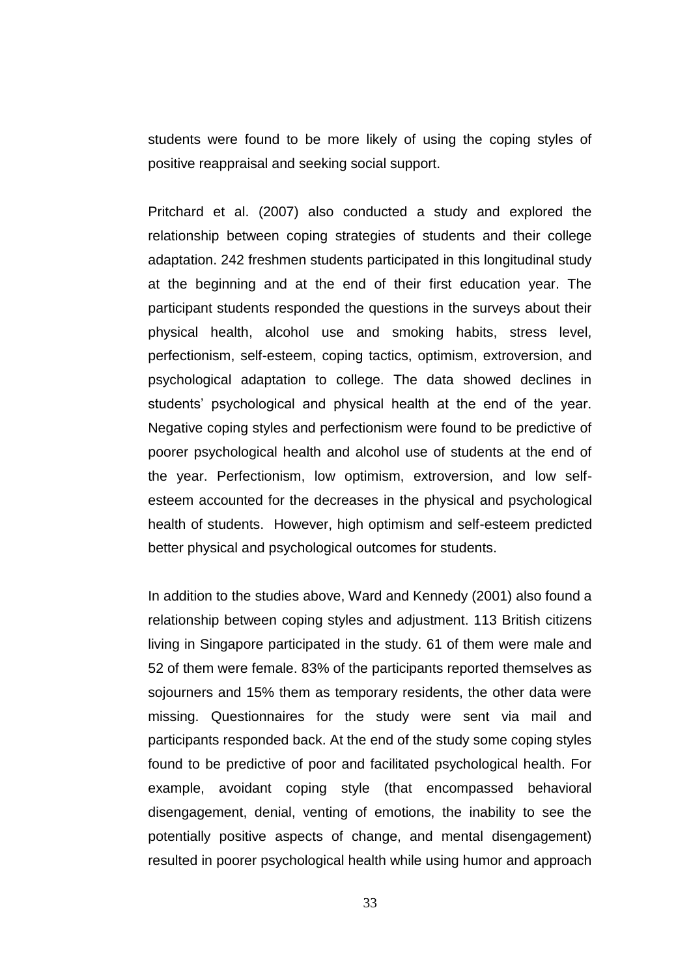students were found to be more likely of using the coping styles of positive reappraisal and seeking social support.

Pritchard et al. (2007) also conducted a study and explored the relationship between coping strategies of students and their college adaptation. 242 freshmen students participated in this longitudinal study at the beginning and at the end of their first education year. The participant students responded the questions in the surveys about their physical health, alcohol use and smoking habits, stress level, perfectionism, self-esteem, coping tactics, optimism, extroversion, and psychological adaptation to college. The data showed declines in students' psychological and physical health at the end of the year. Negative coping styles and perfectionism were found to be predictive of poorer psychological health and alcohol use of students at the end of the year. Perfectionism, low optimism, extroversion, and low selfesteem accounted for the decreases in the physical and psychological health of students. However, high optimism and self-esteem predicted better physical and psychological outcomes for students.

In addition to the studies above, Ward and Kennedy (2001) also found a relationship between coping styles and adjustment. 113 British citizens living in Singapore participated in the study. 61 of them were male and 52 of them were female. 83% of the participants reported themselves as sojourners and 15% them as temporary residents, the other data were missing. Questionnaires for the study were sent via mail and participants responded back. At the end of the study some coping styles found to be predictive of poor and facilitated psychological health. For example, avoidant coping style (that encompassed behavioral disengagement, denial, venting of emotions, the inability to see the potentially positive aspects of change, and mental disengagement) resulted in poorer psychological health while using humor and approach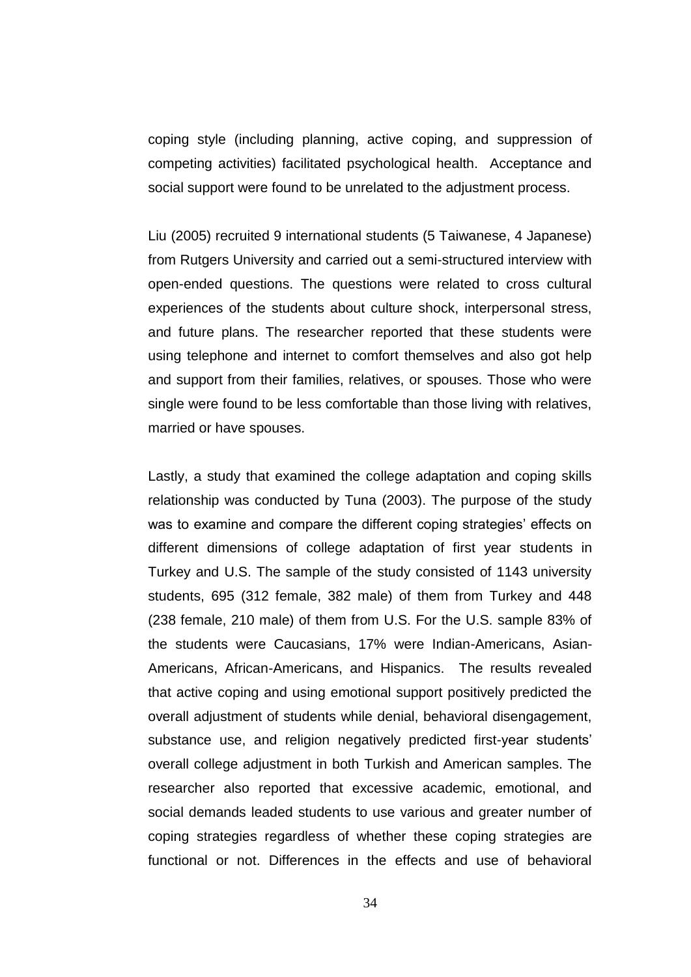coping style (including planning, active coping, and suppression of competing activities) facilitated psychological health. Acceptance and social support were found to be unrelated to the adjustment process.

Liu (2005) recruited 9 international students (5 Taiwanese, 4 Japanese) from Rutgers University and carried out a semi-structured interview with open-ended questions. The questions were related to cross cultural experiences of the students about culture shock, interpersonal stress, and future plans. The researcher reported that these students were using telephone and internet to comfort themselves and also got help and support from their families, relatives, or spouses. Those who were single were found to be less comfortable than those living with relatives, married or have spouses.

Lastly, a study that examined the college adaptation and coping skills relationship was conducted by Tuna (2003). The purpose of the study was to examine and compare the different coping strategies' effects on different dimensions of college adaptation of first year students in Turkey and U.S. The sample of the study consisted of 1143 university students, 695 (312 female, 382 male) of them from Turkey and 448 (238 female, 210 male) of them from U.S. For the U.S. sample 83% of the students were Caucasians, 17% were Indian-Americans, Asian-Americans, African-Americans, and Hispanics. The results revealed that active coping and using emotional support positively predicted the overall adjustment of students while denial, behavioral disengagement, substance use, and religion negatively predicted first-year students' overall college adjustment in both Turkish and American samples. The researcher also reported that excessive academic, emotional, and social demands leaded students to use various and greater number of coping strategies regardless of whether these coping strategies are functional or not. Differences in the effects and use of behavioral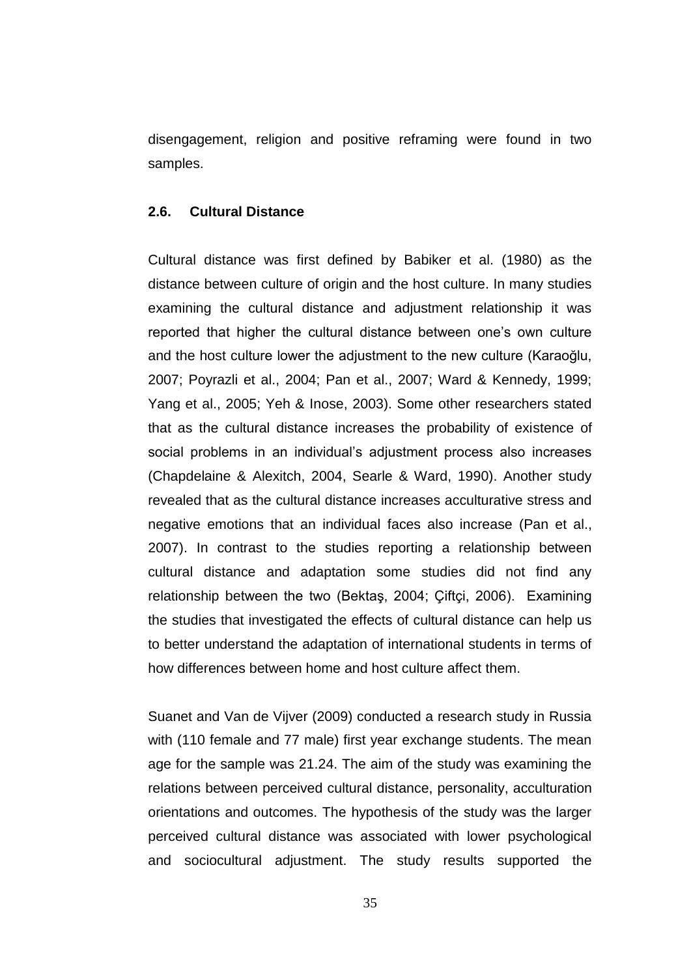disengagement, religion and positive reframing were found in two samples.

## **2.6. Cultural Distance**

Cultural distance was first defined by Babiker et al. (1980) as the distance between culture of origin and the host culture. In many studies examining the cultural distance and adjustment relationship it was reported that higher the cultural distance between one's own culture and the host culture lower the adjustment to the new culture (Karaoğlu, 2007; Poyrazli et al., 2004; Pan et al., 2007; Ward & Kennedy, 1999; Yang et al., 2005; Yeh & Inose, 2003). Some other researchers stated that as the cultural distance increases the probability of existence of social problems in an individual's adjustment process also increases (Chapdelaine & Alexitch, 2004, Searle & Ward, 1990). Another study revealed that as the cultural distance increases acculturative stress and negative emotions that an individual faces also increase (Pan et al., 2007). In contrast to the studies reporting a relationship between cultural distance and adaptation some studies did not find any relationship between the two (Bektaş, 2004; Çiftçi, 2006). Examining the studies that investigated the effects of cultural distance can help us to better understand the adaptation of international students in terms of how differences between home and host culture affect them.

Suanet and Van de Vijver (2009) conducted a research study in Russia with (110 female and 77 male) first year exchange students. The mean age for the sample was 21.24. The aim of the study was examining the relations between perceived cultural distance, personality, acculturation orientations and outcomes. The hypothesis of the study was the larger perceived cultural distance was associated with lower psychological and sociocultural adjustment. The study results supported the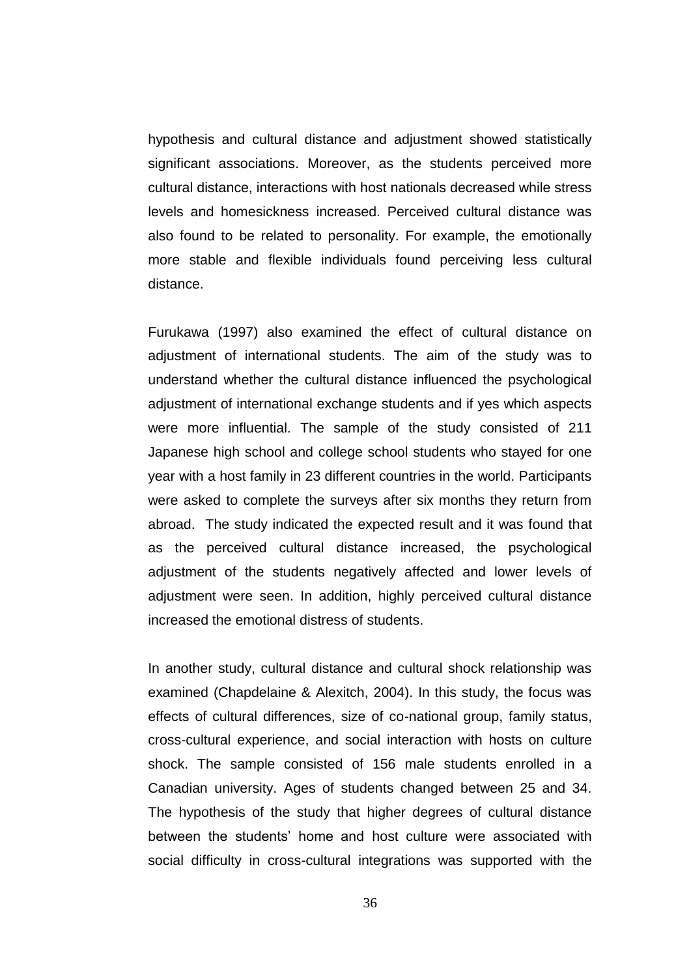hypothesis and cultural distance and adjustment showed statistically significant associations. Moreover, as the students perceived more cultural distance, interactions with host nationals decreased while stress levels and homesickness increased. Perceived cultural distance was also found to be related to personality. For example, the emotionally more stable and flexible individuals found perceiving less cultural distance.

Furukawa (1997) also examined the effect of cultural distance on adjustment of international students. The aim of the study was to understand whether the cultural distance influenced the psychological adjustment of international exchange students and if yes which aspects were more influential. The sample of the study consisted of 211 Japanese high school and college school students who stayed for one year with a host family in 23 different countries in the world. Participants were asked to complete the surveys after six months they return from abroad. The study indicated the expected result and it was found that as the perceived cultural distance increased, the psychological adjustment of the students negatively affected and lower levels of adjustment were seen. In addition, highly perceived cultural distance increased the emotional distress of students.

In another study, cultural distance and cultural shock relationship was examined (Chapdelaine & Alexitch, 2004). In this study, the focus was effects of cultural differences, size of co-national group, family status, cross-cultural experience, and social interaction with hosts on culture shock. The sample consisted of 156 male students enrolled in a Canadian university. Ages of students changed between 25 and 34. The hypothesis of the study that higher degrees of cultural distance between the students" home and host culture were associated with social difficulty in cross-cultural integrations was supported with the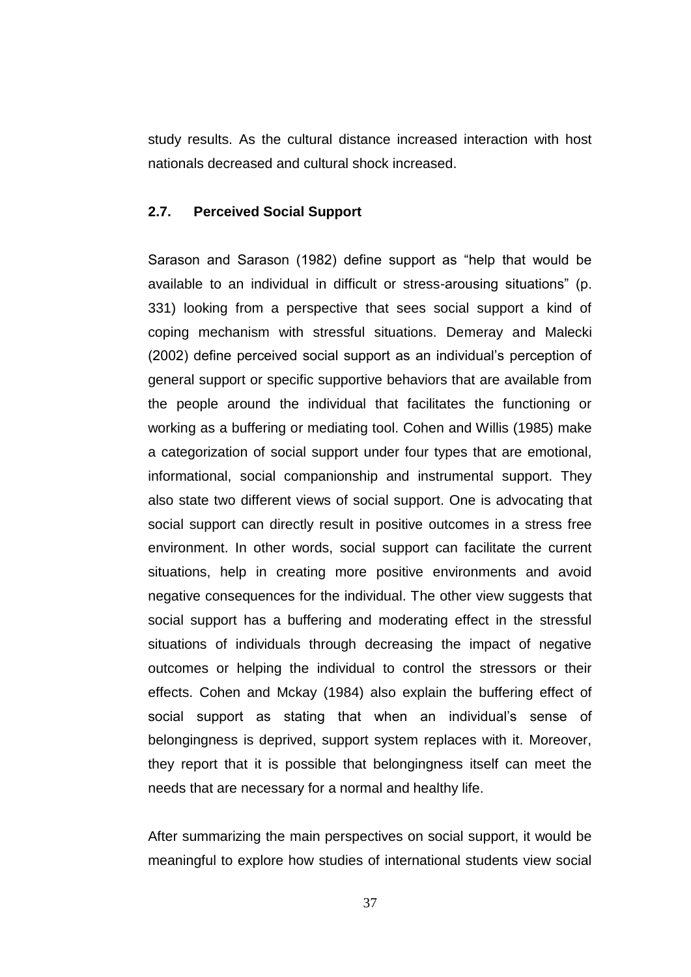study results. As the cultural distance increased interaction with host nationals decreased and cultural shock increased.

## **2.7. Perceived Social Support**

Sarason and Sarason (1982) define support as "help that would be available to an individual in difficult or stress-arousing situations" (p. 331) looking from a perspective that sees social support a kind of coping mechanism with stressful situations. Demeray and Malecki (2002) define perceived social support as an individual"s perception of general support or specific supportive behaviors that are available from the people around the individual that facilitates the functioning or working as a buffering or mediating tool. Cohen and Willis (1985) make a categorization of social support under four types that are emotional, informational, social companionship and instrumental support. They also state two different views of social support. One is advocating that social support can directly result in positive outcomes in a stress free environment. In other words, social support can facilitate the current situations, help in creating more positive environments and avoid negative consequences for the individual. The other view suggests that social support has a buffering and moderating effect in the stressful situations of individuals through decreasing the impact of negative outcomes or helping the individual to control the stressors or their effects. Cohen and Mckay (1984) also explain the buffering effect of social support as stating that when an individual's sense of belongingness is deprived, support system replaces with it. Moreover, they report that it is possible that belongingness itself can meet the needs that are necessary for a normal and healthy life.

After summarizing the main perspectives on social support, it would be meaningful to explore how studies of international students view social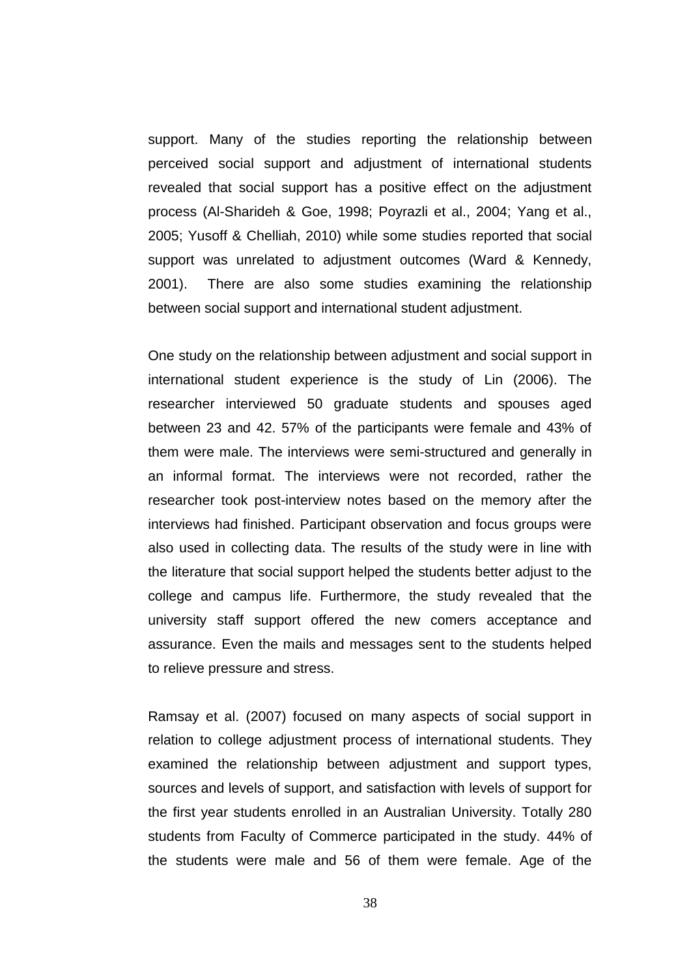support. Many of the studies reporting the relationship between perceived social support and adjustment of international students revealed that social support has a positive effect on the adjustment process (Al-Sharideh & Goe, 1998; Poyrazli et al., 2004; Yang et al., 2005; Yusoff & Chelliah, 2010) while some studies reported that social support was unrelated to adjustment outcomes (Ward & Kennedy, 2001). There are also some studies examining the relationship between social support and international student adjustment.

One study on the relationship between adjustment and social support in international student experience is the study of Lin (2006). The researcher interviewed 50 graduate students and spouses aged between 23 and 42. 57% of the participants were female and 43% of them were male. The interviews were semi-structured and generally in an informal format. The interviews were not recorded, rather the researcher took post-interview notes based on the memory after the interviews had finished. Participant observation and focus groups were also used in collecting data. The results of the study were in line with the literature that social support helped the students better adjust to the college and campus life. Furthermore, the study revealed that the university staff support offered the new comers acceptance and assurance. Even the mails and messages sent to the students helped to relieve pressure and stress.

Ramsay et al. (2007) focused on many aspects of social support in relation to college adjustment process of international students. They examined the relationship between adjustment and support types, sources and levels of support, and satisfaction with levels of support for the first year students enrolled in an Australian University. Totally 280 students from Faculty of Commerce participated in the study. 44% of the students were male and 56 of them were female. Age of the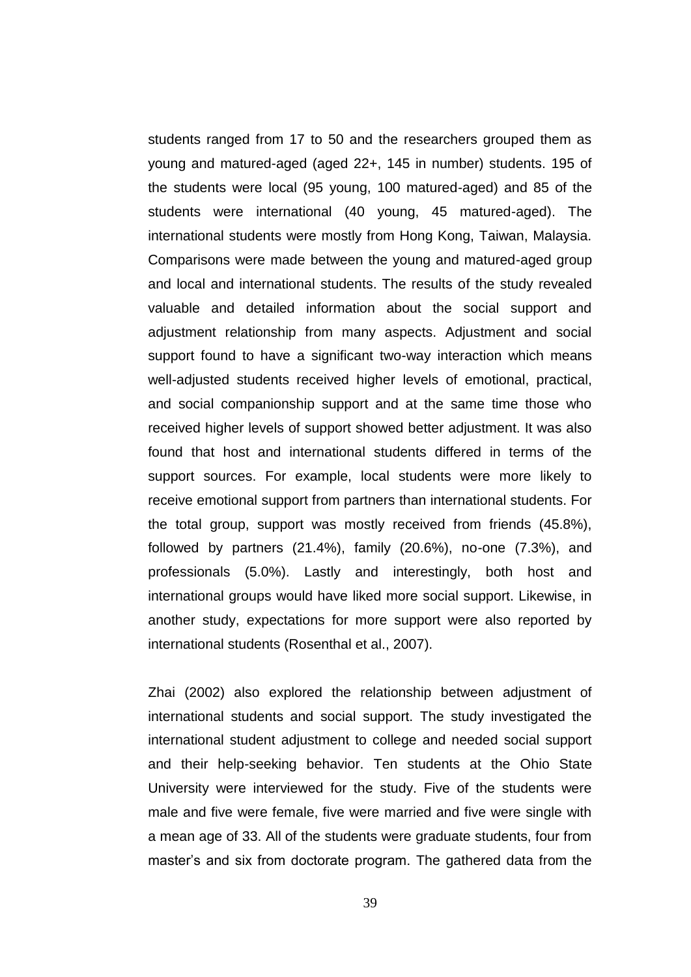students ranged from 17 to 50 and the researchers grouped them as young and matured-aged (aged 22+, 145 in number) students. 195 of the students were local (95 young, 100 matured-aged) and 85 of the students were international (40 young, 45 matured-aged). The international students were mostly from Hong Kong, Taiwan, Malaysia. Comparisons were made between the young and matured-aged group and local and international students. The results of the study revealed valuable and detailed information about the social support and adjustment relationship from many aspects. Adjustment and social support found to have a significant two-way interaction which means well-adjusted students received higher levels of emotional, practical, and social companionship support and at the same time those who received higher levels of support showed better adjustment. It was also found that host and international students differed in terms of the support sources. For example, local students were more likely to receive emotional support from partners than international students. For the total group, support was mostly received from friends (45.8%), followed by partners (21.4%), family (20.6%), no-one (7.3%), and professionals (5.0%). Lastly and interestingly, both host and international groups would have liked more social support. Likewise, in another study, expectations for more support were also reported by international students (Rosenthal et al., 2007).

Zhai (2002) also explored the relationship between adjustment of international students and social support. The study investigated the international student adjustment to college and needed social support and their help-seeking behavior. Ten students at the Ohio State University were interviewed for the study. Five of the students were male and five were female, five were married and five were single with a mean age of 33. All of the students were graduate students, four from master"s and six from doctorate program. The gathered data from the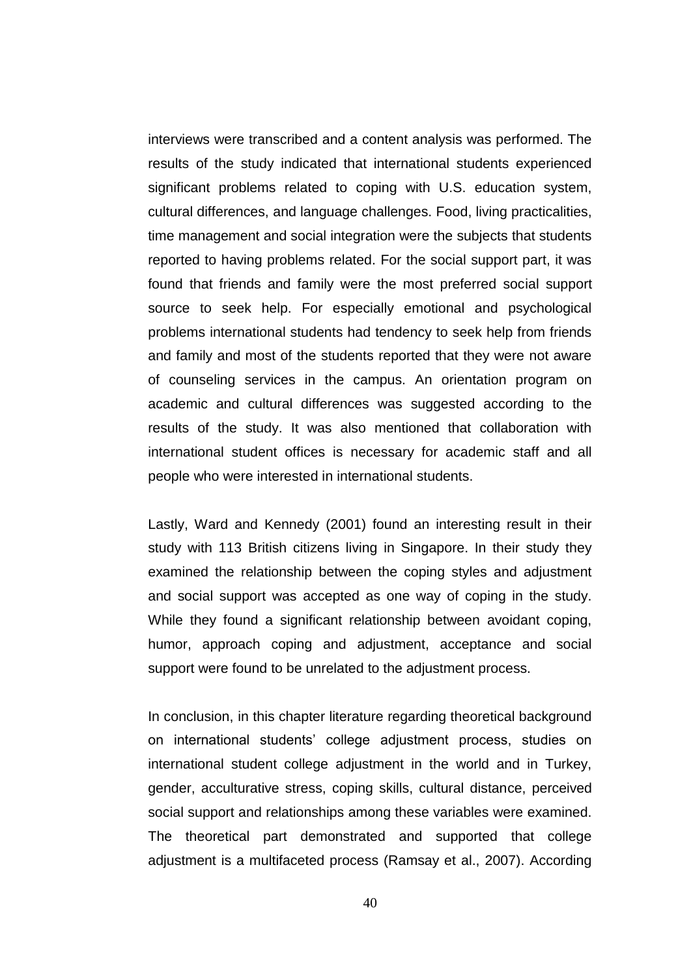interviews were transcribed and a content analysis was performed. The results of the study indicated that international students experienced significant problems related to coping with U.S. education system, cultural differences, and language challenges. Food, living practicalities, time management and social integration were the subjects that students reported to having problems related. For the social support part, it was found that friends and family were the most preferred social support source to seek help. For especially emotional and psychological problems international students had tendency to seek help from friends and family and most of the students reported that they were not aware of counseling services in the campus. An orientation program on academic and cultural differences was suggested according to the results of the study. It was also mentioned that collaboration with international student offices is necessary for academic staff and all people who were interested in international students.

Lastly, Ward and Kennedy (2001) found an interesting result in their study with 113 British citizens living in Singapore. In their study they examined the relationship between the coping styles and adjustment and social support was accepted as one way of coping in the study. While they found a significant relationship between avoidant coping, humor, approach coping and adjustment, acceptance and social support were found to be unrelated to the adjustment process.

In conclusion, in this chapter literature regarding theoretical background on international students" college adjustment process, studies on international student college adjustment in the world and in Turkey, gender, acculturative stress, coping skills, cultural distance, perceived social support and relationships among these variables were examined. The theoretical part demonstrated and supported that college adjustment is a multifaceted process (Ramsay et al., 2007). According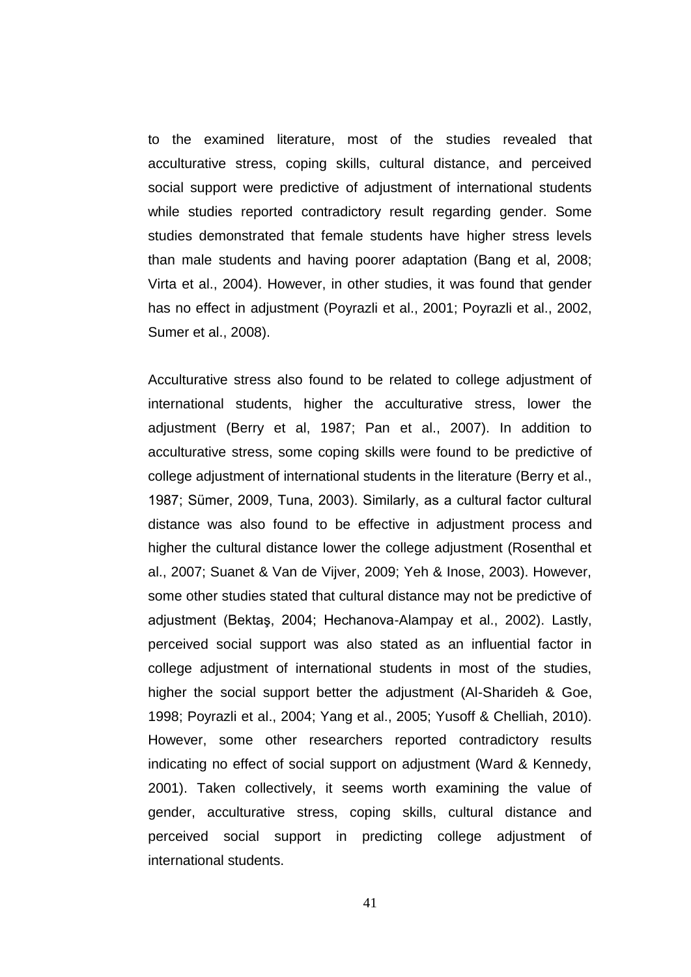to the examined literature, most of the studies revealed that acculturative stress, coping skills, cultural distance, and perceived social support were predictive of adjustment of international students while studies reported contradictory result regarding gender. Some studies demonstrated that female students have higher stress levels than male students and having poorer adaptation (Bang et al, 2008; Virta et al., 2004). However, in other studies, it was found that gender has no effect in adjustment (Poyrazli et al., 2001; Poyrazli et al., 2002, Sumer et al., 2008).

Acculturative stress also found to be related to college adjustment of international students, higher the acculturative stress, lower the adjustment (Berry et al, 1987; Pan et al., 2007). In addition to acculturative stress, some coping skills were found to be predictive of college adjustment of international students in the literature (Berry et al., 1987; Sümer, 2009, Tuna, 2003). Similarly, as a cultural factor cultural distance was also found to be effective in adjustment process and higher the cultural distance lower the college adjustment (Rosenthal et al., 2007; Suanet & Van de Vijver, 2009; Yeh & Inose, 2003). However, some other studies stated that cultural distance may not be predictive of adjustment (Bektaş, 2004; Hechanova-Alampay et al., 2002). Lastly, perceived social support was also stated as an influential factor in college adjustment of international students in most of the studies, higher the social support better the adjustment (Al-Sharideh & Goe, 1998; Poyrazli et al., 2004; Yang et al., 2005; Yusoff & Chelliah, 2010). However, some other researchers reported contradictory results indicating no effect of social support on adjustment (Ward & Kennedy, 2001). Taken collectively, it seems worth examining the value of gender, acculturative stress, coping skills, cultural distance and perceived social support in predicting college adjustment of international students.

41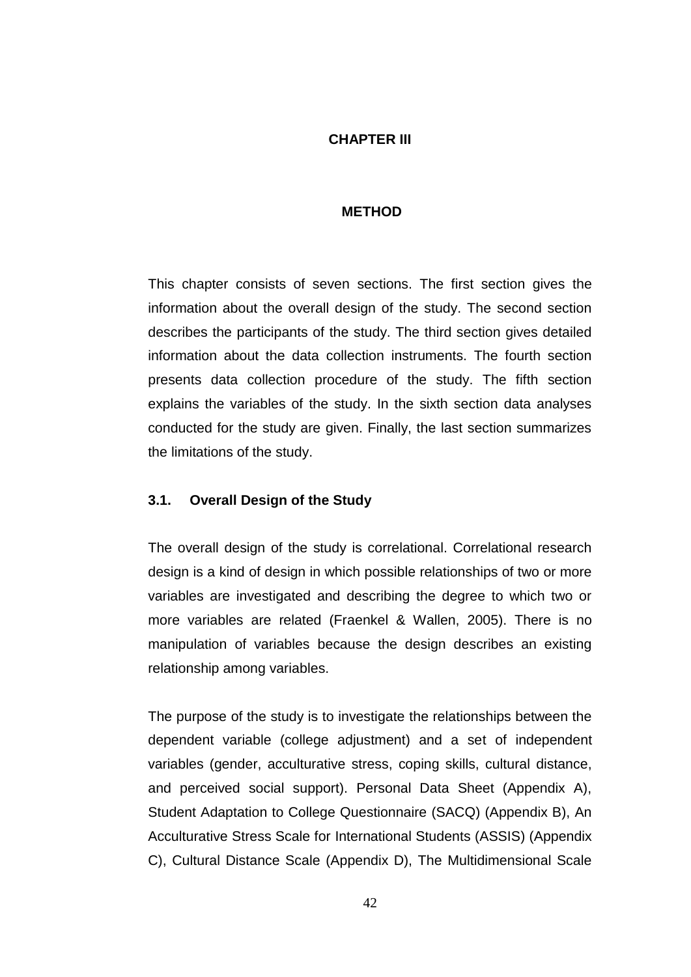## **CHAPTER III**

## **METHOD**

This chapter consists of seven sections. The first section gives the information about the overall design of the study. The second section describes the participants of the study. The third section gives detailed information about the data collection instruments. The fourth section presents data collection procedure of the study. The fifth section explains the variables of the study. In the sixth section data analyses conducted for the study are given. Finally, the last section summarizes the limitations of the study.

### **3.1. Overall Design of the Study**

The overall design of the study is correlational. Correlational research design is a kind of design in which possible relationships of two or more variables are investigated and describing the degree to which two or more variables are related (Fraenkel & Wallen, 2005). There is no manipulation of variables because the design describes an existing relationship among variables.

The purpose of the study is to investigate the relationships between the dependent variable (college adjustment) and a set of independent variables (gender, acculturative stress, coping skills, cultural distance, and perceived social support). Personal Data Sheet (Appendix A), Student Adaptation to College Questionnaire (SACQ) (Appendix B), An Acculturative Stress Scale for International Students (ASSIS) (Appendix C), Cultural Distance Scale (Appendix D), The Multidimensional Scale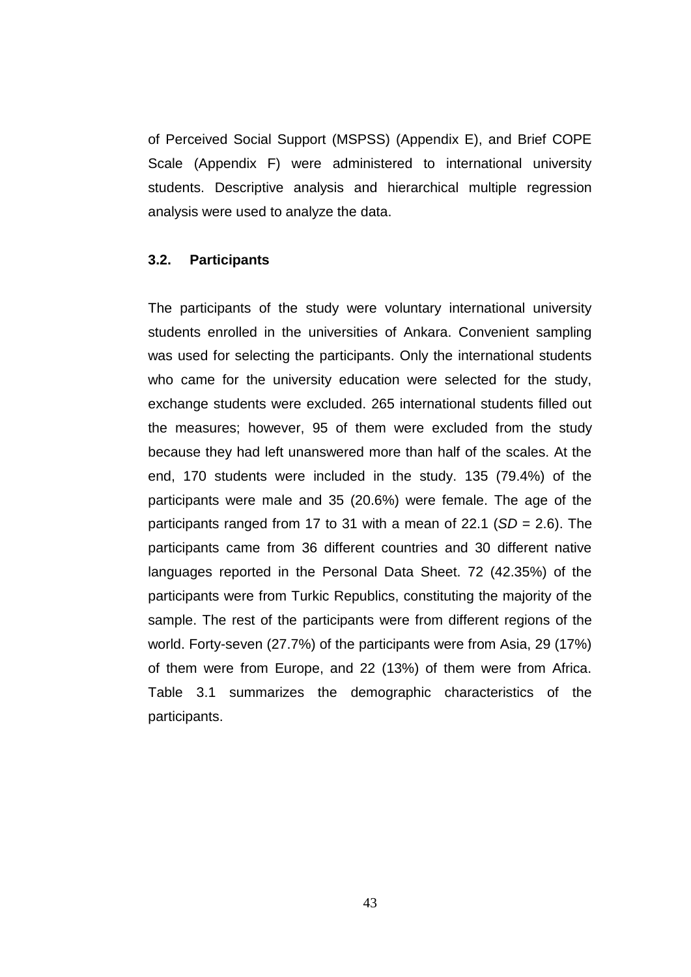of Perceived Social Support (MSPSS) (Appendix E), and Brief COPE Scale (Appendix F) were administered to international university students. Descriptive analysis and hierarchical multiple regression analysis were used to analyze the data.

### **3.2. Participants**

The participants of the study were voluntary international university students enrolled in the universities of Ankara. Convenient sampling was used for selecting the participants. Only the international students who came for the university education were selected for the study, exchange students were excluded. 265 international students filled out the measures; however, 95 of them were excluded from the study because they had left unanswered more than half of the scales. At the end, 170 students were included in the study. 135 (79.4%) of the participants were male and 35 (20.6%) were female. The age of the participants ranged from 17 to 31 with a mean of 22.1 (*SD* = 2.6). The participants came from 36 different countries and 30 different native languages reported in the Personal Data Sheet. 72 (42.35%) of the participants were from Turkic Republics, constituting the majority of the sample. The rest of the participants were from different regions of the world. Forty-seven (27.7%) of the participants were from Asia, 29 (17%) of them were from Europe, and 22 (13%) of them were from Africa. Table 3.1 summarizes the demographic characteristics of the participants.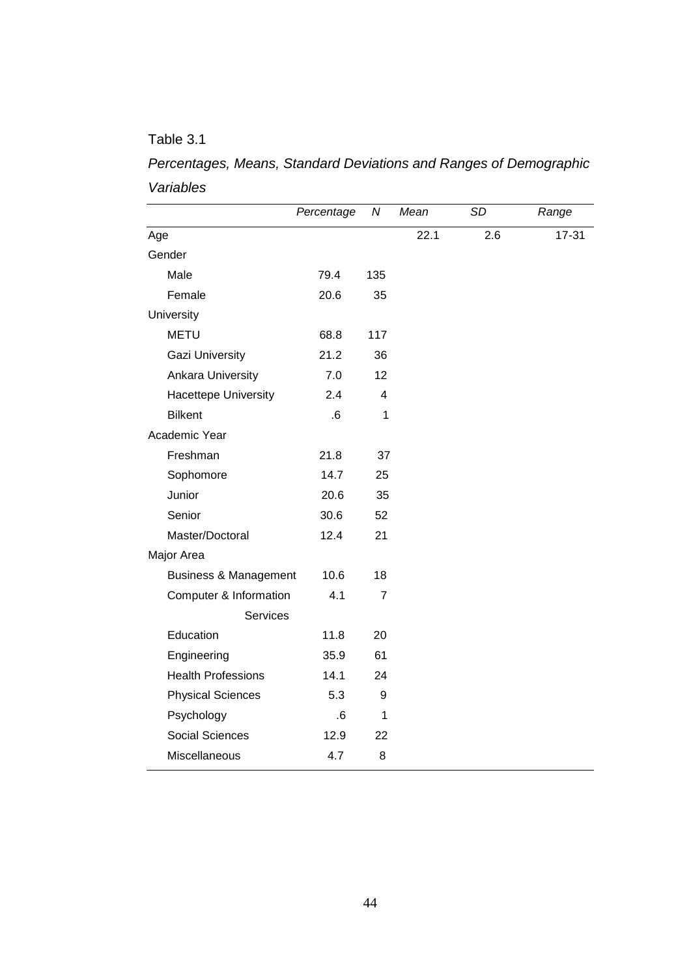## Table 3.1

*Percentages, Means, Standard Deviations and Ranges of Demographic Variables* 

|                                  | Percentage | N              | Mean | SD  | Range     |
|----------------------------------|------------|----------------|------|-----|-----------|
| Age                              |            |                | 22.1 | 2.6 | $17 - 31$ |
| Gender                           |            |                |      |     |           |
| Male                             | 79.4       | 135            |      |     |           |
| Female                           | 20.6       | 35             |      |     |           |
| University                       |            |                |      |     |           |
| <b>METU</b>                      | 68.8       | 117            |      |     |           |
| <b>Gazi University</b>           | 21.2       | 36             |      |     |           |
| <b>Ankara University</b>         | 7.0        | 12             |      |     |           |
| <b>Hacettepe University</b>      | 2.4        | 4              |      |     |           |
| <b>Bilkent</b>                   | .6         | 1              |      |     |           |
| Academic Year                    |            |                |      |     |           |
| Freshman                         | 21.8       | 37             |      |     |           |
| Sophomore                        | 14.7       | 25             |      |     |           |
| Junior                           | 20.6       | 35             |      |     |           |
| Senior                           | 30.6       | 52             |      |     |           |
| Master/Doctoral                  | 12.4       | 21             |      |     |           |
| Major Area                       |            |                |      |     |           |
| <b>Business &amp; Management</b> | 10.6       | 18             |      |     |           |
| Computer & Information           | 4.1        | $\overline{7}$ |      |     |           |
| <b>Services</b>                  |            |                |      |     |           |
| Education                        | 11.8       | 20             |      |     |           |
| Engineering                      | 35.9       | 61             |      |     |           |
| <b>Health Professions</b>        | 14.1       | 24             |      |     |           |
| <b>Physical Sciences</b>         | 5.3        | 9              |      |     |           |
| Psychology                       | 6.6        | 1              |      |     |           |
| Social Sciences                  | 12.9       | 22             |      |     |           |
| Miscellaneous                    | 4.7        | 8              |      |     |           |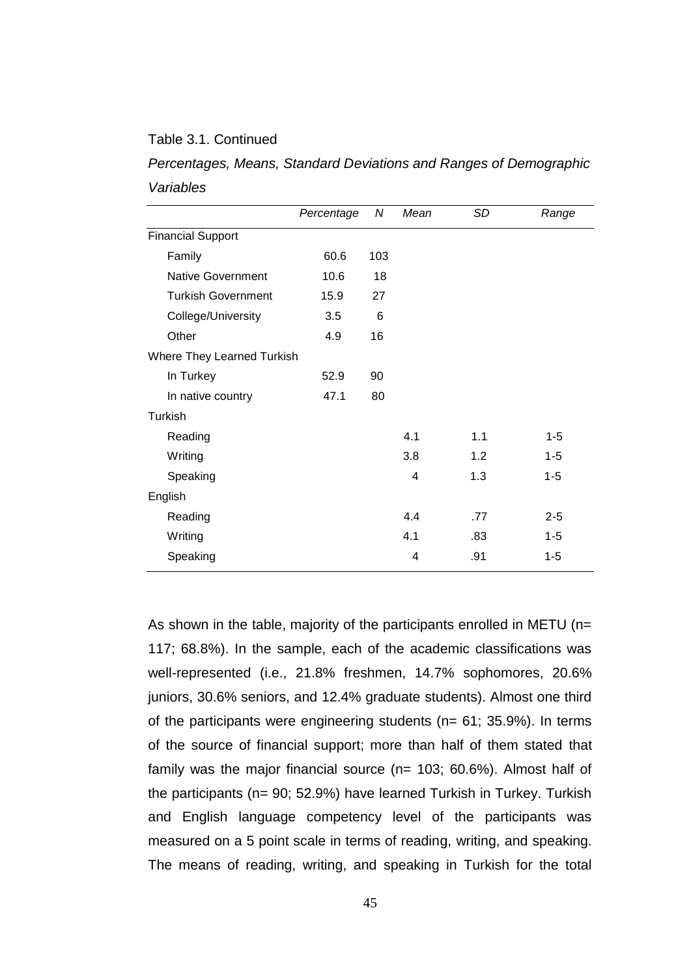## Table 3.1. Continued

Turkish

English

| Variables                  |            |     |      |    |       |
|----------------------------|------------|-----|------|----|-------|
|                            | Percentage | N   | Mean | SD | Range |
| <b>Financial Support</b>   |            |     |      |    |       |
| Family                     | 60.6       | 103 |      |    |       |
| <b>Native Government</b>   | 10.6       | 18  |      |    |       |
| <b>Turkish Government</b>  | 15.9       | 27  |      |    |       |
| College/University         | 3.5        | 6   |      |    |       |
| Other                      | 4.9        | 16  |      |    |       |
| Where They Learned Turkish |            |     |      |    |       |
| In Turkey                  | 52.9       | 90  |      |    |       |
| In native country          | 47.1       | 80  |      |    |       |

Reading 1.1 1.5 Writing 3.8 1.2 1-5 Speaking 1.3 1-5

 Reading 4.4 .77 2-5 Writing 4.1 .83 1-5 Speaking 1-5

| Percentages, Means, Standard Deviations and Ranges of Demographic |  |  |  |  |
|-------------------------------------------------------------------|--|--|--|--|
| Variables                                                         |  |  |  |  |

As shown in the table, majority of the participants enrolled in METU (n= 117; 68.8%). In the sample, each of the academic classifications was well-represented (i.e., 21.8% freshmen, 14.7% sophomores, 20.6% juniors, 30.6% seniors, and 12.4% graduate students). Almost one third of the participants were engineering students (n= 61; 35.9%). In terms of the source of financial support; more than half of them stated that family was the major financial source (n= 103; 60.6%). Almost half of the participants (n= 90; 52.9%) have learned Turkish in Turkey. Turkish and English language competency level of the participants was measured on a 5 point scale in terms of reading, writing, and speaking. The means of reading, writing, and speaking in Turkish for the total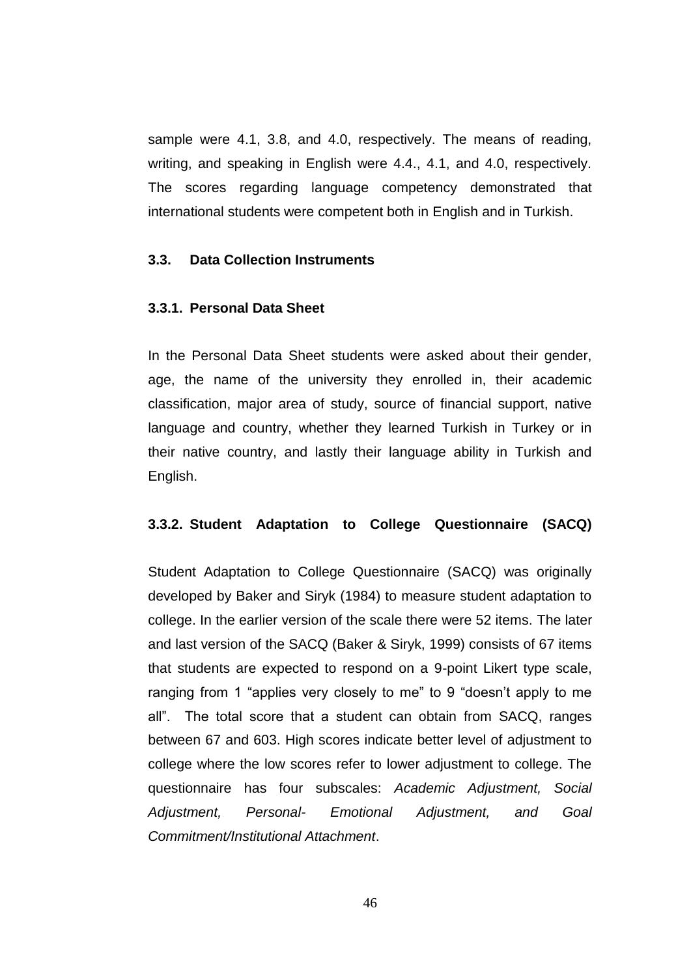sample were 4.1, 3.8, and 4.0, respectively. The means of reading, writing, and speaking in English were 4.4., 4.1, and 4.0, respectively. The scores regarding language competency demonstrated that international students were competent both in English and in Turkish.

## **3.3. Data Collection Instruments**

### **3.3.1. Personal Data Sheet**

In the Personal Data Sheet students were asked about their gender, age, the name of the university they enrolled in, their academic classification, major area of study, source of financial support, native language and country, whether they learned Turkish in Turkey or in their native country, and lastly their language ability in Turkish and English.

#### **3.3.2. Student Adaptation to College Questionnaire (SACQ)**

Student Adaptation to College Questionnaire (SACQ) was originally developed by Baker and Siryk (1984) to measure student adaptation to college. In the earlier version of the scale there were 52 items. The later and last version of the SACQ (Baker & Siryk, 1999) consists of 67 items that students are expected to respond on a 9-point Likert type scale, ranging from 1 "applies very closely to me" to 9 "doesn't apply to me all". The total score that a student can obtain from SACQ, ranges between 67 and 603. High scores indicate better level of adjustment to college where the low scores refer to lower adjustment to college. The questionnaire has four subscales: *Academic Adjustment, Social Adjustment, Personal- Emotional Adjustment, and Goal Commitment/Institutional Attachment*.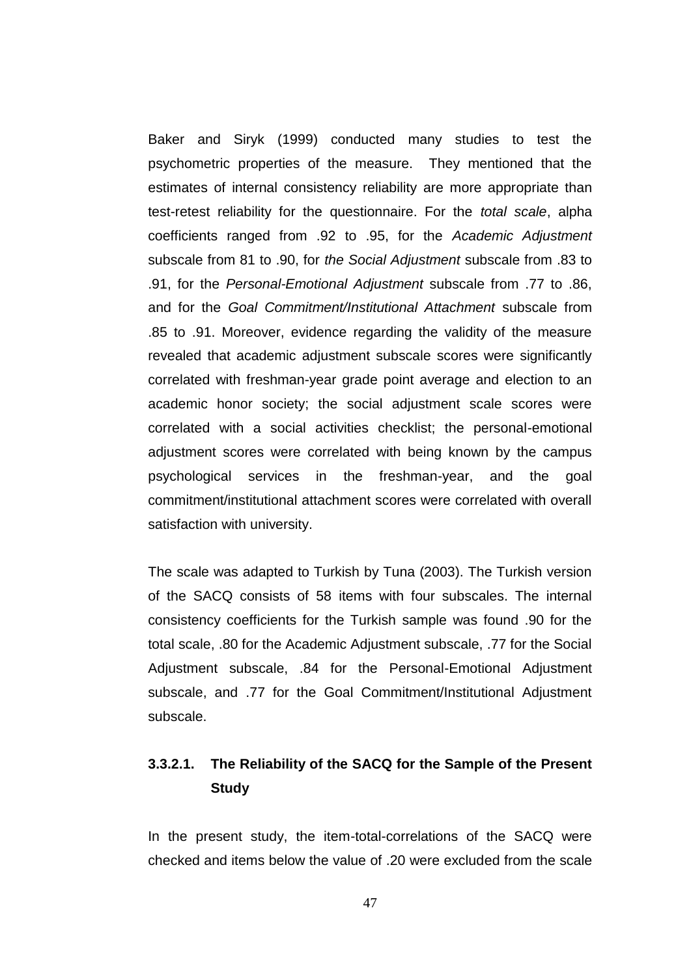Baker and Siryk (1999) conducted many studies to test the psychometric properties of the measure. They mentioned that the estimates of internal consistency reliability are more appropriate than test-retest reliability for the questionnaire. For the *total scale*, alpha coefficients ranged from .92 to .95, for the *Academic Adjustment* subscale from 81 to .90, for *the Social Adjustment* subscale from .83 to .91, for the *Personal-Emotional Adjustment* subscale from .77 to .86, and for the *Goal Commitment/Institutional Attachment* subscale from .85 to .91. Moreover, evidence regarding the validity of the measure revealed that academic adjustment subscale scores were significantly correlated with freshman-year grade point average and election to an academic honor society; the social adjustment scale scores were correlated with a social activities checklist; the personal-emotional adjustment scores were correlated with being known by the campus psychological services in the freshman-year, and the goal commitment/institutional attachment scores were correlated with overall satisfaction with university.

The scale was adapted to Turkish by Tuna (2003). The Turkish version of the SACQ consists of 58 items with four subscales. The internal consistency coefficients for the Turkish sample was found .90 for the total scale, .80 for the Academic Adjustment subscale, .77 for the Social Adjustment subscale, .84 for the Personal-Emotional Adjustment subscale, and .77 for the Goal Commitment/Institutional Adjustment subscale.

## **3.3.2.1. The Reliability of the SACQ for the Sample of the Present Study**

In the present study, the item-total-correlations of the SACQ were checked and items below the value of .20 were excluded from the scale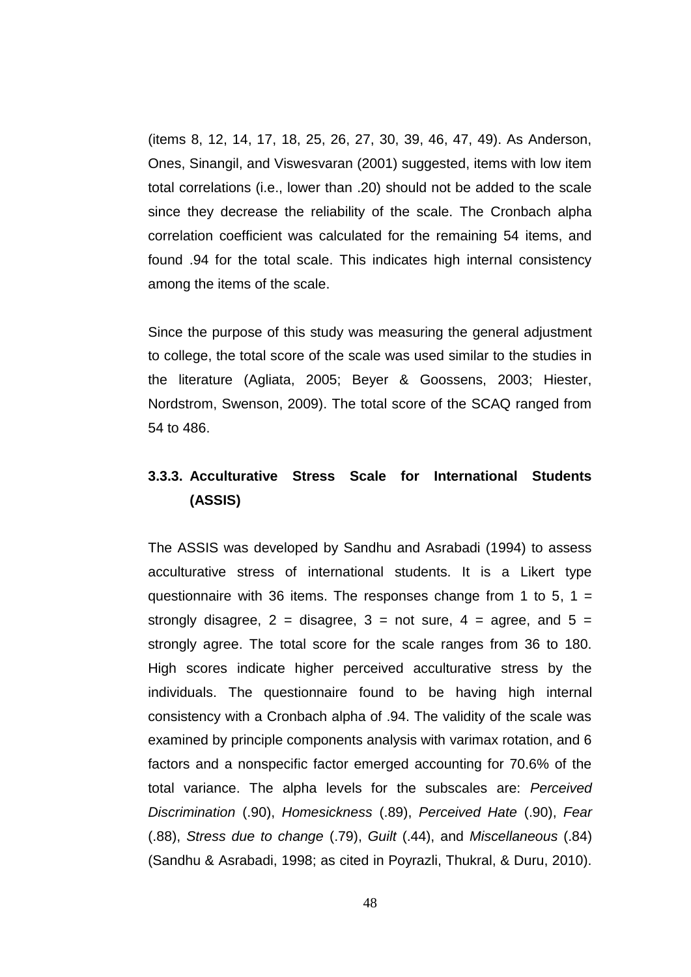(items 8, 12, 14, 17, 18, 25, 26, 27, 30, 39, 46, 47, 49). As Anderson, Ones, Sinangil, and Viswesvaran (2001) suggested, items with low item total correlations (i.e., lower than .20) should not be added to the scale since they decrease the reliability of the scale. The Cronbach alpha correlation coefficient was calculated for the remaining 54 items, and found .94 for the total scale. This indicates high internal consistency among the items of the scale.

Since the purpose of this study was measuring the general adjustment to college, the total score of the scale was used similar to the studies in the literature (Agliata, 2005; Beyer & Goossens, 2003; Hiester, Nordstrom, Swenson, 2009). The total score of the SCAQ ranged from 54 to 486.

## **3.3.3. Acculturative Stress Scale for International Students (ASSIS)**

The ASSIS was developed by Sandhu and Asrabadi (1994) to assess acculturative stress of international students. It is a Likert type questionnaire with 36 items. The responses change from 1 to 5,  $1 =$ strongly disagree,  $2 =$  disagree,  $3 =$  not sure,  $4 =$  agree, and  $5 =$ strongly agree. The total score for the scale ranges from 36 to 180. High scores indicate higher perceived acculturative stress by the individuals. The questionnaire found to be having high internal consistency with a Cronbach alpha of .94. The validity of the scale was examined by principle components analysis with varimax rotation, and 6 factors and a nonspecific factor emerged accounting for 70.6% of the total variance. The alpha levels for the subscales are: *Perceived Discrimination* (.90), *Homesickness* (.89), *Perceived Hate* (.90), *Fear* (.88), *Stress due to change* (.79), *Guilt* (.44), and *Miscellaneous* (.84) (Sandhu & Asrabadi, 1998; as cited in Poyrazli, Thukral, & Duru, 2010).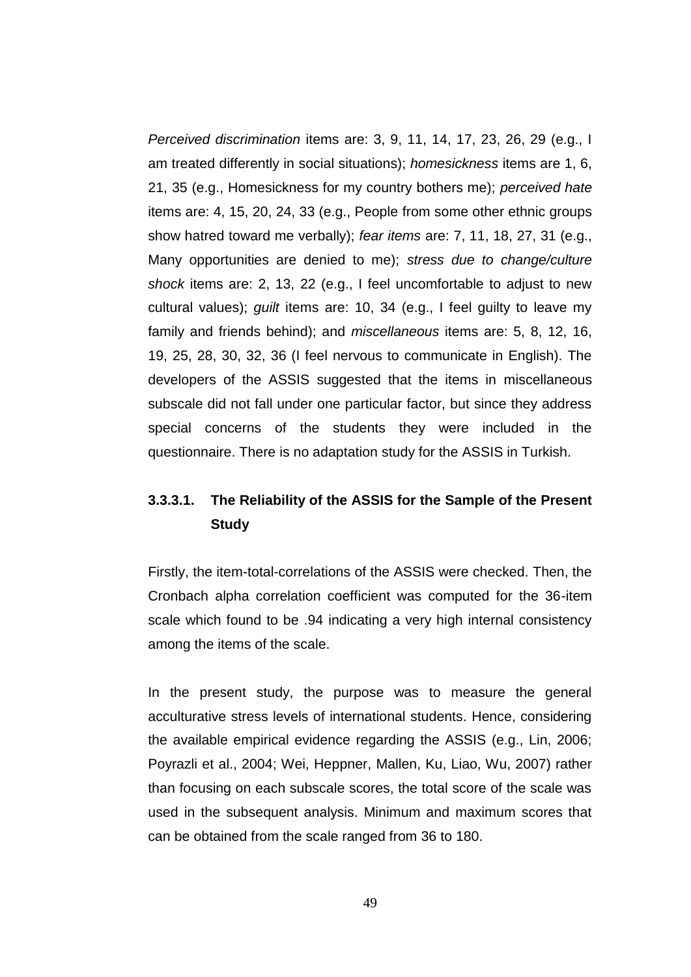*Perceived discrimination* items are: 3, 9, 11, 14, 17, 23, 26, 29 (e.g., I am treated differently in social situations); *homesickness* items are 1, 6, 21, 35 (e.g., Homesickness for my country bothers me); *perceived hate* items are: 4, 15, 20, 24, 33 (e.g., People from some other ethnic groups show hatred toward me verbally); *fear items* are: 7, 11, 18, 27, 31 (e.g., Many opportunities are denied to me); *stress due to change/culture shock* items are: 2, 13, 22 (e.g., I feel uncomfortable to adjust to new cultural values); *guilt* items are: 10, 34 (e.g., I feel guilty to leave my family and friends behind); and *miscellaneous* items are: 5, 8, 12, 16, 19, 25, 28, 30, 32, 36 (I feel nervous to communicate in English). The developers of the ASSIS suggested that the items in miscellaneous subscale did not fall under one particular factor, but since they address special concerns of the students they were included in the questionnaire. There is no adaptation study for the ASSIS in Turkish.

## **3.3.3.1. The Reliability of the ASSIS for the Sample of the Present Study**

Firstly, the item-total-correlations of the ASSIS were checked. Then, the Cronbach alpha correlation coefficient was computed for the 36-item scale which found to be .94 indicating a very high internal consistency among the items of the scale.

In the present study, the purpose was to measure the general acculturative stress levels of international students. Hence, considering the available empirical evidence regarding the ASSIS (e.g., Lin, 2006; Poyrazli et al., 2004; Wei, Heppner, Mallen, Ku, Liao, Wu, 2007) rather than focusing on each subscale scores, the total score of the scale was used in the subsequent analysis. Minimum and maximum scores that can be obtained from the scale ranged from 36 to 180.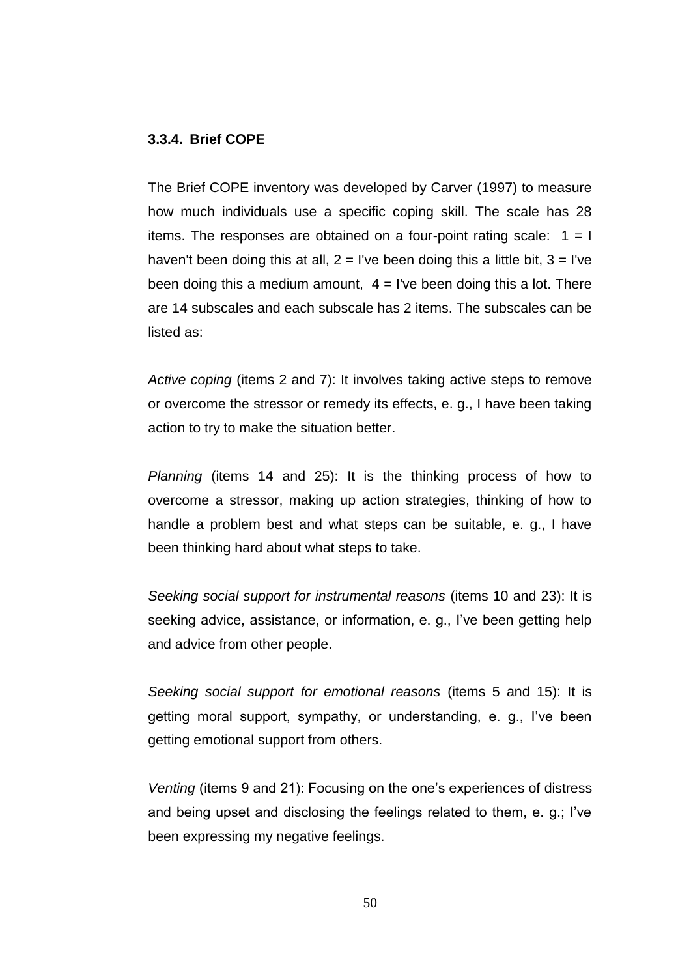## **3.3.4. Brief COPE**

The Brief COPE inventory was developed by Carver (1997) to measure how much individuals use a specific coping skill. The scale has 28 items. The responses are obtained on a four-point rating scale:  $1 = 1$ haven't been doing this at all,  $2 = 1$ 've been doing this a little bit,  $3 = 1$ 've been doing this a medium amount,  $4 = I$  ve been doing this a lot. There are 14 subscales and each subscale has 2 items. The subscales can be listed as:

*Active coping* (items 2 and 7): It involves taking active steps to remove or overcome the stressor or remedy its effects, e. g., I have been taking action to try to make the situation better.

*Planning* (items 14 and 25): It is the thinking process of how to overcome a stressor, making up action strategies, thinking of how to handle a problem best and what steps can be suitable, e. g., I have been thinking hard about what steps to take.

*Seeking social support for instrumental reasons* (items 10 and 23): It is seeking advice, assistance, or information, e. g., I've been getting help and advice from other people.

*Seeking social support for emotional reasons* (items 5 and 15): It is getting moral support, sympathy, or understanding, e. g., I"ve been getting emotional support from others.

*Venting* (items 9 and 21): Focusing on the one"s experiences of distress and being upset and disclosing the feelings related to them, e. g.; I"ve been expressing my negative feelings.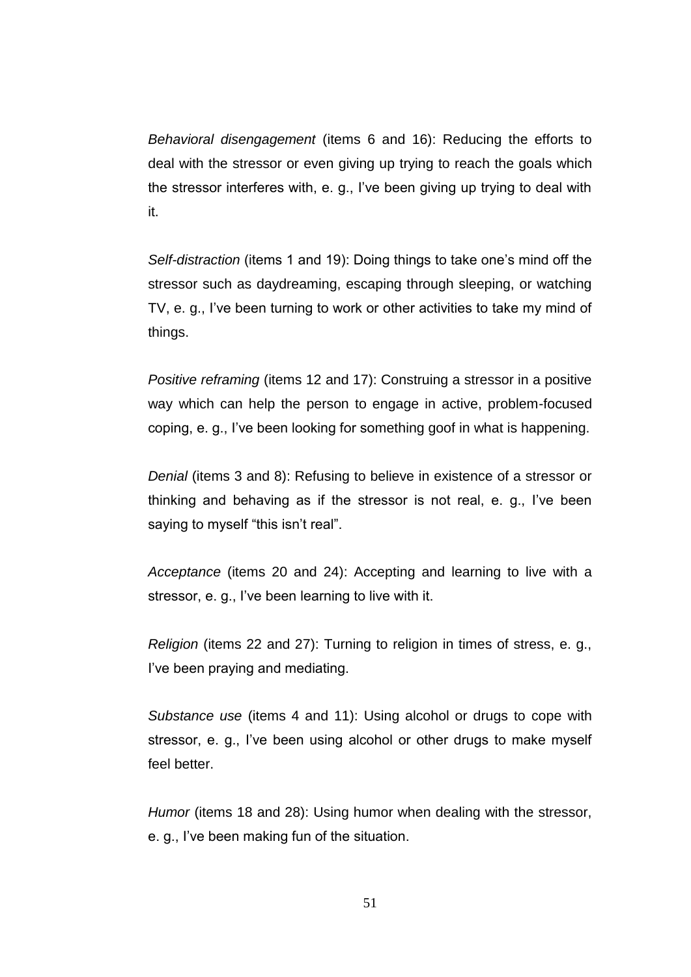*Behavioral disengagement* (items 6 and 16): Reducing the efforts to deal with the stressor or even giving up trying to reach the goals which the stressor interferes with, e. g., I"ve been giving up trying to deal with it.

*Self-distraction* (items 1 and 19): Doing things to take one"s mind off the stressor such as daydreaming, escaping through sleeping, or watching TV, e. g., I've been turning to work or other activities to take my mind of things.

*Positive reframing* (items 12 and 17): Construing a stressor in a positive way which can help the person to engage in active, problem-focused coping, e. g., I"ve been looking for something goof in what is happening.

*Denial* (items 3 and 8): Refusing to believe in existence of a stressor or thinking and behaving as if the stressor is not real, e. g., I"ve been saying to myself "this isn't real".

*Acceptance* (items 20 and 24): Accepting and learning to live with a stressor, e.g., I've been learning to live with it.

*Religion* (items 22 and 27): Turning to religion in times of stress, e. g., I've been praying and mediating.

*Substance use* (items 4 and 11): Using alcohol or drugs to cope with stressor, e. g., I've been using alcohol or other drugs to make myself feel better.

*Humor* (items 18 and 28): Using humor when dealing with the stressor, e. g., I"ve been making fun of the situation.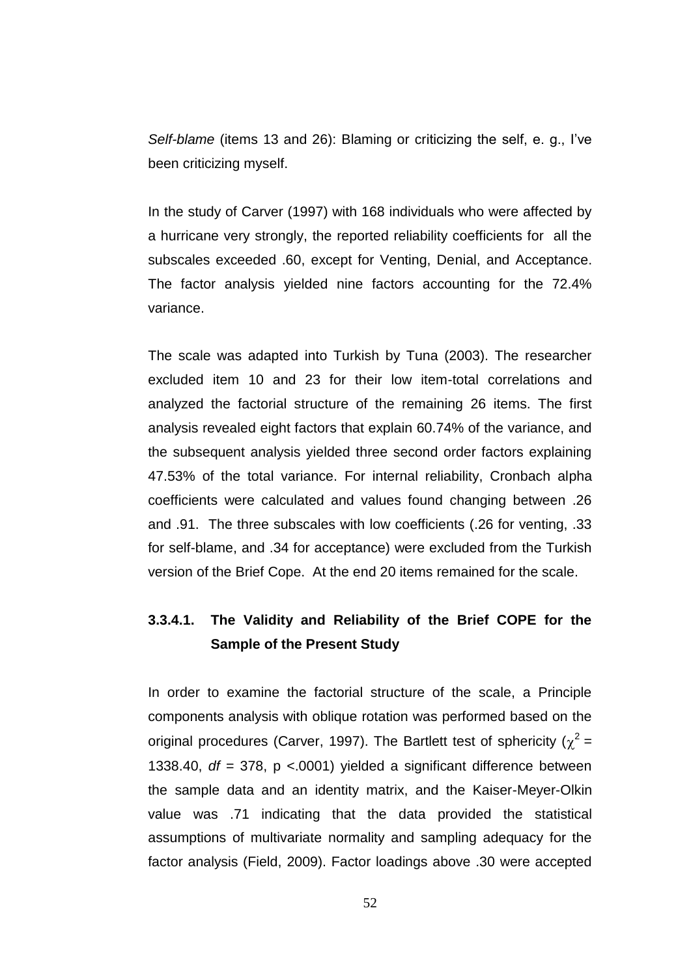*Self-blame* (items 13 and 26): Blaming or criticizing the self, e. g., I"ve been criticizing myself.

In the study of Carver (1997) with 168 individuals who were affected by a hurricane very strongly, the reported reliability coefficients for all the subscales exceeded .60, except for Venting, Denial, and Acceptance. The factor analysis yielded nine factors accounting for the 72.4% variance.

The scale was adapted into Turkish by Tuna (2003). The researcher excluded item 10 and 23 for their low item-total correlations and analyzed the factorial structure of the remaining 26 items. The first analysis revealed eight factors that explain 60.74% of the variance, and the subsequent analysis yielded three second order factors explaining 47.53% of the total variance. For internal reliability, Cronbach alpha coefficients were calculated and values found changing between .26 and .91. The three subscales with low coefficients (.26 for venting, .33 for self-blame, and .34 for acceptance) were excluded from the Turkish version of the Brief Cope. At the end 20 items remained for the scale.

## **3.3.4.1. The Validity and Reliability of the Brief COPE for the Sample of the Present Study**

In order to examine the factorial structure of the scale, a Principle components analysis with oblique rotation was performed based on the original procedures (Carver, 1997). The Bartlett test of sphericity ( $\chi^2$  = 1338.40, *df* = 378, p <.0001) yielded a significant difference between the sample data and an identity matrix, and the Kaiser-Meyer-Olkin value was .71 indicating that the data provided the statistical assumptions of multivariate normality and sampling adequacy for the factor analysis (Field, 2009). Factor loadings above .30 were accepted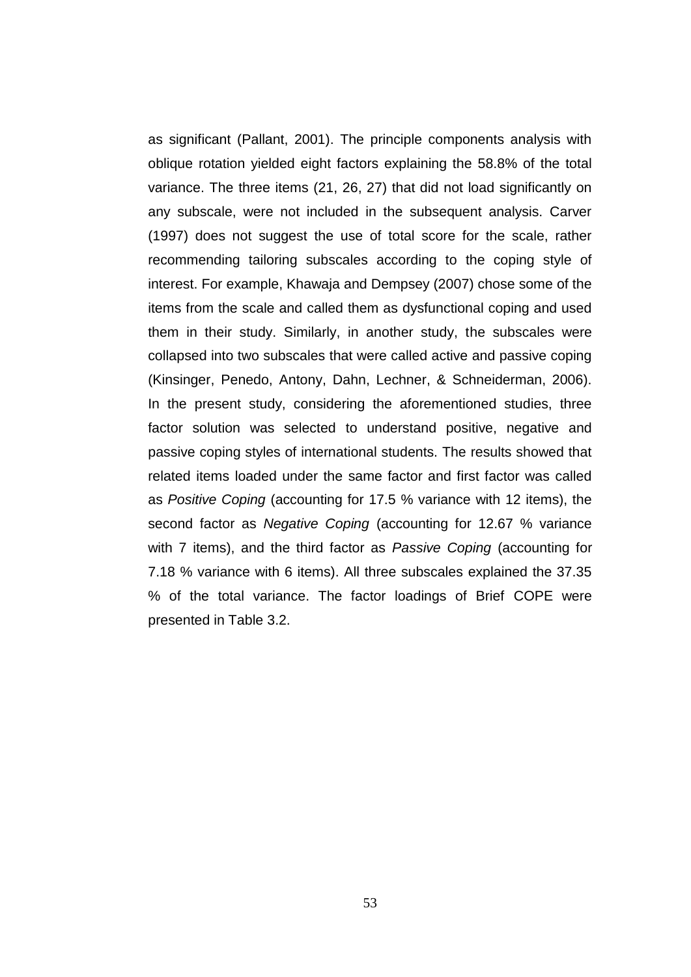as significant (Pallant, 2001). The principle components analysis with oblique rotation yielded eight factors explaining the 58.8% of the total variance. The three items (21, 26, 27) that did not load significantly on any subscale, were not included in the subsequent analysis. Carver (1997) does not suggest the use of total score for the scale, rather recommending tailoring subscales according to the coping style of interest. For example, Khawaja and Dempsey (2007) chose some of the items from the scale and called them as dysfunctional coping and used them in their study. Similarly, in another study, the subscales were collapsed into two subscales that were called active and passive coping (Kinsinger, Penedo, Antony, Dahn, Lechner, & Schneiderman, 2006). In the present study, considering the aforementioned studies, three factor solution was selected to understand positive, negative and passive coping styles of international students. The results showed that related items loaded under the same factor and first factor was called as *Positive Coping* (accounting for 17.5 % variance with 12 items), the second factor as *Negative Coping* (accounting for 12.67 % variance with 7 items), and the third factor as *Passive Coping* (accounting for 7.18 % variance with 6 items). All three subscales explained the 37.35 % of the total variance. The factor loadings of Brief COPE were presented in Table 3.2.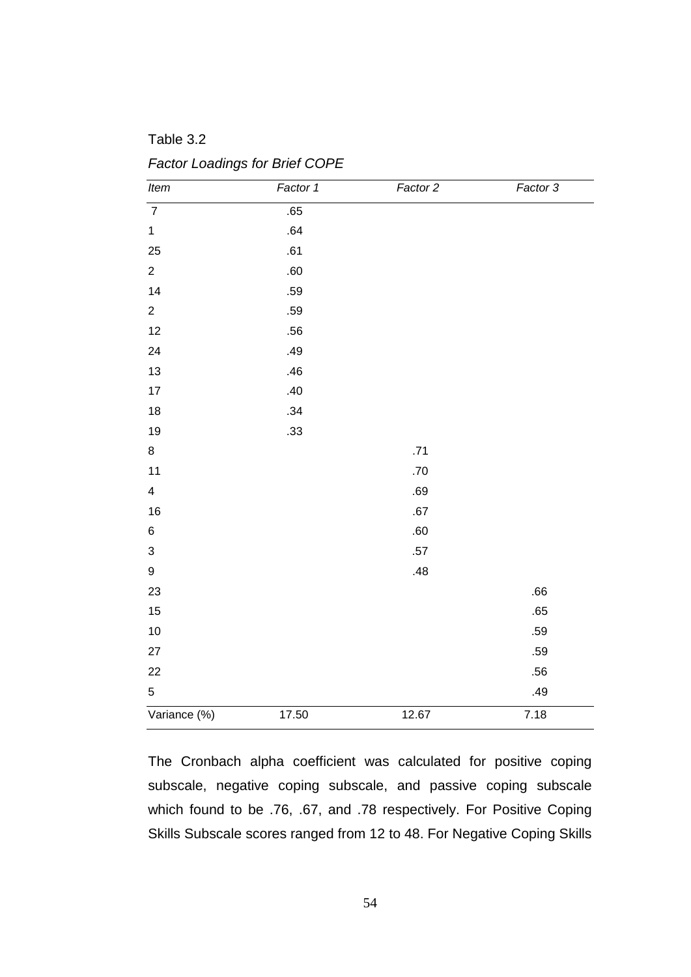Table 3.2

*Factor Loadings for Brief COPE* 

| Item             | Factor 1 | Factor 2 | Factor 3 |
|------------------|----------|----------|----------|
| $\overline{7}$   | .65      |          |          |
| $\mathbf{1}$     | .64      |          |          |
| 25               | .61      |          |          |
| $\overline{2}$   | .60      |          |          |
| 14               | .59      |          |          |
| $\overline{2}$   | .59      |          |          |
| 12               | .56      |          |          |
| 24               | .49      |          |          |
| 13               | .46      |          |          |
| 17               | .40      |          |          |
| 18               | .34      |          |          |
| 19               | .33      |          |          |
| 8                |          | .71      |          |
| 11               |          | .70      |          |
| $\overline{4}$   |          | .69      |          |
| 16               |          | .67      |          |
| $\,6\,$          |          | .60      |          |
| $\sqrt{3}$       |          | $.57\,$  |          |
| $\boldsymbol{9}$ |          | .48      |          |
| 23               |          |          | .66      |
| 15               |          |          | .65      |
| 10               |          |          | .59      |
| 27               |          |          | .59      |
| 22               |          |          | .56      |
| $\sqrt{5}$       |          |          | .49      |
| Variance (%)     | 17.50    | 12.67    | 7.18     |

The Cronbach alpha coefficient was calculated for positive coping subscale, negative coping subscale, and passive coping subscale which found to be .76, .67, and .78 respectively. For Positive Coping Skills Subscale scores ranged from 12 to 48. For Negative Coping Skills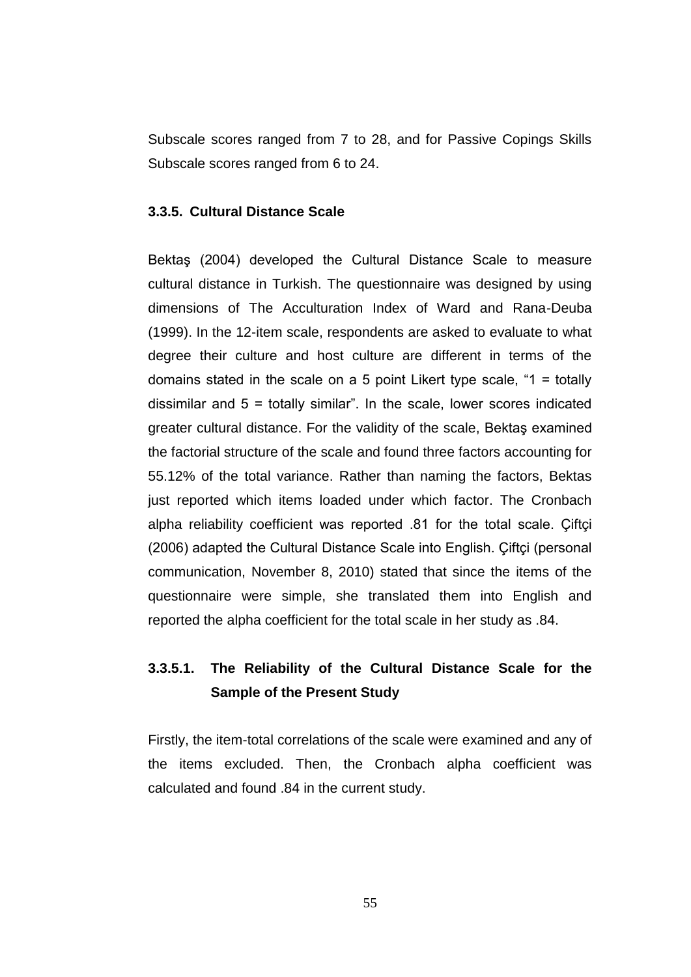Subscale scores ranged from 7 to 28, and for Passive Copings Skills Subscale scores ranged from 6 to 24.

## **3.3.5. Cultural Distance Scale**

Bektaş (2004) developed the Cultural Distance Scale to measure cultural distance in Turkish. The questionnaire was designed by using dimensions of The Acculturation Index of Ward and Rana-Deuba (1999). In the 12-item scale, respondents are asked to evaluate to what degree their culture and host culture are different in terms of the domains stated in the scale on a 5 point Likert type scale, "1 = totally dissimilar and 5 = totally similar". In the scale, lower scores indicated greater cultural distance. For the validity of the scale, Bektaş examined the factorial structure of the scale and found three factors accounting for 55.12% of the total variance. Rather than naming the factors, Bektas just reported which items loaded under which factor. The Cronbach alpha reliability coefficient was reported .81 for the total scale. Çiftçi (2006) adapted the Cultural Distance Scale into English. Çiftçi (personal communication, November 8, 2010) stated that since the items of the questionnaire were simple, she translated them into English and reported the alpha coefficient for the total scale in her study as .84.

## **3.3.5.1. The Reliability of the Cultural Distance Scale for the Sample of the Present Study**

Firstly, the item-total correlations of the scale were examined and any of the items excluded. Then, the Cronbach alpha coefficient was calculated and found .84 in the current study.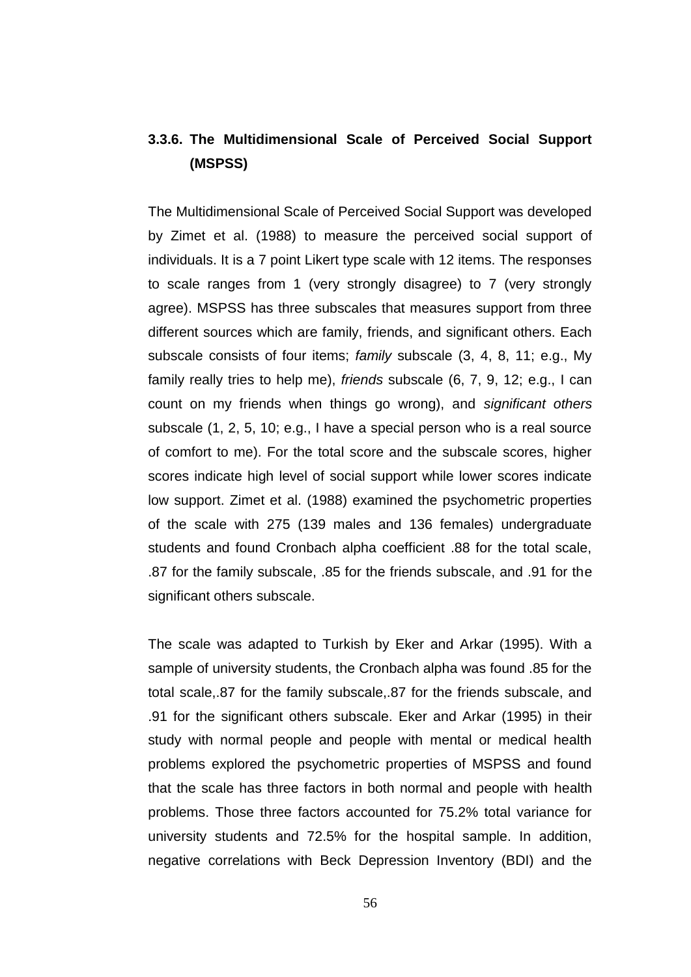# **3.3.6. The Multidimensional Scale of Perceived Social Support (MSPSS)**

The Multidimensional Scale of Perceived Social Support was developed by Zimet et al. (1988) to measure the perceived social support of individuals. It is a 7 point Likert type scale with 12 items. The responses to scale ranges from 1 (very strongly disagree) to 7 (very strongly agree). MSPSS has three subscales that measures support from three different sources which are family, friends, and significant others. Each subscale consists of four items; *family* subscale (3, 4, 8, 11; e.g., My family really tries to help me), *friends* subscale (6, 7, 9, 12; e.g., I can count on my friends when things go wrong), and *significant others* subscale (1, 2, 5, 10; e.g., I have a special person who is a real source of comfort to me). For the total score and the subscale scores, higher scores indicate high level of social support while lower scores indicate low support. Zimet et al. (1988) examined the psychometric properties of the scale with 275 (139 males and 136 females) undergraduate students and found Cronbach alpha coefficient .88 for the total scale, .87 for the family subscale, .85 for the friends subscale, and .91 for the significant others subscale.

The scale was adapted to Turkish by Eker and Arkar (1995). With a sample of university students, the Cronbach alpha was found .85 for the total scale,.87 for the family subscale,.87 for the friends subscale, and .91 for the significant others subscale. Eker and Arkar (1995) in their study with normal people and people with mental or medical health problems explored the psychometric properties of MSPSS and found that the scale has three factors in both normal and people with health problems. Those three factors accounted for 75.2% total variance for university students and 72.5% for the hospital sample. In addition, negative correlations with Beck Depression Inventory (BDI) and the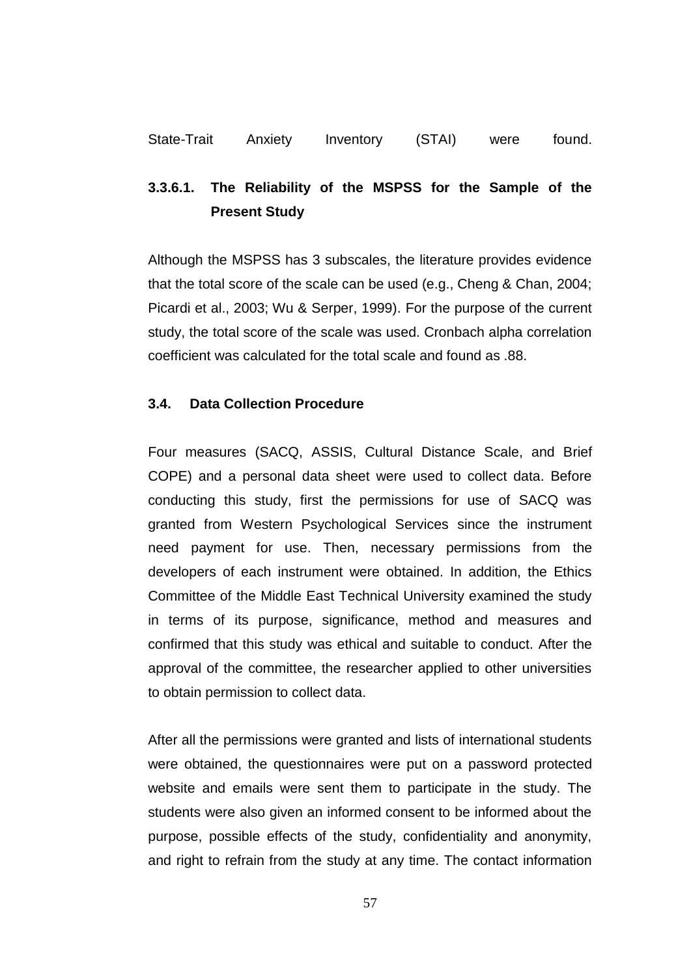# **3.3.6.1. The Reliability of the MSPSS for the Sample of the Present Study**

Although the MSPSS has 3 subscales, the literature provides evidence that the total score of the scale can be used (e.g., Cheng & Chan, 2004; Picardi et al., 2003; Wu & Serper, 1999). For the purpose of the current study, the total score of the scale was used. Cronbach alpha correlation coefficient was calculated for the total scale and found as .88.

## **3.4. Data Collection Procedure**

Four measures (SACQ, ASSIS, Cultural Distance Scale, and Brief COPE) and a personal data sheet were used to collect data. Before conducting this study, first the permissions for use of SACQ was granted from Western Psychological Services since the instrument need payment for use. Then, necessary permissions from the developers of each instrument were obtained. In addition, the Ethics Committee of the Middle East Technical University examined the study in terms of its purpose, significance, method and measures and confirmed that this study was ethical and suitable to conduct. After the approval of the committee, the researcher applied to other universities to obtain permission to collect data.

After all the permissions were granted and lists of international students were obtained, the questionnaires were put on a password protected website and emails were sent them to participate in the study. The students were also given an informed consent to be informed about the purpose, possible effects of the study, confidentiality and anonymity, and right to refrain from the study at any time. The contact information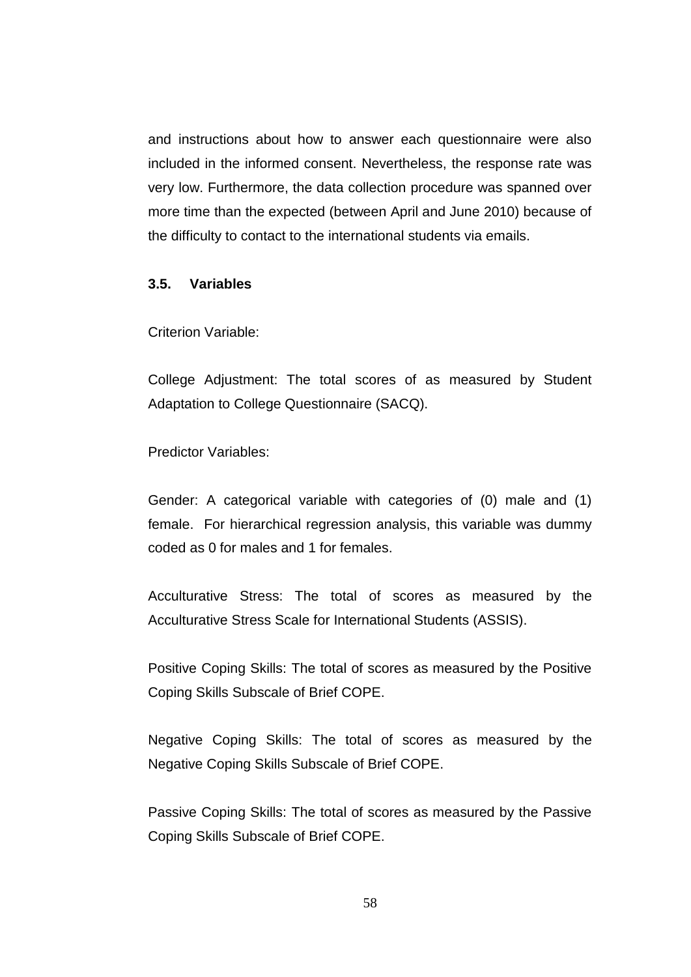and instructions about how to answer each questionnaire were also included in the informed consent. Nevertheless, the response rate was very low. Furthermore, the data collection procedure was spanned over more time than the expected (between April and June 2010) because of the difficulty to contact to the international students via emails.

#### **3.5. Variables**

Criterion Variable:

College Adjustment: The total scores of as measured by Student Adaptation to College Questionnaire (SACQ).

Predictor Variables:

Gender: A categorical variable with categories of (0) male and (1) female. For hierarchical regression analysis, this variable was dummy coded as 0 for males and 1 for females.

Acculturative Stress: The total of scores as measured by the Acculturative Stress Scale for International Students (ASSIS).

Positive Coping Skills: The total of scores as measured by the Positive Coping Skills Subscale of Brief COPE.

Negative Coping Skills: The total of scores as measured by the Negative Coping Skills Subscale of Brief COPE.

Passive Coping Skills: The total of scores as measured by the Passive Coping Skills Subscale of Brief COPE.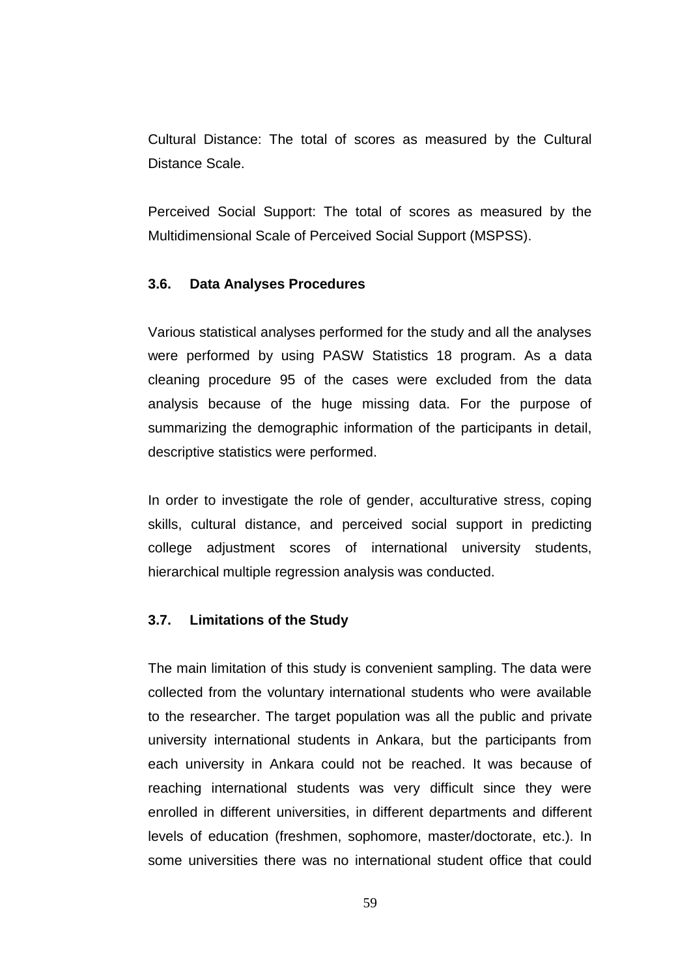Cultural Distance: The total of scores as measured by the Cultural Distance Scale.

Perceived Social Support: The total of scores as measured by the Multidimensional Scale of Perceived Social Support (MSPSS).

#### **3.6. Data Analyses Procedures**

Various statistical analyses performed for the study and all the analyses were performed by using PASW Statistics 18 program. As a data cleaning procedure 95 of the cases were excluded from the data analysis because of the huge missing data. For the purpose of summarizing the demographic information of the participants in detail, descriptive statistics were performed.

In order to investigate the role of gender, acculturative stress, coping skills, cultural distance, and perceived social support in predicting college adjustment scores of international university students, hierarchical multiple regression analysis was conducted.

## **3.7. Limitations of the Study**

The main limitation of this study is convenient sampling. The data were collected from the voluntary international students who were available to the researcher. The target population was all the public and private university international students in Ankara, but the participants from each university in Ankara could not be reached. It was because of reaching international students was very difficult since they were enrolled in different universities, in different departments and different levels of education (freshmen, sophomore, master/doctorate, etc.). In some universities there was no international student office that could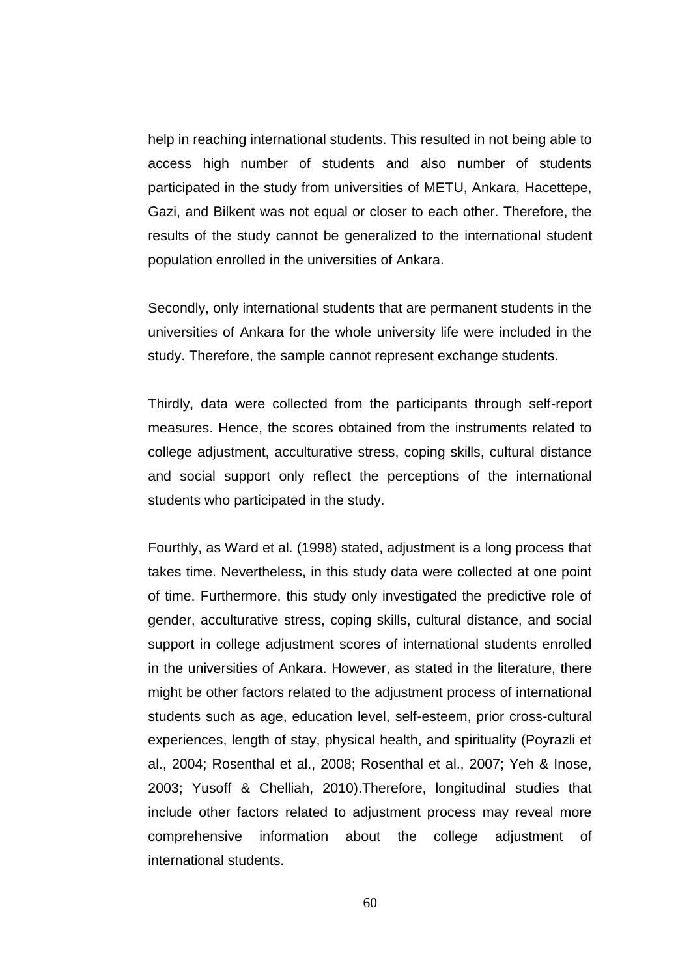help in reaching international students. This resulted in not being able to access high number of students and also number of students participated in the study from universities of METU, Ankara, Hacettepe, Gazi, and Bilkent was not equal or closer to each other. Therefore, the results of the study cannot be generalized to the international student population enrolled in the universities of Ankara.

Secondly, only international students that are permanent students in the universities of Ankara for the whole university life were included in the study. Therefore, the sample cannot represent exchange students.

Thirdly, data were collected from the participants through self-report measures. Hence, the scores obtained from the instruments related to college adjustment, acculturative stress, coping skills, cultural distance and social support only reflect the perceptions of the international students who participated in the study.

Fourthly, as Ward et al. (1998) stated, adjustment is a long process that takes time. Nevertheless, in this study data were collected at one point of time. Furthermore, this study only investigated the predictive role of gender, acculturative stress, coping skills, cultural distance, and social support in college adjustment scores of international students enrolled in the universities of Ankara. However, as stated in the literature, there might be other factors related to the adjustment process of international students such as age, education level, self-esteem, prior cross-cultural experiences, length of stay, physical health, and spirituality (Poyrazli et al., 2004; Rosenthal et al., 2008; Rosenthal et al., 2007; Yeh & Inose, 2003; Yusoff & Chelliah, 2010).Therefore, longitudinal studies that include other factors related to adjustment process may reveal more comprehensive information about the college adjustment of international students.

60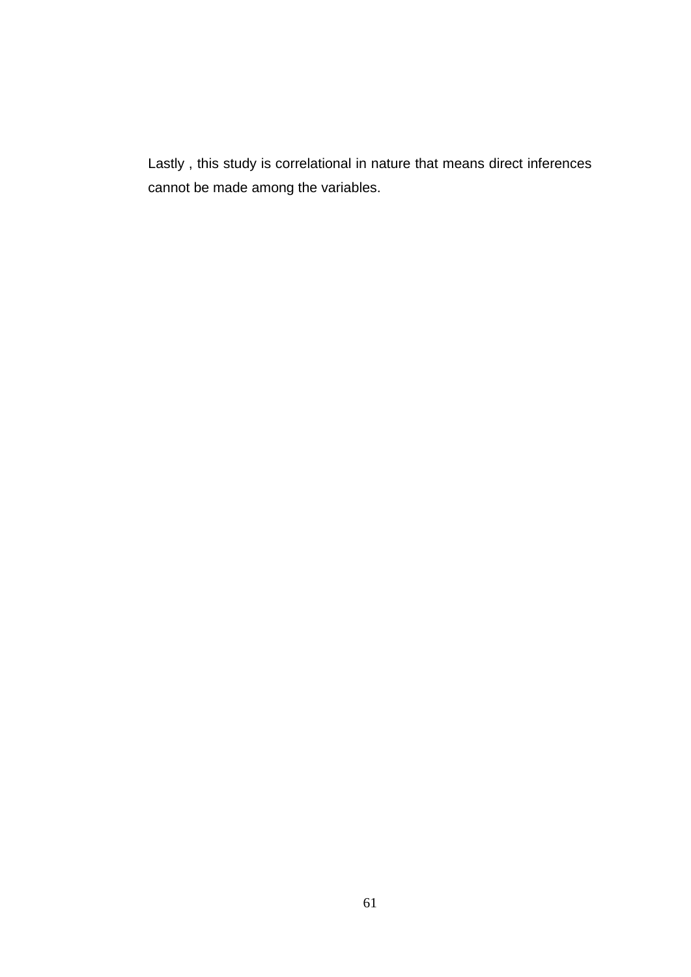Lastly , this study is correlational in nature that means direct inferences cannot be made among the variables.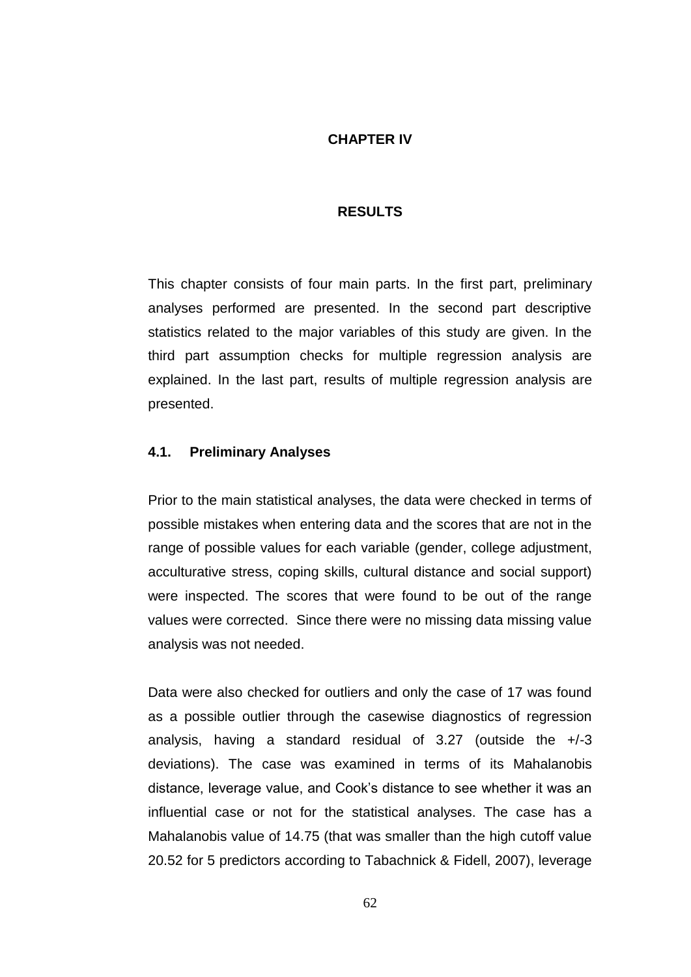## **CHAPTER IV**

#### **RESULTS**

This chapter consists of four main parts. In the first part, preliminary analyses performed are presented. In the second part descriptive statistics related to the major variables of this study are given. In the third part assumption checks for multiple regression analysis are explained. In the last part, results of multiple regression analysis are presented.

# **4.1. Preliminary Analyses**

Prior to the main statistical analyses, the data were checked in terms of possible mistakes when entering data and the scores that are not in the range of possible values for each variable (gender, college adjustment, acculturative stress, coping skills, cultural distance and social support) were inspected. The scores that were found to be out of the range values were corrected. Since there were no missing data missing value analysis was not needed.

Data were also checked for outliers and only the case of 17 was found as a possible outlier through the casewise diagnostics of regression analysis, having a standard residual of  $3.27$  (outside the  $+/-3$ deviations). The case was examined in terms of its Mahalanobis distance, leverage value, and Cook"s distance to see whether it was an influential case or not for the statistical analyses. The case has a Mahalanobis value of 14.75 (that was smaller than the high cutoff value 20.52 for 5 predictors according to Tabachnick & Fidell, 2007), leverage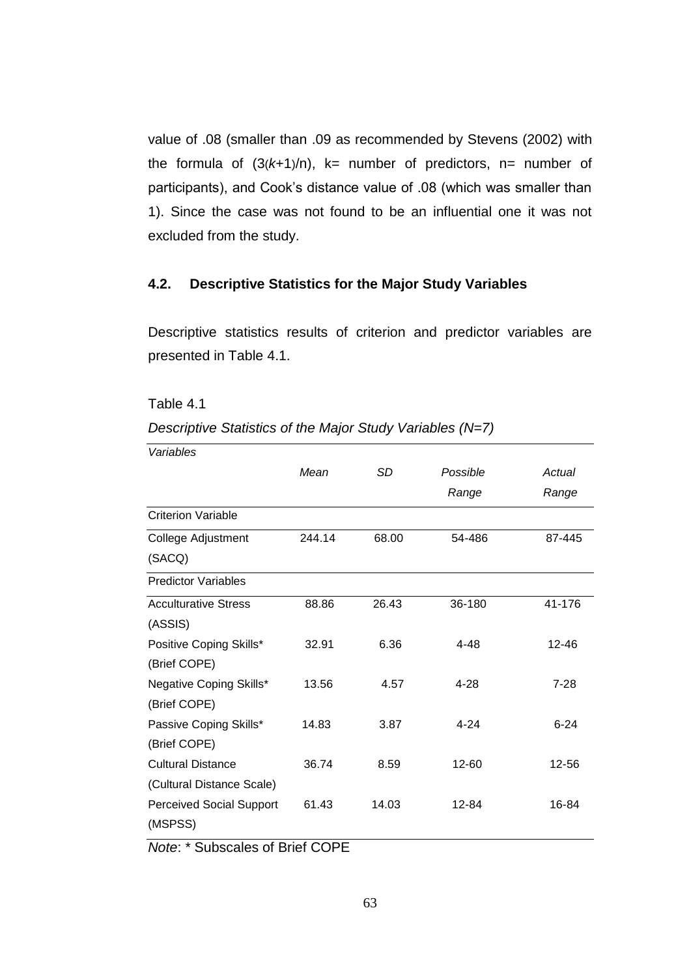value of .08 (smaller than .09 as recommended by Stevens (2002) with the formula of  $(3(k+1)/n)$ , k= number of predictors, n= number of participants), and Cook"s distance value of .08 (which was smaller than 1). Since the case was not found to be an influential one it was not excluded from the study.

## **4.2. Descriptive Statistics for the Major Study Variables**

Descriptive statistics results of criterion and predictor variables are presented in Table 4.1.

Table 4.1

*Descriptive Statistics of the Major Study Variables (N=7)* 

| Variables                       |        |       |           |          |  |
|---------------------------------|--------|-------|-----------|----------|--|
|                                 | Mean   | SD    | Possible  | Actual   |  |
|                                 |        |       | Range     | Range    |  |
| <b>Criterion Variable</b>       |        |       |           |          |  |
| College Adjustment              | 244.14 | 68.00 | 54-486    | 87-445   |  |
| (SACQ)                          |        |       |           |          |  |
| <b>Predictor Variables</b>      |        |       |           |          |  |
| <b>Acculturative Stress</b>     | 88.86  | 26.43 | 36-180    | 41-176   |  |
| (ASSIS)                         |        |       |           |          |  |
| Positive Coping Skills*         | 32.91  | 6.36  | 4-48      | 12-46    |  |
| (Brief COPE)                    |        |       |           |          |  |
| Negative Coping Skills*         | 13.56  | 4.57  | 4-28      | 7-28     |  |
| (Brief COPE)                    |        |       |           |          |  |
| Passive Coping Skills*          | 14.83  | 3.87  | $4 - 24$  | $6 - 24$ |  |
| (Brief COPE)                    |        |       |           |          |  |
| <b>Cultural Distance</b>        | 36.74  | 8.59  | $12 - 60$ | 12-56    |  |
| (Cultural Distance Scale)       |        |       |           |          |  |
| <b>Perceived Social Support</b> | 61.43  | 14.03 | 12-84     | 16-84    |  |
| (MSPSS)                         |        |       |           |          |  |
|                                 |        |       |           |          |  |

*Note*: \* Subscales of Brief COPE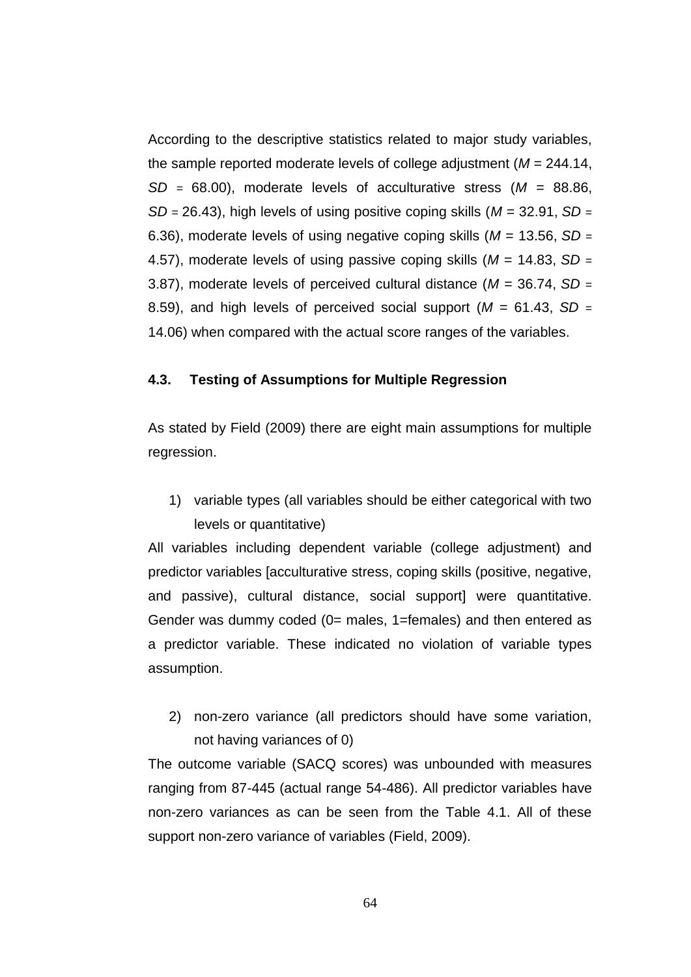According to the descriptive statistics related to major study variables, the sample reported moderate levels of college adjustment (*M* = 244.14, *SD* = 68.00), moderate levels of acculturative stress (*M* = 88.86, *SD* = 26.43), high levels of using positive coping skills (*M* = 32.91, *SD* = 6.36), moderate levels of using negative coping skills (*M* = 13.56, *SD* = 4.57), moderate levels of using passive coping skills (*M* = 14.83, *SD* = 3.87), moderate levels of perceived cultural distance (*M* = 36.74, *SD* = 8.59), and high levels of perceived social support (*M* = 61.43, *SD* = 14.06) when compared with the actual score ranges of the variables.

# **4.3. Testing of Assumptions for Multiple Regression**

As stated by Field (2009) there are eight main assumptions for multiple regression.

1) variable types (all variables should be either categorical with two levels or quantitative)

All variables including dependent variable (college adjustment) and predictor variables [acculturative stress, coping skills (positive, negative, and passive), cultural distance, social support] were quantitative. Gender was dummy coded (0= males, 1=females) and then entered as a predictor variable. These indicated no violation of variable types assumption.

2) non-zero variance (all predictors should have some variation, not having variances of 0)

The outcome variable (SACQ scores) was unbounded with measures ranging from 87-445 (actual range 54-486). All predictor variables have non-zero variances as can be seen from the Table 4.1. All of these support non-zero variance of variables (Field, 2009).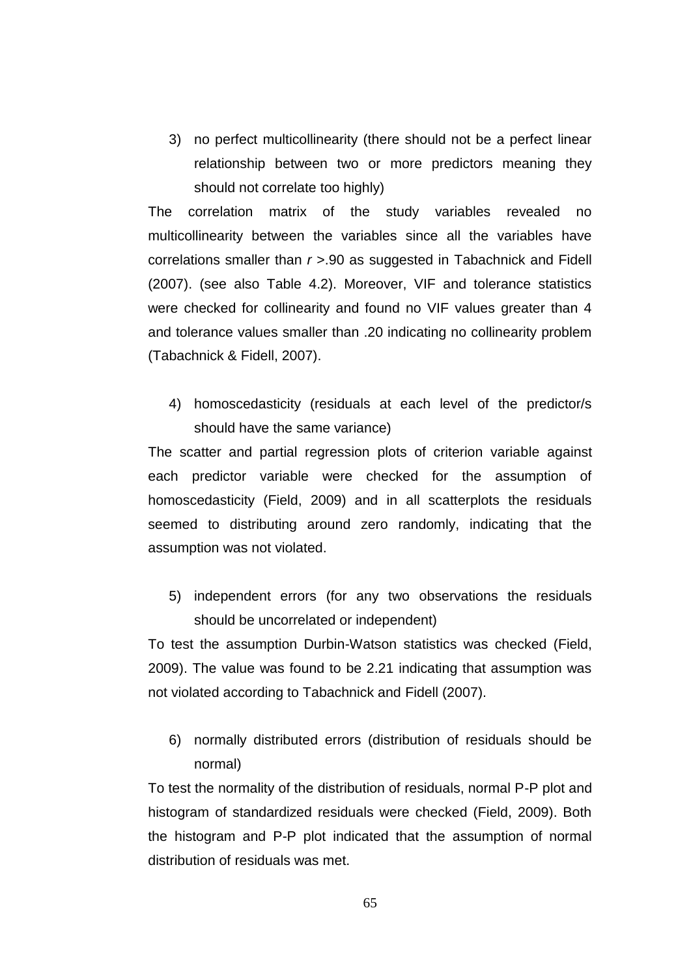3) no perfect multicollinearity (there should not be a perfect linear relationship between two or more predictors meaning they should not correlate too highly)

The correlation matrix of the study variables revealed no multicollinearity between the variables since all the variables have correlations smaller than *r* >.90 as suggested in Tabachnick and Fidell (2007). (see also Table 4.2). Moreover, VIF and tolerance statistics were checked for collinearity and found no VIF values greater than 4 and tolerance values smaller than .20 indicating no collinearity problem (Tabachnick & Fidell, 2007).

4) homoscedasticity (residuals at each level of the predictor/s should have the same variance)

The scatter and partial regression plots of criterion variable against each predictor variable were checked for the assumption of homoscedasticity (Field, 2009) and in all scatterplots the residuals seemed to distributing around zero randomly, indicating that the assumption was not violated.

5) independent errors (for any two observations the residuals should be uncorrelated or independent)

To test the assumption Durbin-Watson statistics was checked (Field, 2009). The value was found to be 2.21 indicating that assumption was not violated according to Tabachnick and Fidell (2007).

6) normally distributed errors (distribution of residuals should be normal)

To test the normality of the distribution of residuals, normal P-P plot and histogram of standardized residuals were checked (Field, 2009). Both the histogram and P-P plot indicated that the assumption of normal distribution of residuals was met.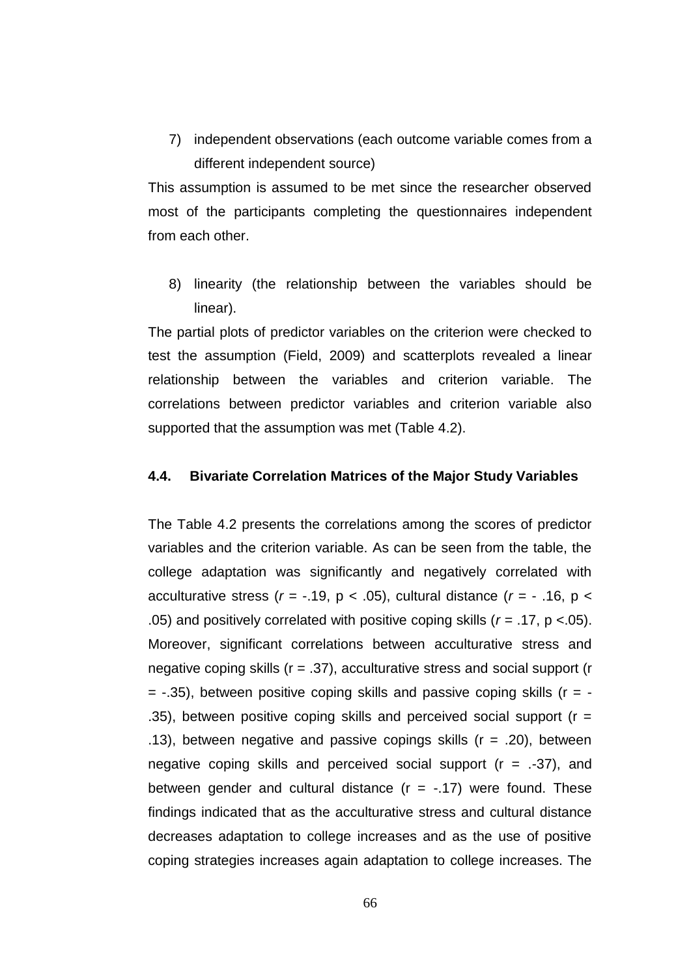7) independent observations (each outcome variable comes from a different independent source)

This assumption is assumed to be met since the researcher observed most of the participants completing the questionnaires independent from each other.

8) linearity (the relationship between the variables should be linear).

The partial plots of predictor variables on the criterion were checked to test the assumption (Field, 2009) and scatterplots revealed a linear relationship between the variables and criterion variable. The correlations between predictor variables and criterion variable also supported that the assumption was met (Table 4.2).

#### **4.4. Bivariate Correlation Matrices of the Major Study Variables**

The Table 4.2 presents the correlations among the scores of predictor variables and the criterion variable. As can be seen from the table, the college adaptation was significantly and negatively correlated with acculturative stress  $(r = -.19, p < .05)$ , cultural distance  $(r = -.16, p <$ .05) and positively correlated with positive coping skills (*r* = .17, p <.05). Moreover, significant correlations between acculturative stress and negative coping skills  $(r = .37)$ , acculturative stress and social support  $(r = .37)$  $=$  -.35), between positive coping skills and passive coping skills ( $r = -$ .35), between positive coping skills and perceived social support ( $r =$ .13), between negative and passive copings skills  $(r = .20)$ , between negative coping skills and perceived social support  $(r = .37)$ , and between gender and cultural distance  $(r = -.17)$  were found. These findings indicated that as the acculturative stress and cultural distance decreases adaptation to college increases and as the use of positive coping strategies increases again adaptation to college increases. The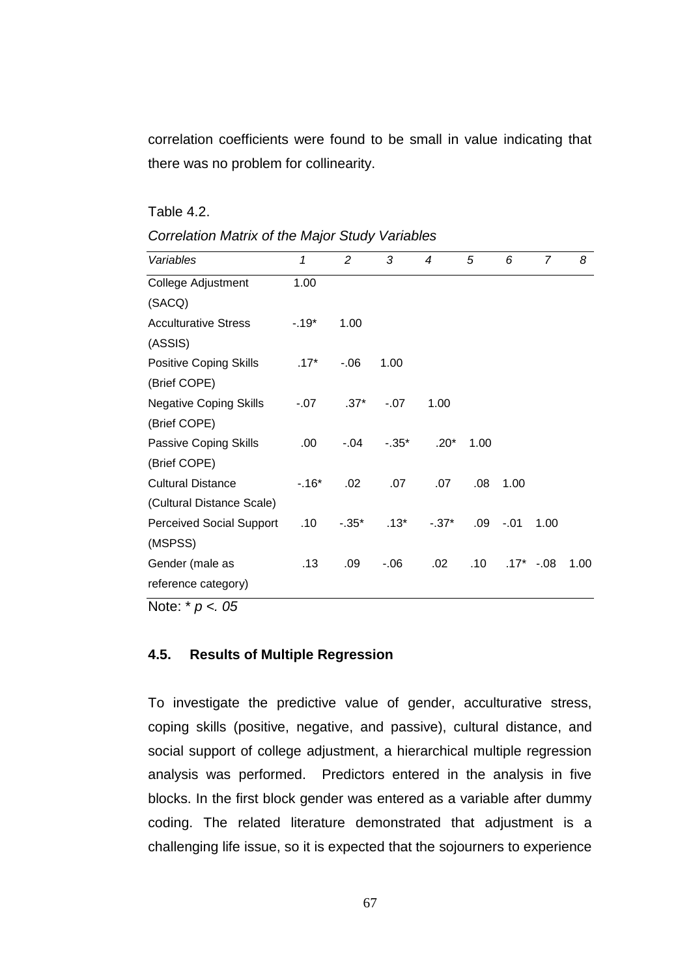correlation coefficients were found to be small in value indicating that there was no problem for collinearity.

Table 4.2.

| <b>Correlation Matrix of the Major Study Variables</b> |  |
|--------------------------------------------------------|--|
|--------------------------------------------------------|--|

| 1      | $\overline{2}$ | 3        | 4      | 5    | 6      | 7      | 8      |
|--------|----------------|----------|--------|------|--------|--------|--------|
| 1.00   |                |          |        |      |        |        |        |
|        |                |          |        |      |        |        |        |
| $-19*$ | 1.00           |          |        |      |        |        |        |
|        |                |          |        |      |        |        |        |
| $.17*$ | $-0.06$        | 1.00     |        |      |        |        |        |
|        |                |          |        |      |        |        |        |
| $-.07$ | $.37*$         | $-.07$   | 1.00   |      |        |        |        |
|        |                |          |        |      |        |        |        |
| .00.   | -.04           | $-0.35*$ | $.20*$ | 1.00 |        |        |        |
|        |                |          |        |      |        |        |        |
| $-16*$ | .02            | .07      | .07    | .08  | 1.00   |        |        |
|        |                |          |        |      |        |        |        |
| .10    | $-.35*$        | $.13*$   | $-37*$ | .09  | $-.01$ | 1.00   |        |
|        |                |          |        |      |        |        |        |
| .13    | .09            | $-06$    | .02    | .10  |        | $-.08$ | 1.00   |
|        |                |          |        |      |        |        |        |
|        |                |          |        |      |        |        | $.17*$ |

Note: \* *p <. 05*

# **4.5. Results of Multiple Regression**

To investigate the predictive value of gender, acculturative stress, coping skills (positive, negative, and passive), cultural distance, and social support of college adjustment, a hierarchical multiple regression analysis was performed. Predictors entered in the analysis in five blocks. In the first block gender was entered as a variable after dummy coding. The related literature demonstrated that adjustment is a challenging life issue, so it is expected that the sojourners to experience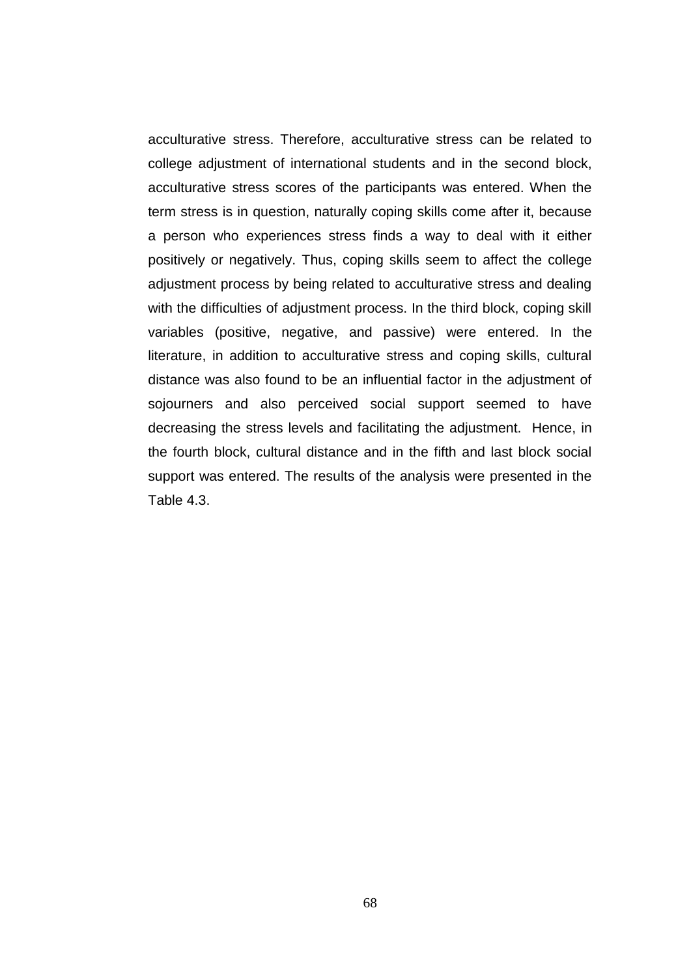acculturative stress. Therefore, acculturative stress can be related to college adjustment of international students and in the second block, acculturative stress scores of the participants was entered. When the term stress is in question, naturally coping skills come after it, because a person who experiences stress finds a way to deal with it either positively or negatively. Thus, coping skills seem to affect the college adjustment process by being related to acculturative stress and dealing with the difficulties of adjustment process. In the third block, coping skill variables (positive, negative, and passive) were entered. In the literature, in addition to acculturative stress and coping skills, cultural distance was also found to be an influential factor in the adjustment of sojourners and also perceived social support seemed to have decreasing the stress levels and facilitating the adjustment. Hence, in the fourth block, cultural distance and in the fifth and last block social support was entered. The results of the analysis were presented in the Table 4.3.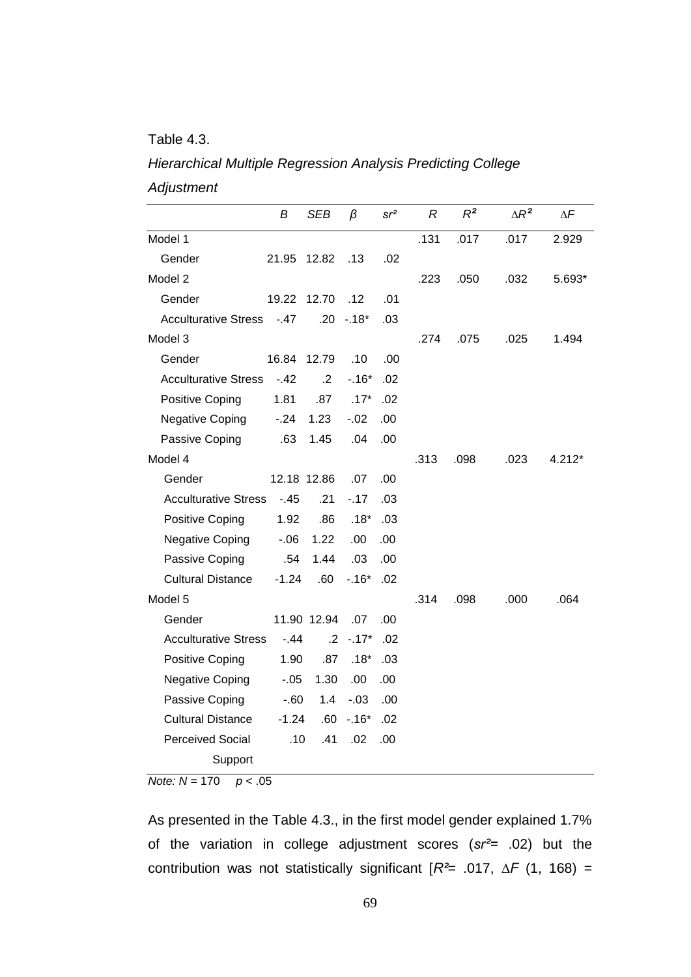# Table 4.3.

# *Hierarchical Multiple Regression Analysis Predicting College Adjustment*

|                             | В           | SEB             | β       | sr <sup>2</sup> | R    | $R^2$ | $\Delta R^2$ | $\Delta F$ |
|-----------------------------|-------------|-----------------|---------|-----------------|------|-------|--------------|------------|
| Model 1                     |             |                 |         |                 | .131 | .017  | .017         | 2.929      |
| Gender                      | 21.95       | 12.82           | .13     | .02             |      |       |              |            |
| Model 2                     |             |                 |         |                 | .223 | .050  | .032         | 5.693*     |
| Gender                      | 19.22       | 12.70           | .12     | .01             |      |       |              |            |
| <b>Acculturative Stress</b> | $-47$       | .20             | -.18*   | .03             |      |       |              |            |
| Model 3                     |             |                 |         |                 | .274 | .075  | .025         | 1.494      |
| Gender                      | 16.84       | 12.79           | .10     | .00             |      |       |              |            |
| <b>Acculturative Stress</b> | $-42$       | $\cdot$ .2      | $-16*$  | .02             |      |       |              |            |
| Positive Coping             | 1.81        | .87             | $.17*$  | .02             |      |       |              |            |
| <b>Negative Coping</b>      | $-.24$      | 1.23            | $-.02$  | .00             |      |       |              |            |
| Passive Coping              | .63         | 1.45            | .04     | .00             |      |       |              |            |
| Model 4                     |             |                 |         |                 | .313 | .098  | .023         | 4.212*     |
| Gender                      | 12.18 12.86 |                 | .07     | .00             |      |       |              |            |
| <b>Acculturative Stress</b> | $-45$       | .21             | $-17$   | .03             |      |       |              |            |
| Positive Coping             | 1.92        | .86             | $.18*$  | .03             |      |       |              |            |
| <b>Negative Coping</b>      | -.06        | 1.22            | .00     | .00             |      |       |              |            |
| Passive Coping              | .54         | 1.44            | .03     | .00             |      |       |              |            |
| <b>Cultural Distance</b>    | $-1.24$     | .60             | $-.16*$ | .02             |      |       |              |            |
| Model 5                     |             |                 |         |                 | .314 | .098  | .000         | .064       |
| Gender                      |             | 11.90 12.94     | .07     | .00             |      |       |              |            |
| <b>Acculturative Stress</b> | $-44$       | $.2\phantom{0}$ | $-17*$  | .02             |      |       |              |            |
| <b>Positive Coping</b>      | 1.90        | .87             | $.18*$  | .03             |      |       |              |            |
| <b>Negative Coping</b>      | $-.05$      | 1.30            | .00     | .00             |      |       |              |            |
| Passive Coping              | $-60$       | 1.4             | $-.03$  | .00             |      |       |              |            |
| <b>Cultural Distance</b>    | $-1.24$     | .60             | $-.16*$ | .02             |      |       |              |            |
| <b>Perceived Social</b>     | .10         | .41             | .02     | .00             |      |       |              |            |
| Support                     |             |                 |         |                 |      |       |              |            |

*Note: N =* 170 *p* < .05

As presented in the Table 4.3., in the first model gender explained 1.7% of the variation in college adjustment scores (*sr²=* .02) but the contribution was not statistically significant [*R²*= .017, *∆F* (1, 168) =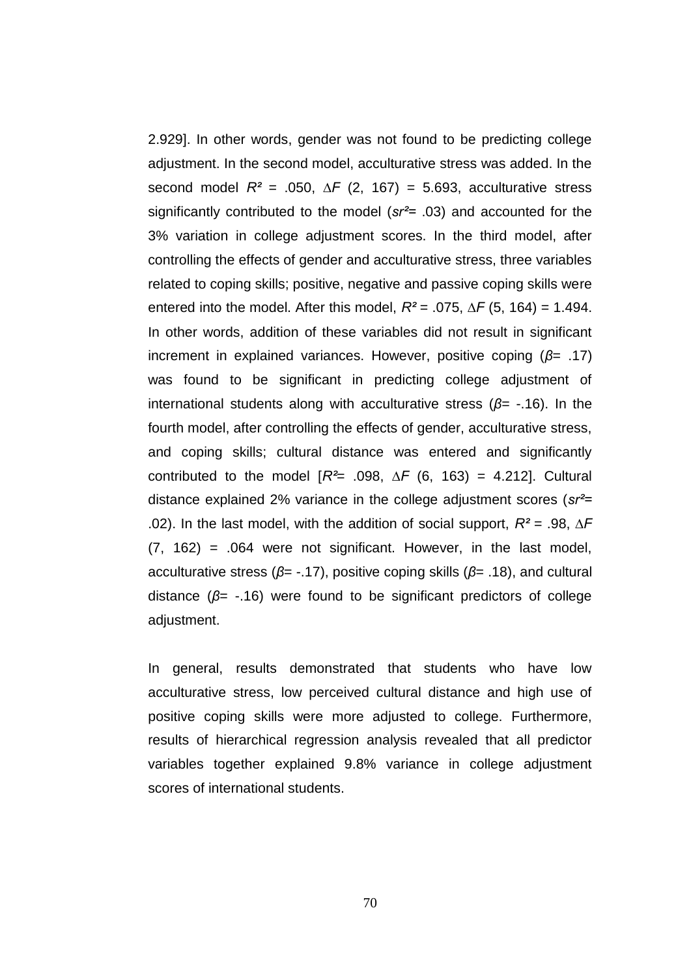2.929]. In other words, gender was not found to be predicting college adjustment. In the second model, acculturative stress was added. In the second model  $R^2$  = .050,  $\Delta F$  (2, 167) = 5.693, acculturative stress significantly contributed to the model (*sr²=* .03) and accounted for the 3% variation in college adjustment scores. In the third model, after controlling the effects of gender and acculturative stress, three variables related to coping skills; positive, negative and passive coping skills were entered into the model. After this model,  $R^2$  = .075,  $\Delta F$  (5, 164) = 1.494. In other words, addition of these variables did not result in significant increment in explained variances. However, positive coping (*β*= .17) was found to be significant in predicting college adjustment of international students along with acculturative stress (*β*= -.16). In the fourth model, after controlling the effects of gender, acculturative stress, and coping skills; cultural distance was entered and significantly contributed to the model [*R²*= .098, *∆F* (6, 163) = 4.212]. Cultural distance explained 2% variance in the college adjustment scores (*sr²=*  .02). In the last model, with the addition of social support, *R²* = .98, *∆F*  $(7, 162) = .064$  were not significant. However, in the last model, acculturative stress (*β*= -.17), positive coping skills (*β*= .18), and cultural distance (*β*= -.16) were found to be significant predictors of college adjustment.

In general, results demonstrated that students who have low acculturative stress, low perceived cultural distance and high use of positive coping skills were more adjusted to college. Furthermore, results of hierarchical regression analysis revealed that all predictor variables together explained 9.8% variance in college adjustment scores of international students.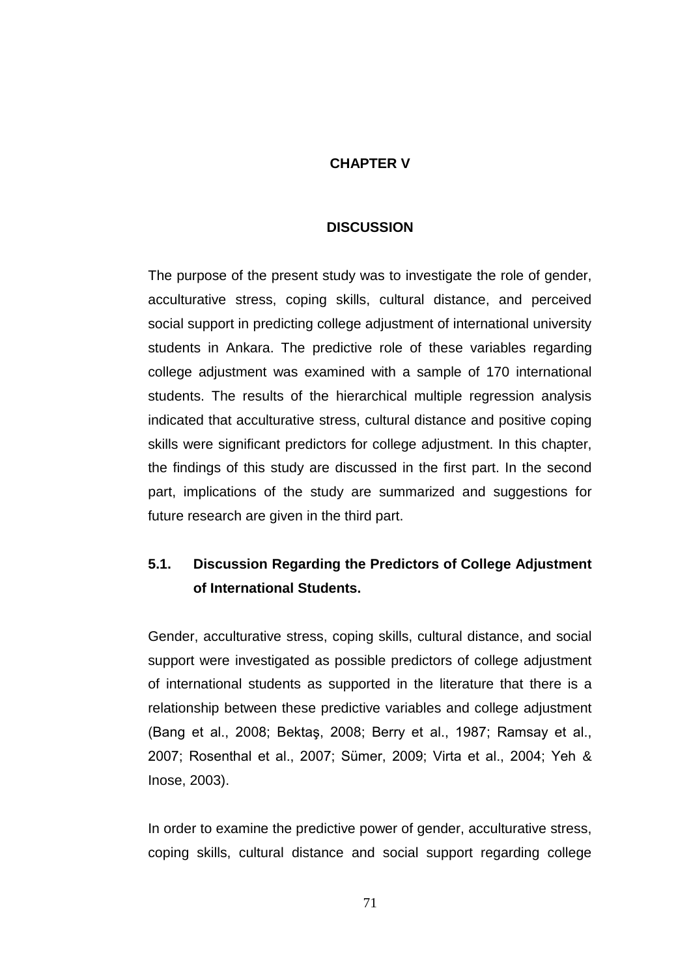# **CHAPTER V**

## **DISCUSSION**

The purpose of the present study was to investigate the role of gender, acculturative stress, coping skills, cultural distance, and perceived social support in predicting college adjustment of international university students in Ankara. The predictive role of these variables regarding college adjustment was examined with a sample of 170 international students. The results of the hierarchical multiple regression analysis indicated that acculturative stress, cultural distance and positive coping skills were significant predictors for college adjustment. In this chapter, the findings of this study are discussed in the first part. In the second part, implications of the study are summarized and suggestions for future research are given in the third part.

# **5.1. Discussion Regarding the Predictors of College Adjustment of International Students.**

Gender, acculturative stress, coping skills, cultural distance, and social support were investigated as possible predictors of college adjustment of international students as supported in the literature that there is a relationship between these predictive variables and college adjustment (Bang et al., 2008; BektaĢ, 2008; Berry et al., 1987; Ramsay et al., 2007; Rosenthal et al., 2007; Sümer, 2009; Virta et al., 2004; Yeh & Inose, 2003).

In order to examine the predictive power of gender, acculturative stress, coping skills, cultural distance and social support regarding college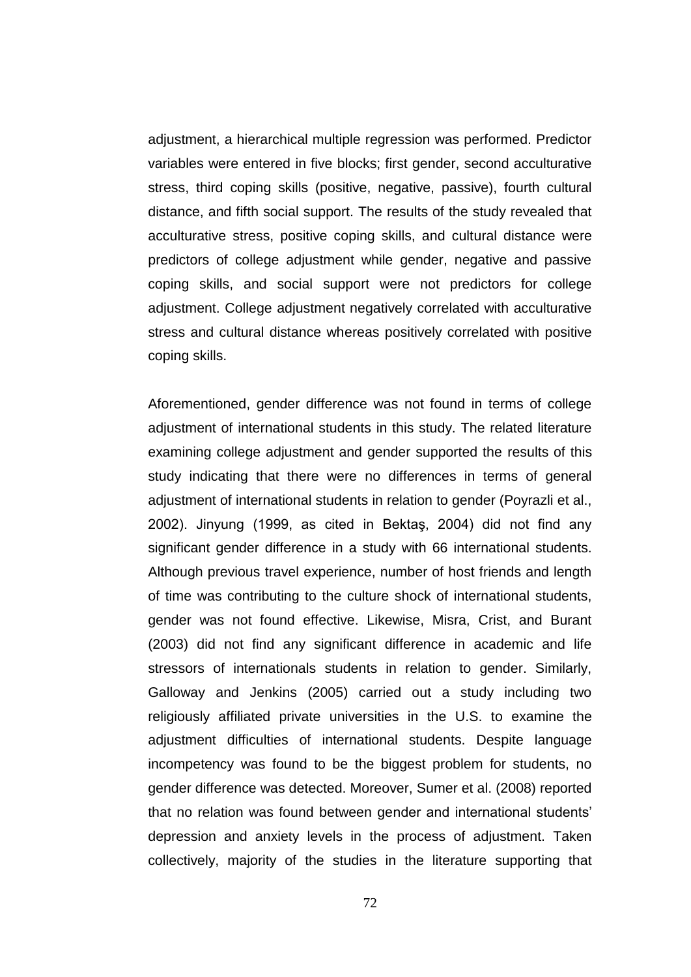adjustment, a hierarchical multiple regression was performed. Predictor variables were entered in five blocks; first gender, second acculturative stress, third coping skills (positive, negative, passive), fourth cultural distance, and fifth social support. The results of the study revealed that acculturative stress, positive coping skills, and cultural distance were predictors of college adjustment while gender, negative and passive coping skills, and social support were not predictors for college adjustment. College adjustment negatively correlated with acculturative stress and cultural distance whereas positively correlated with positive coping skills.

Aforementioned, gender difference was not found in terms of college adjustment of international students in this study. The related literature examining college adjustment and gender supported the results of this study indicating that there were no differences in terms of general adjustment of international students in relation to gender (Poyrazli et al., 2002). Jinyung (1999, as cited in BektaĢ, 2004) did not find any significant gender difference in a study with 66 international students. Although previous travel experience, number of host friends and length of time was contributing to the culture shock of international students, gender was not found effective. Likewise, Misra, Crist, and Burant (2003) did not find any significant difference in academic and life stressors of internationals students in relation to gender. Similarly, Galloway and Jenkins (2005) carried out a study including two religiously affiliated private universities in the U.S. to examine the adjustment difficulties of international students. Despite language incompetency was found to be the biggest problem for students, no gender difference was detected. Moreover, Sumer et al. (2008) reported that no relation was found between gender and international students" depression and anxiety levels in the process of adjustment. Taken collectively, majority of the studies in the literature supporting that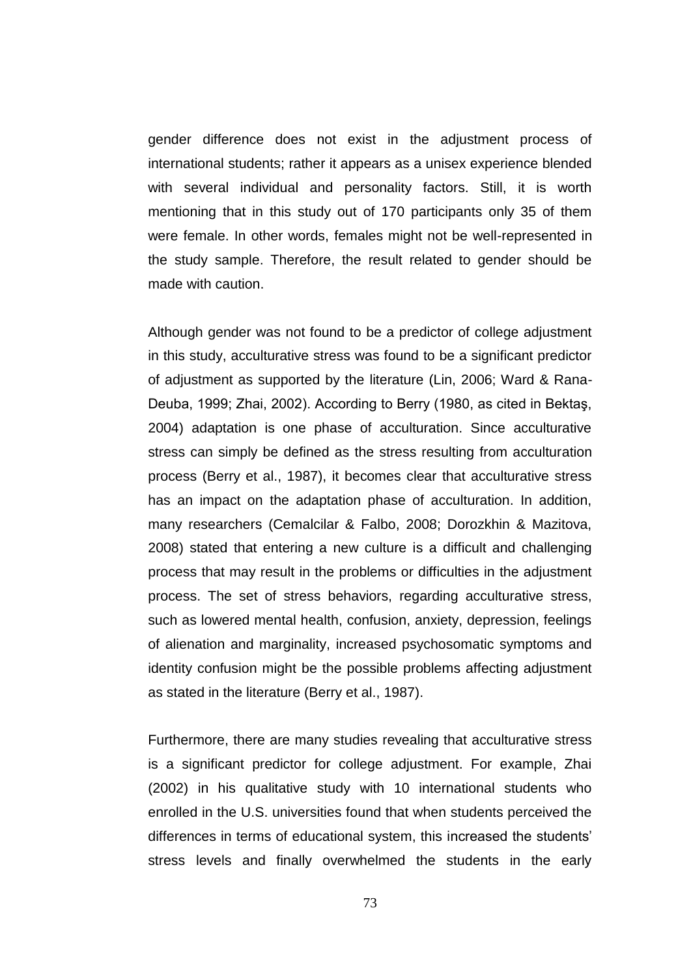gender difference does not exist in the adjustment process of international students; rather it appears as a unisex experience blended with several individual and personality factors. Still, it is worth mentioning that in this study out of 170 participants only 35 of them were female. In other words, females might not be well-represented in the study sample. Therefore, the result related to gender should be made with caution.

Although gender was not found to be a predictor of college adjustment in this study, acculturative stress was found to be a significant predictor of adjustment as supported by the literature (Lin, 2006; Ward & Rana-Deuba, 1999; Zhai, 2002). According to Berry (1980, as cited in BektaĢ, 2004) adaptation is one phase of acculturation. Since acculturative stress can simply be defined as the stress resulting from acculturation process (Berry et al., 1987), it becomes clear that acculturative stress has an impact on the adaptation phase of acculturation. In addition, many researchers (Cemalcilar & Falbo, 2008; Dorozkhin & Mazitova, 2008) stated that entering a new culture is a difficult and challenging process that may result in the problems or difficulties in the adjustment process. The set of stress behaviors, regarding acculturative stress, such as lowered mental health, confusion, anxiety, depression, feelings of alienation and marginality, increased psychosomatic symptoms and identity confusion might be the possible problems affecting adjustment as stated in the literature (Berry et al., 1987).

Furthermore, there are many studies revealing that acculturative stress is a significant predictor for college adjustment. For example, Zhai (2002) in his qualitative study with 10 international students who enrolled in the U.S. universities found that when students perceived the differences in terms of educational system, this increased the students' stress levels and finally overwhelmed the students in the early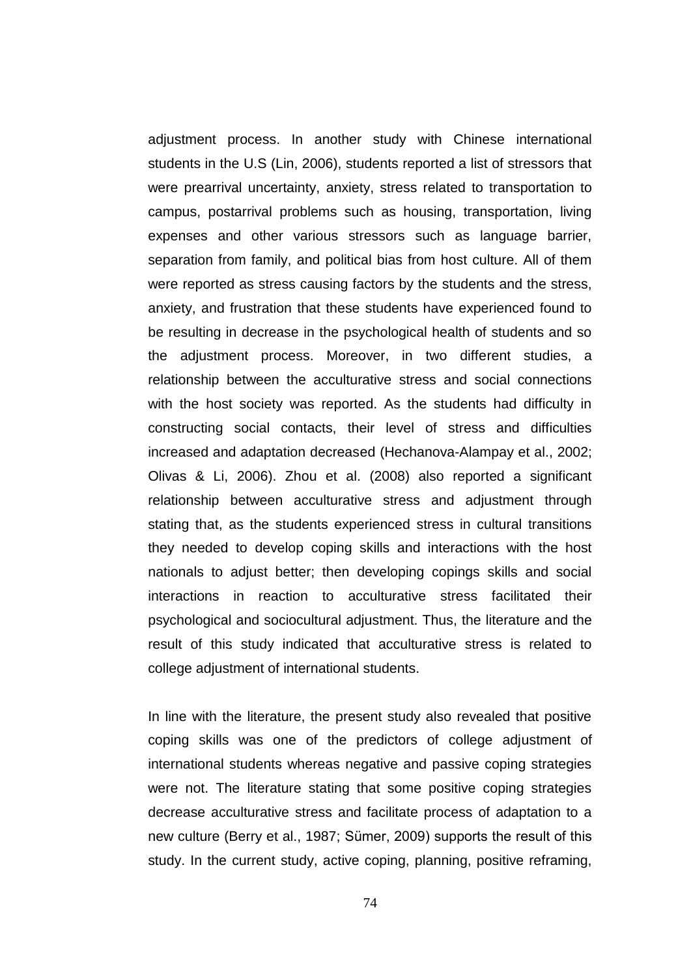adjustment process. In another study with Chinese international students in the U.S (Lin, 2006), students reported a list of stressors that were prearrival uncertainty, anxiety, stress related to transportation to campus, postarrival problems such as housing, transportation, living expenses and other various stressors such as language barrier, separation from family, and political bias from host culture. All of them were reported as stress causing factors by the students and the stress, anxiety, and frustration that these students have experienced found to be resulting in decrease in the psychological health of students and so the adjustment process. Moreover, in two different studies, a relationship between the acculturative stress and social connections with the host society was reported. As the students had difficulty in constructing social contacts, their level of stress and difficulties increased and adaptation decreased (Hechanova-Alampay et al., 2002; Olivas & Li, 2006). Zhou et al. (2008) also reported a significant relationship between acculturative stress and adjustment through stating that, as the students experienced stress in cultural transitions they needed to develop coping skills and interactions with the host nationals to adjust better; then developing copings skills and social interactions in reaction to acculturative stress facilitated their psychological and sociocultural adjustment. Thus, the literature and the result of this study indicated that acculturative stress is related to college adjustment of international students.

In line with the literature, the present study also revealed that positive coping skills was one of the predictors of college adjustment of international students whereas negative and passive coping strategies were not. The literature stating that some positive coping strategies decrease acculturative stress and facilitate process of adaptation to a new culture (Berry et al., 1987; Sümer, 2009) supports the result of this study. In the current study, active coping, planning, positive reframing,

74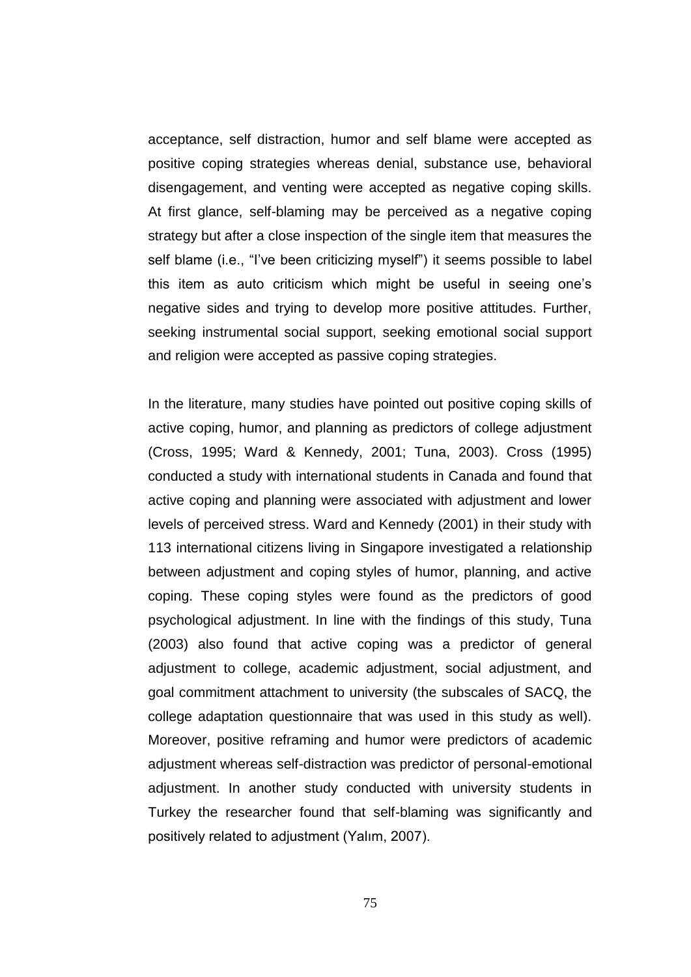acceptance, self distraction, humor and self blame were accepted as positive coping strategies whereas denial, substance use, behavioral disengagement, and venting were accepted as negative coping skills. At first glance, self-blaming may be perceived as a negative coping strategy but after a close inspection of the single item that measures the self blame (i.e., "I've been criticizing myself") it seems possible to label this item as auto criticism which might be useful in seeing one"s negative sides and trying to develop more positive attitudes. Further, seeking instrumental social support, seeking emotional social support and religion were accepted as passive coping strategies.

In the literature, many studies have pointed out positive coping skills of active coping, humor, and planning as predictors of college adjustment (Cross, 1995; Ward & Kennedy, 2001; Tuna, 2003). Cross (1995) conducted a study with international students in Canada and found that active coping and planning were associated with adjustment and lower levels of perceived stress. Ward and Kennedy (2001) in their study with 113 international citizens living in Singapore investigated a relationship between adjustment and coping styles of humor, planning, and active coping. These coping styles were found as the predictors of good psychological adjustment. In line with the findings of this study, Tuna (2003) also found that active coping was a predictor of general adjustment to college, academic adjustment, social adjustment, and goal commitment attachment to university (the subscales of SACQ, the college adaptation questionnaire that was used in this study as well). Moreover, positive reframing and humor were predictors of academic adjustment whereas self-distraction was predictor of personal-emotional adjustment. In another study conducted with university students in Turkey the researcher found that self-blaming was significantly and positively related to adjustment (Yalım, 2007).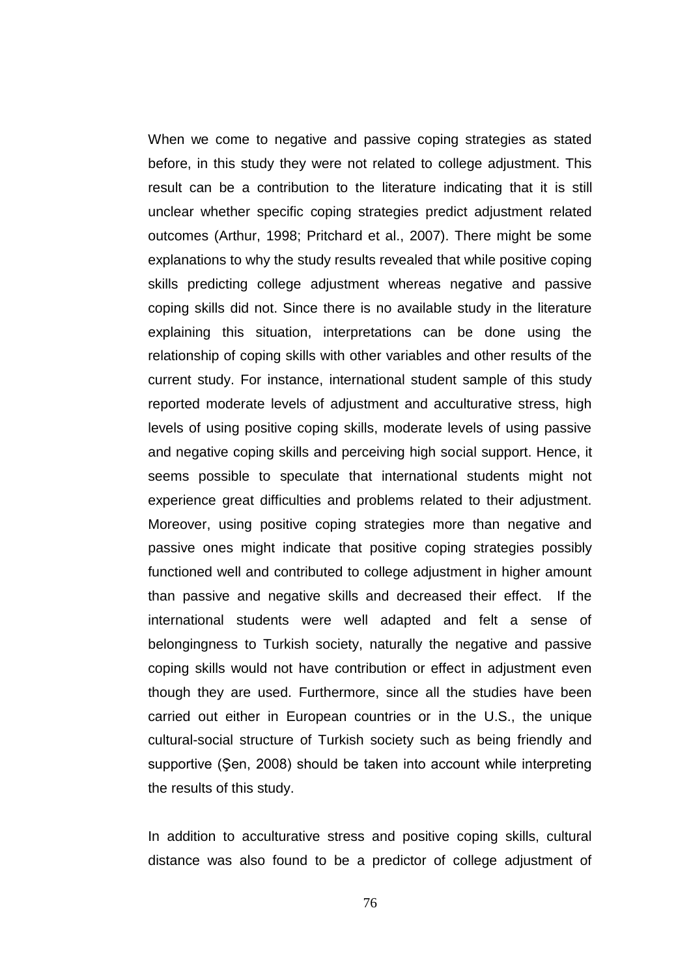When we come to negative and passive coping strategies as stated before, in this study they were not related to college adjustment. This result can be a contribution to the literature indicating that it is still unclear whether specific coping strategies predict adjustment related outcomes (Arthur, 1998; Pritchard et al., 2007). There might be some explanations to why the study results revealed that while positive coping skills predicting college adjustment whereas negative and passive coping skills did not. Since there is no available study in the literature explaining this situation, interpretations can be done using the relationship of coping skills with other variables and other results of the current study. For instance, international student sample of this study reported moderate levels of adjustment and acculturative stress, high levels of using positive coping skills, moderate levels of using passive and negative coping skills and perceiving high social support. Hence, it seems possible to speculate that international students might not experience great difficulties and problems related to their adjustment. Moreover, using positive coping strategies more than negative and passive ones might indicate that positive coping strategies possibly functioned well and contributed to college adjustment in higher amount than passive and negative skills and decreased their effect. If the international students were well adapted and felt a sense of belongingness to Turkish society, naturally the negative and passive coping skills would not have contribution or effect in adjustment even though they are used. Furthermore, since all the studies have been carried out either in European countries or in the U.S., the unique cultural-social structure of Turkish society such as being friendly and supportive (Şen, 2008) should be taken into account while interpreting the results of this study.

In addition to acculturative stress and positive coping skills, cultural distance was also found to be a predictor of college adjustment of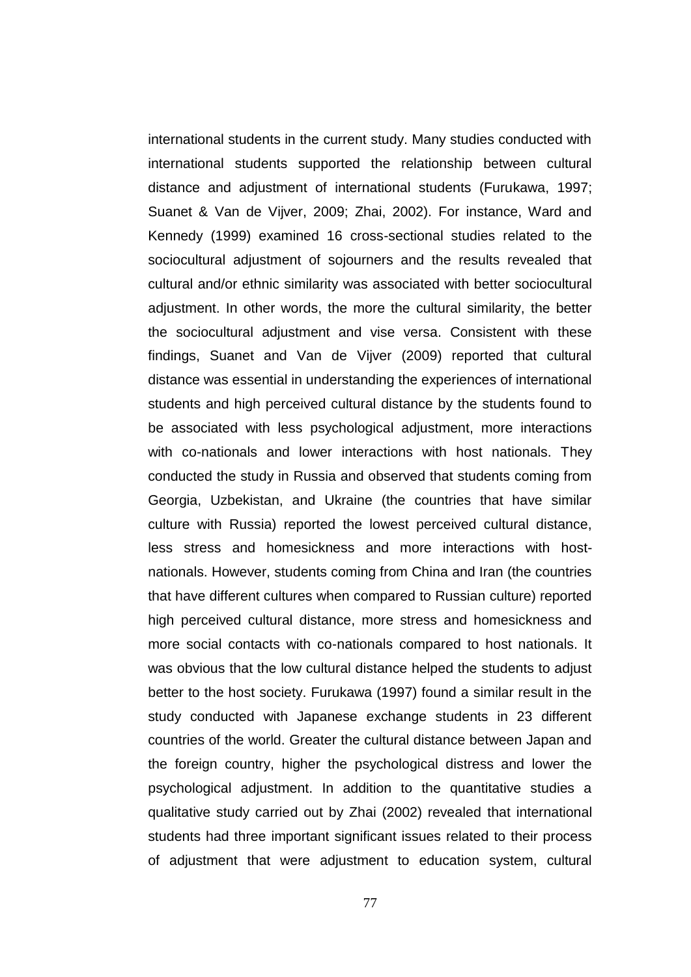international students in the current study. Many studies conducted with international students supported the relationship between cultural distance and adjustment of international students (Furukawa, 1997; Suanet & Van de Vijver, 2009; Zhai, 2002). For instance, Ward and Kennedy (1999) examined 16 cross-sectional studies related to the sociocultural adjustment of sojourners and the results revealed that cultural and/or ethnic similarity was associated with better sociocultural adjustment. In other words, the more the cultural similarity, the better the sociocultural adjustment and vise versa. Consistent with these findings, Suanet and Van de Vijver (2009) reported that cultural distance was essential in understanding the experiences of international students and high perceived cultural distance by the students found to be associated with less psychological adjustment, more interactions with co-nationals and lower interactions with host nationals. They conducted the study in Russia and observed that students coming from Georgia, Uzbekistan, and Ukraine (the countries that have similar culture with Russia) reported the lowest perceived cultural distance, less stress and homesickness and more interactions with hostnationals. However, students coming from China and Iran (the countries that have different cultures when compared to Russian culture) reported high perceived cultural distance, more stress and homesickness and more social contacts with co-nationals compared to host nationals. It was obvious that the low cultural distance helped the students to adjust better to the host society. Furukawa (1997) found a similar result in the study conducted with Japanese exchange students in 23 different countries of the world. Greater the cultural distance between Japan and the foreign country, higher the psychological distress and lower the psychological adjustment. In addition to the quantitative studies a qualitative study carried out by Zhai (2002) revealed that international students had three important significant issues related to their process of adjustment that were adjustment to education system, cultural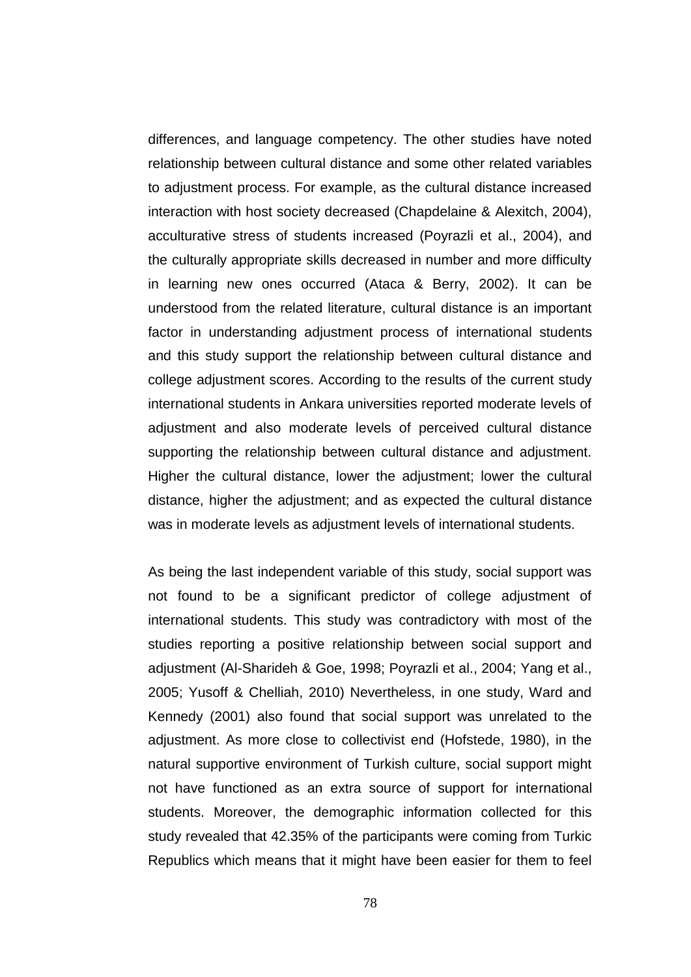differences, and language competency. The other studies have noted relationship between cultural distance and some other related variables to adjustment process. For example, as the cultural distance increased interaction with host society decreased (Chapdelaine & Alexitch, 2004), acculturative stress of students increased (Poyrazli et al., 2004), and the culturally appropriate skills decreased in number and more difficulty in learning new ones occurred (Ataca & Berry, 2002). It can be understood from the related literature, cultural distance is an important factor in understanding adjustment process of international students and this study support the relationship between cultural distance and college adjustment scores. According to the results of the current study international students in Ankara universities reported moderate levels of adjustment and also moderate levels of perceived cultural distance supporting the relationship between cultural distance and adjustment. Higher the cultural distance, lower the adjustment; lower the cultural distance, higher the adjustment; and as expected the cultural distance was in moderate levels as adjustment levels of international students.

As being the last independent variable of this study, social support was not found to be a significant predictor of college adjustment of international students. This study was contradictory with most of the studies reporting a positive relationship between social support and adjustment (Al-Sharideh & Goe, 1998; Poyrazli et al., 2004; Yang et al., 2005; Yusoff & Chelliah, 2010) Nevertheless, in one study, Ward and Kennedy (2001) also found that social support was unrelated to the adjustment. As more close to collectivist end (Hofstede, 1980), in the natural supportive environment of Turkish culture, social support might not have functioned as an extra source of support for international students. Moreover, the demographic information collected for this study revealed that 42.35% of the participants were coming from Turkic Republics which means that it might have been easier for them to feel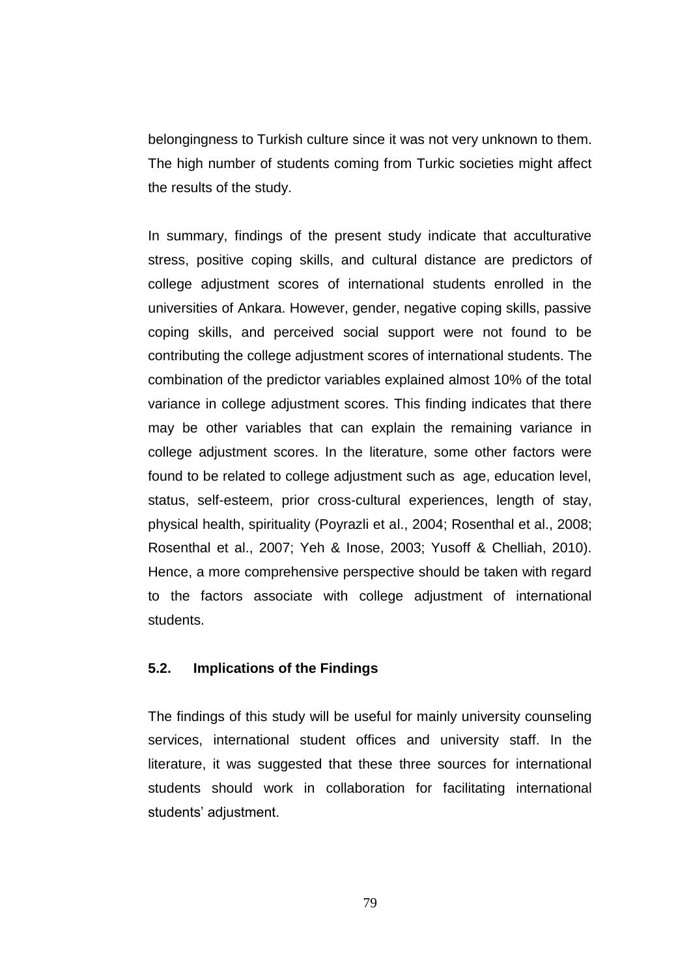belongingness to Turkish culture since it was not very unknown to them. The high number of students coming from Turkic societies might affect the results of the study.

In summary, findings of the present study indicate that acculturative stress, positive coping skills, and cultural distance are predictors of college adjustment scores of international students enrolled in the universities of Ankara. However, gender, negative coping skills, passive coping skills, and perceived social support were not found to be contributing the college adjustment scores of international students. The combination of the predictor variables explained almost 10% of the total variance in college adjustment scores. This finding indicates that there may be other variables that can explain the remaining variance in college adjustment scores. In the literature, some other factors were found to be related to college adjustment such as age, education level, status, self-esteem, prior cross-cultural experiences, length of stay, physical health, spirituality (Poyrazli et al., 2004; Rosenthal et al., 2008; Rosenthal et al., 2007; Yeh & Inose, 2003; Yusoff & Chelliah, 2010). Hence, a more comprehensive perspective should be taken with regard to the factors associate with college adjustment of international students.

# **5.2. Implications of the Findings**

The findings of this study will be useful for mainly university counseling services, international student offices and university staff. In the literature, it was suggested that these three sources for international students should work in collaboration for facilitating international students' adjustment.

79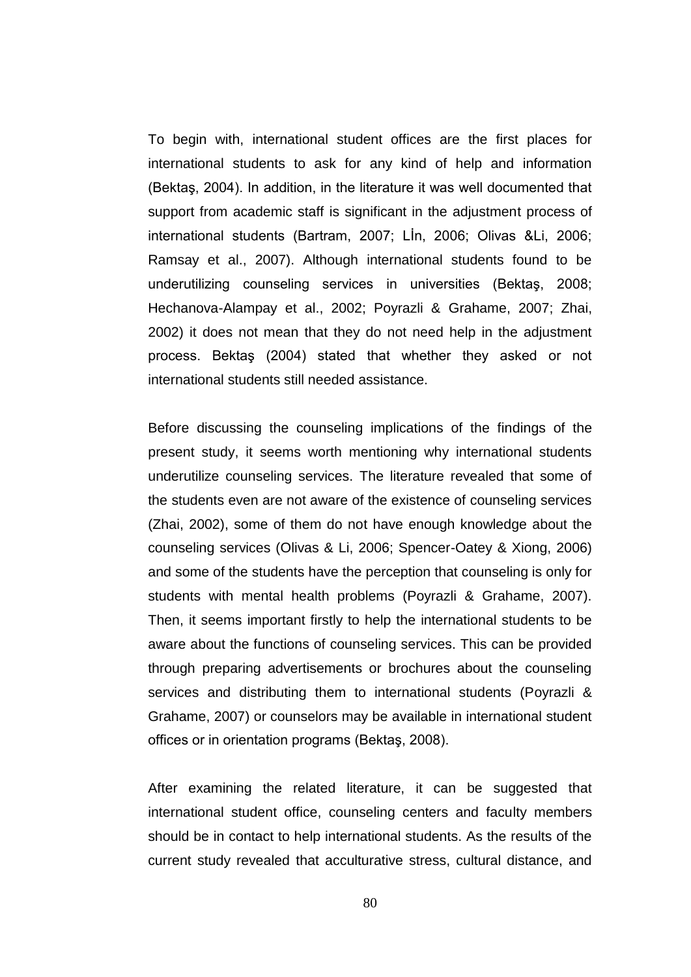To begin with, international student offices are the first places for international students to ask for any kind of help and information (Bektaş, 2004). In addition, in the literature it was well documented that support from academic staff is significant in the adjustment process of international students (Bartram, 2007; LIn, 2006; Olivas &Li, 2006; Ramsay et al., 2007). Although international students found to be underutilizing counseling services in universities (Bektaş, 2008; Hechanova-Alampay et al., 2002; Poyrazli & Grahame, 2007; Zhai, 2002) it does not mean that they do not need help in the adjustment process. Bektaş (2004) stated that whether they asked or not international students still needed assistance.

Before discussing the counseling implications of the findings of the present study, it seems worth mentioning why international students underutilize counseling services. The literature revealed that some of the students even are not aware of the existence of counseling services (Zhai, 2002), some of them do not have enough knowledge about the counseling services (Olivas & Li, 2006; Spencer-Oatey & Xiong, 2006) and some of the students have the perception that counseling is only for students with mental health problems (Poyrazli & Grahame, 2007). Then, it seems important firstly to help the international students to be aware about the functions of counseling services. This can be provided through preparing advertisements or brochures about the counseling services and distributing them to international students (Poyrazli & Grahame, 2007) or counselors may be available in international student offices or in orientation programs (Bektas, 2008).

After examining the related literature, it can be suggested that international student office, counseling centers and faculty members should be in contact to help international students. As the results of the current study revealed that acculturative stress, cultural distance, and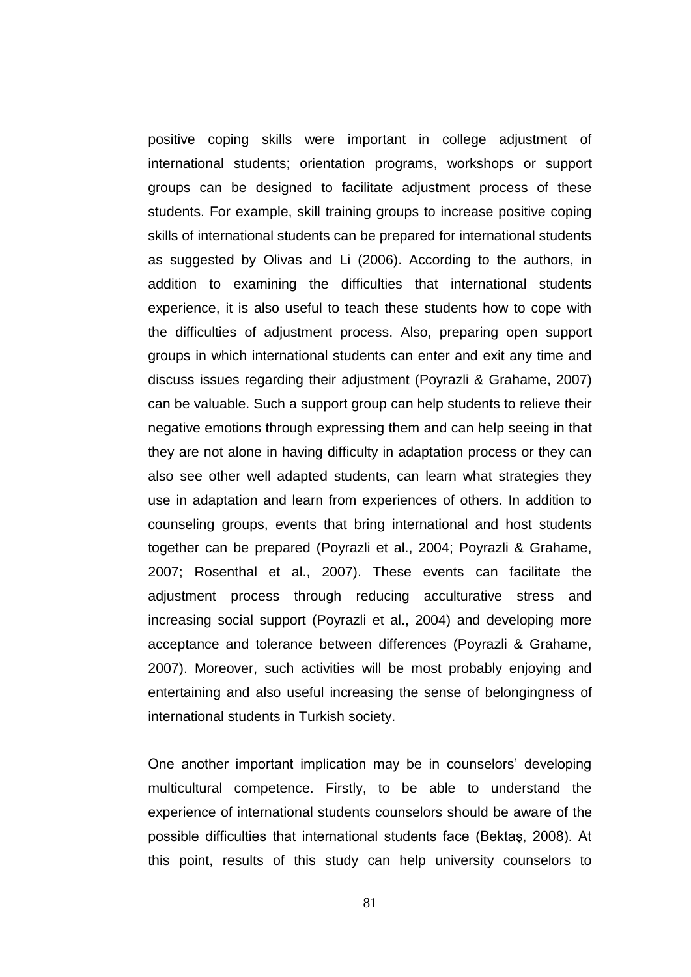positive coping skills were important in college adjustment of international students; orientation programs, workshops or support groups can be designed to facilitate adjustment process of these students. For example, skill training groups to increase positive coping skills of international students can be prepared for international students as suggested by Olivas and Li (2006). According to the authors, in addition to examining the difficulties that international students experience, it is also useful to teach these students how to cope with the difficulties of adjustment process. Also, preparing open support groups in which international students can enter and exit any time and discuss issues regarding their adjustment (Poyrazli & Grahame, 2007) can be valuable. Such a support group can help students to relieve their negative emotions through expressing them and can help seeing in that they are not alone in having difficulty in adaptation process or they can also see other well adapted students, can learn what strategies they use in adaptation and learn from experiences of others. In addition to counseling groups, events that bring international and host students together can be prepared (Poyrazli et al., 2004; Poyrazli & Grahame, 2007; Rosenthal et al., 2007). These events can facilitate the adjustment process through reducing acculturative stress and increasing social support (Poyrazli et al., 2004) and developing more acceptance and tolerance between differences (Poyrazli & Grahame, 2007). Moreover, such activities will be most probably enjoying and entertaining and also useful increasing the sense of belongingness of international students in Turkish society.

One another important implication may be in counselors' developing multicultural competence. Firstly, to be able to understand the experience of international students counselors should be aware of the possible difficulties that international students face (Bektaş, 2008). At this point, results of this study can help university counselors to

81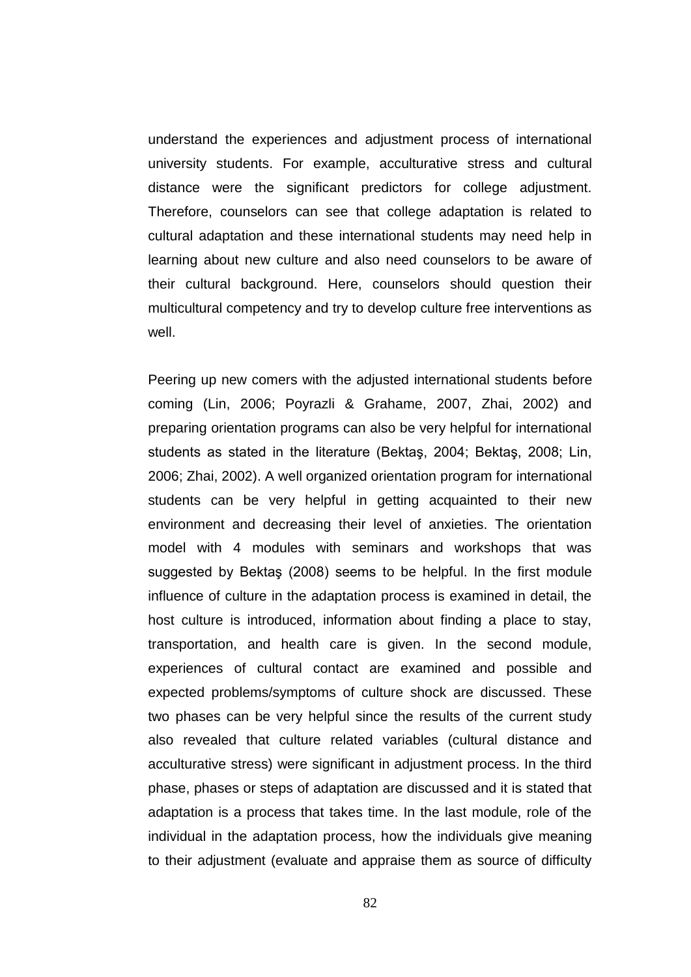understand the experiences and adjustment process of international university students. For example, acculturative stress and cultural distance were the significant predictors for college adjustment. Therefore, counselors can see that college adaptation is related to cultural adaptation and these international students may need help in learning about new culture and also need counselors to be aware of their cultural background. Here, counselors should question their multicultural competency and try to develop culture free interventions as well.

Peering up new comers with the adjusted international students before coming (Lin, 2006; Poyrazli & Grahame, 2007, Zhai, 2002) and preparing orientation programs can also be very helpful for international students as stated in the literature (Bektas, 2004; Bektas, 2008; Lin, 2006; Zhai, 2002). A well organized orientation program for international students can be very helpful in getting acquainted to their new environment and decreasing their level of anxieties. The orientation model with 4 modules with seminars and workshops that was suggested by Bektaş (2008) seems to be helpful. In the first module influence of culture in the adaptation process is examined in detail, the host culture is introduced, information about finding a place to stay, transportation, and health care is given. In the second module, experiences of cultural contact are examined and possible and expected problems/symptoms of culture shock are discussed. These two phases can be very helpful since the results of the current study also revealed that culture related variables (cultural distance and acculturative stress) were significant in adjustment process. In the third phase, phases or steps of adaptation are discussed and it is stated that adaptation is a process that takes time. In the last module, role of the individual in the adaptation process, how the individuals give meaning to their adjustment (evaluate and appraise them as source of difficulty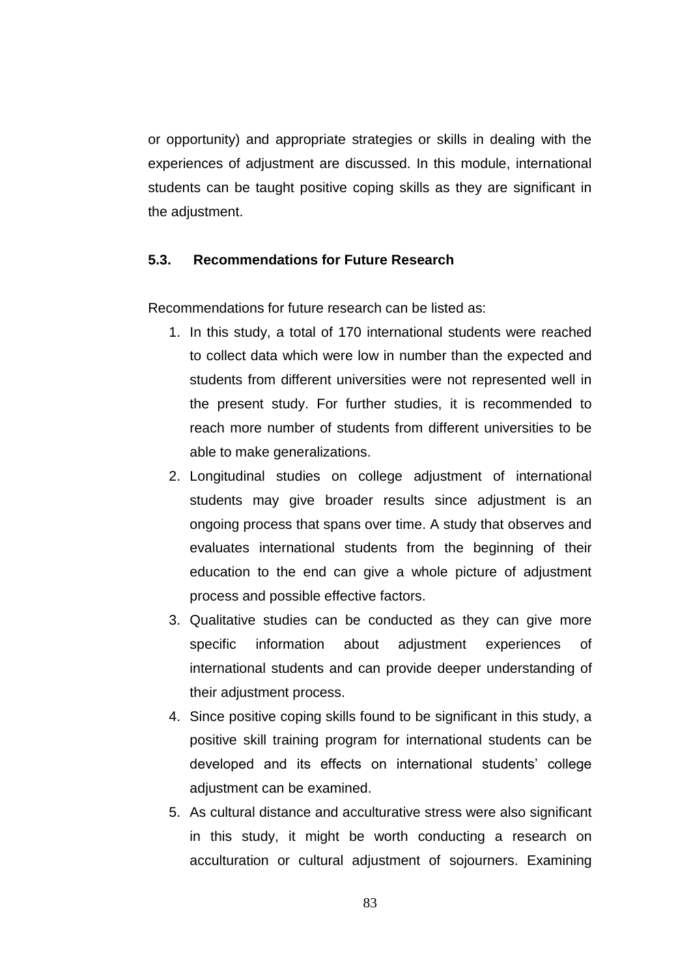or opportunity) and appropriate strategies or skills in dealing with the experiences of adjustment are discussed. In this module, international students can be taught positive coping skills as they are significant in the adjustment.

### **5.3. Recommendations for Future Research**

Recommendations for future research can be listed as:

- 1. In this study, a total of 170 international students were reached to collect data which were low in number than the expected and students from different universities were not represented well in the present study. For further studies, it is recommended to reach more number of students from different universities to be able to make generalizations.
- 2. Longitudinal studies on college adjustment of international students may give broader results since adjustment is an ongoing process that spans over time. A study that observes and evaluates international students from the beginning of their education to the end can give a whole picture of adjustment process and possible effective factors.
- 3. Qualitative studies can be conducted as they can give more specific information about adjustment experiences of international students and can provide deeper understanding of their adjustment process.
- 4. Since positive coping skills found to be significant in this study, a positive skill training program for international students can be developed and its effects on international students' college adjustment can be examined.
- 5. As cultural distance and acculturative stress were also significant in this study, it might be worth conducting a research on acculturation or cultural adjustment of sojourners. Examining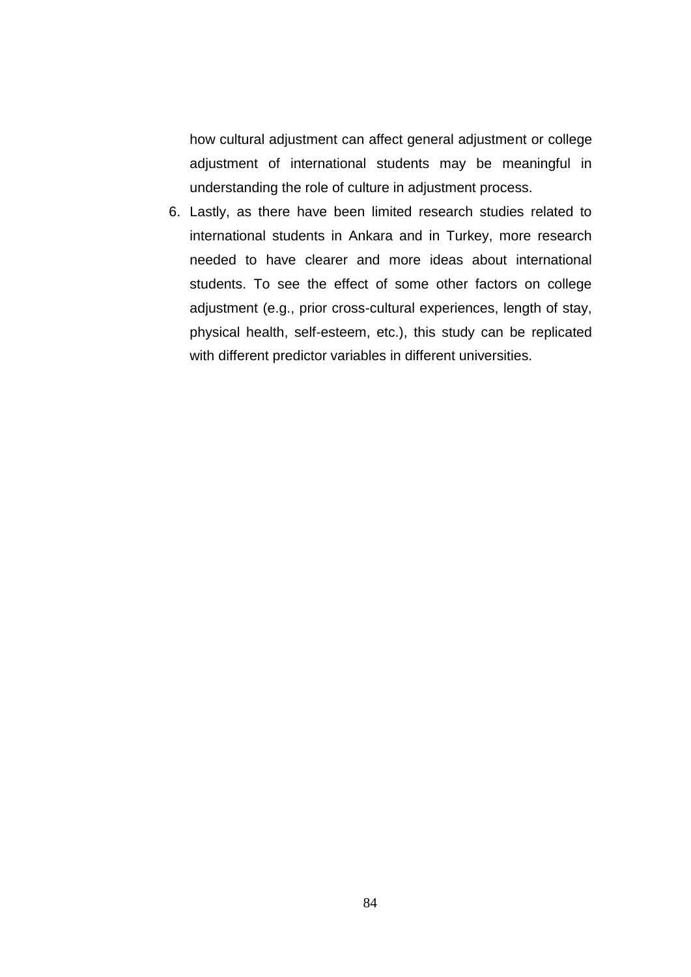how cultural adjustment can affect general adjustment or college adjustment of international students may be meaningful in understanding the role of culture in adjustment process.

6. Lastly, as there have been limited research studies related to international students in Ankara and in Turkey, more research needed to have clearer and more ideas about international students. To see the effect of some other factors on college adjustment (e.g., prior cross-cultural experiences, length of stay, physical health, self-esteem, etc.), this study can be replicated with different predictor variables in different universities.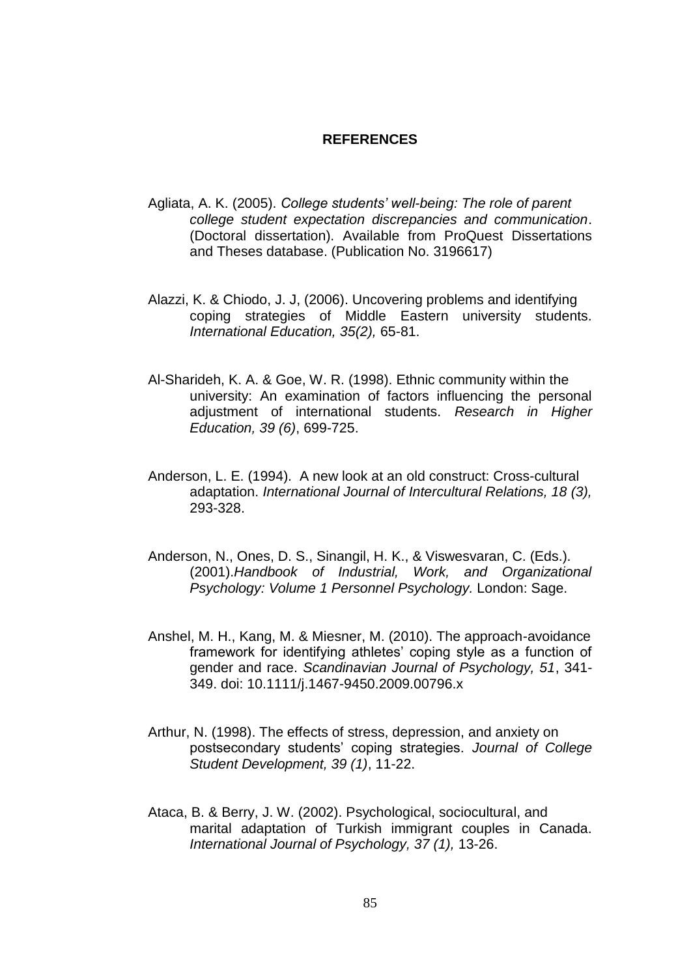## **REFERENCES**

- Agliata, A. K. (2005). *College students' well-being: The role of parent college student expectation discrepancies and communication*. (Doctoral dissertation). Available from ProQuest Dissertations and Theses database. (Publication No. 3196617)
- Alazzi, K. & Chiodo, J. J, (2006). Uncovering problems and identifying coping strategies of Middle Eastern university students. *International Education, 35(2),* 65-81.
- Al-Sharideh, K. A. & Goe, W. R. (1998). Ethnic community within the university: An examination of factors influencing the personal adjustment of international students. *Research in Higher Education, 39 (6)*, 699-725.
- Anderson, L. E. (1994). A new look at an old construct: Cross-cultural adaptation. *International Journal of Intercultural Relations, 18 (3),* 293-328.
- Anderson, N., Ones, D. S., Sinangil, H. K., & Viswesvaran, C. (Eds.). (2001).*Handbook of Industrial, Work, and Organizational Psychology: Volume 1 Personnel Psychology.* London: Sage.
- Anshel, M. H., Kang, M. & Miesner, M. (2010). The approach-avoidance framework for identifying athletes' coping style as a function of gender and race. *Scandinavian Journal of Psychology, 51*, 341- 349. doi: 10.1111/j.1467-9450.2009.00796.x
- Arthur, N. (1998). The effects of stress, depression, and anxiety on postsecondary students" coping strategies. *Journal of College Student Development, 39 (1)*, 11-22.
- Ataca, B. & Berry, J. W. (2002). Psychological, sociocultural, and marital adaptation of Turkish immigrant couples in Canada. *International Journal of Psychology, 37 (1),* 13-26.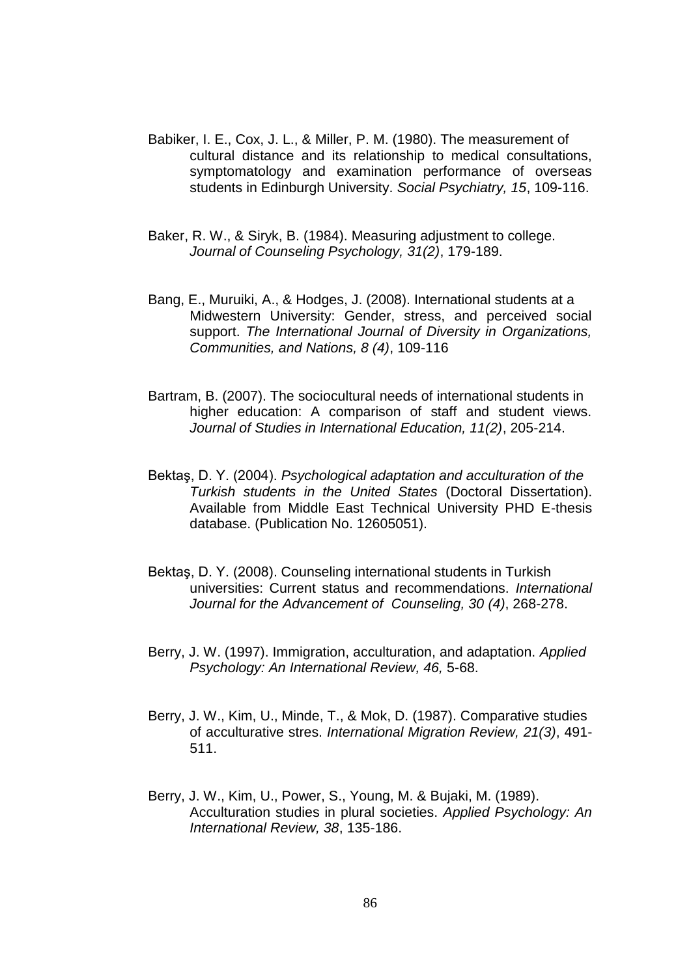- Babiker, I. E., Cox, J. L., & Miller, P. M. (1980). The measurement of cultural distance and its relationship to medical consultations, symptomatology and examination performance of overseas students in Edinburgh University. *Social Psychiatry, 15*, 109-116.
- Baker, R. W., & Siryk, B. (1984). Measuring adjustment to college. *Journal of Counseling Psychology, 31(2)*, 179-189.
- Bang, E., Muruiki, A., & Hodges, J. (2008). International students at a Midwestern University: Gender, stress, and perceived social support. *The International Journal of Diversity in Organizations, Communities, and Nations, 8 (4)*, 109-116
- Bartram, B. (2007). The sociocultural needs of international students in higher education: A comparison of staff and student views. *Journal of Studies in International Education, 11(2)*, 205-214.
- BektaĢ, D. Y. (2004). *Psychological adaptation and acculturation of the Turkish students in the United States* (Doctoral Dissertation). Available from Middle East Technical University PHD E-thesis database. (Publication No. 12605051).
- Bektas, D. Y. (2008). Counseling international students in Turkish universities: Current status and recommendations. *International Journal for the Advancement of Counseling, 30 (4)*, 268-278.
- Berry, J. W. (1997). Immigration, acculturation, and adaptation. *Applied Psychology: An International Review, 46,* 5-68.
- Berry, J. W., Kim, U., Minde, T., & Mok, D. (1987). Comparative studies of acculturative stres. *International Migration Review, 21(3)*, 491- 511.
- Berry, J. W., Kim, U., Power, S., Young, M. & Bujaki, M. (1989). Acculturation studies in plural societies. *Applied Psychology: An International Review, 38*, 135-186.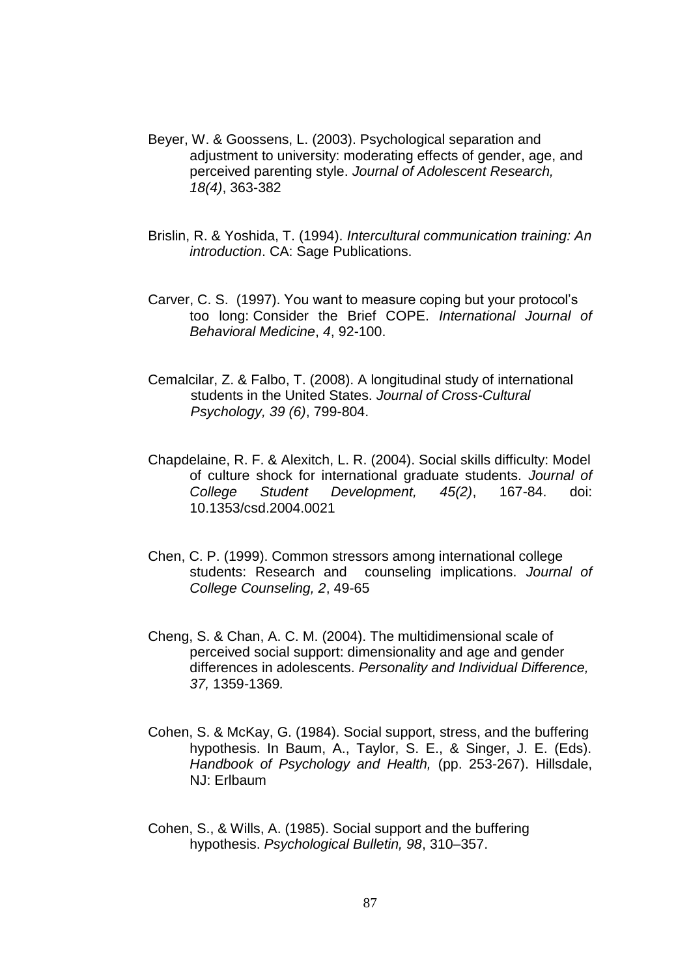- Beyer, W. & Goossens, L. (2003). Psychological separation and adjustment to university: moderating effects of gender, age, and perceived parenting style. *Journal of Adolescent Research, 18(4)*, 363-382
- Brislin, R. & Yoshida, T. (1994). *Intercultural communication training: An introduction*. CA: Sage Publications.
- Carver, C. S. (1997). You want to measure coping but your protocol"s too long: Consider the Brief COPE. *International Journal of Behavioral Medicine*, *4*, 92-100.
- Cemalcilar, Z. & Falbo, T. (2008). A longitudinal study of international students in the United States. *Journal of Cross-Cultural Psychology, 39 (6)*, 799-804.
- Chapdelaine, R. F. & Alexitch, L. R. (2004). Social skills difficulty: Model of culture shock for international graduate students. *Journal of College Student Development, 45(2)*, 167-84. doi: 10.1353/csd.2004.0021
- Chen, C. P. (1999). Common stressors among international college students: Research and counseling implications. *Journal of College Counseling, 2*, 49-65
- Cheng, S. & Chan, A. C. M. (2004). The multidimensional scale of perceived social support: dimensionality and age and gender differences in adolescents. *Personality and Individual Difference, 37,* 1359*-*1369*.*
- Cohen, S. & McKay, G. (1984). Social support, stress, and the buffering hypothesis. In Baum, A., Taylor, S. E., & Singer, J. E. (Eds). *Handbook of Psychology and Health,* (pp. 253-267). Hillsdale, NJ: Erlbaum
- Cohen, S., & Wills, A. (1985). Social support and the buffering hypothesis. *Psychological Bulletin, 98*, 310–357.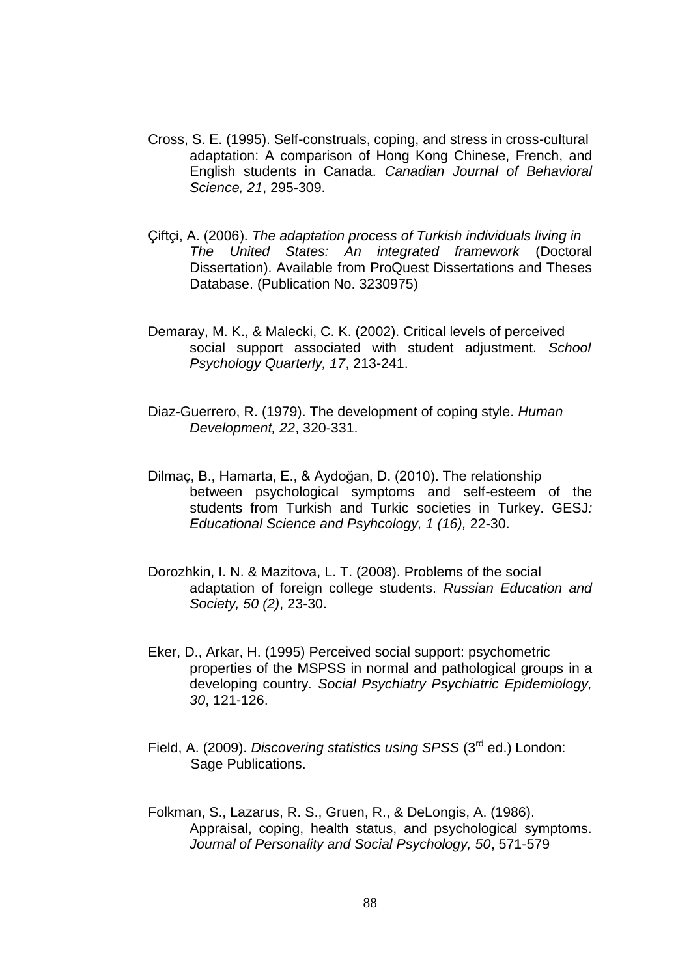- Cross, S. E. (1995). Self-construals, coping, and stress in cross-cultural adaptation: A comparison of Hong Kong Chinese, French, and English students in Canada. *Canadian Journal of Behavioral Science, 21*, 295-309.
- Çiftçi, A. (2006). *The adaptation process of Turkish individuals living in The United States: An integrated framework* (Doctoral Dissertation). Available from ProQuest Dissertations and Theses Database. (Publication No. 3230975)
- Demaray, M. K., & Malecki, C. K. (2002). Critical levels of perceived social support associated with student adjustment. *School Psychology Quarterly, 17*, 213-241.
- Diaz-Guerrero, R. (1979). The development of coping style. *Human Development, 22*, 320-331.
- Dilmaç, B., Hamarta, E., & Aydoğan, D. (2010). The relationship between psychological symptoms and self-esteem of the students from Turkish and Turkic societies in Turkey. GESJ*: Educational Science and Psyhcology, 1 (16),* 22-30.
- Dorozhkin, I. N. & Mazitova, L. T. (2008). Problems of the social adaptation of foreign college students. *Russian Education and Society, 50 (2)*, 23-30.
- Eker, D., Arkar, H. (1995) Perceived social support: psychometric properties of the MSPSS in normal and pathological groups in a developing country*. Social Psychiatry Psychiatric Epidemiology, 30*, 121-126.
- Field, A. (2009). *Discovering statistics using SPSS* (3rd ed.) London: Sage Publications.
- Folkman, S., Lazarus, R. S., Gruen, R., & DeLongis, A. (1986). Appraisal, coping, health status, and psychological symptoms. *Journal of Personality and Social Psychology, 50*, 571-579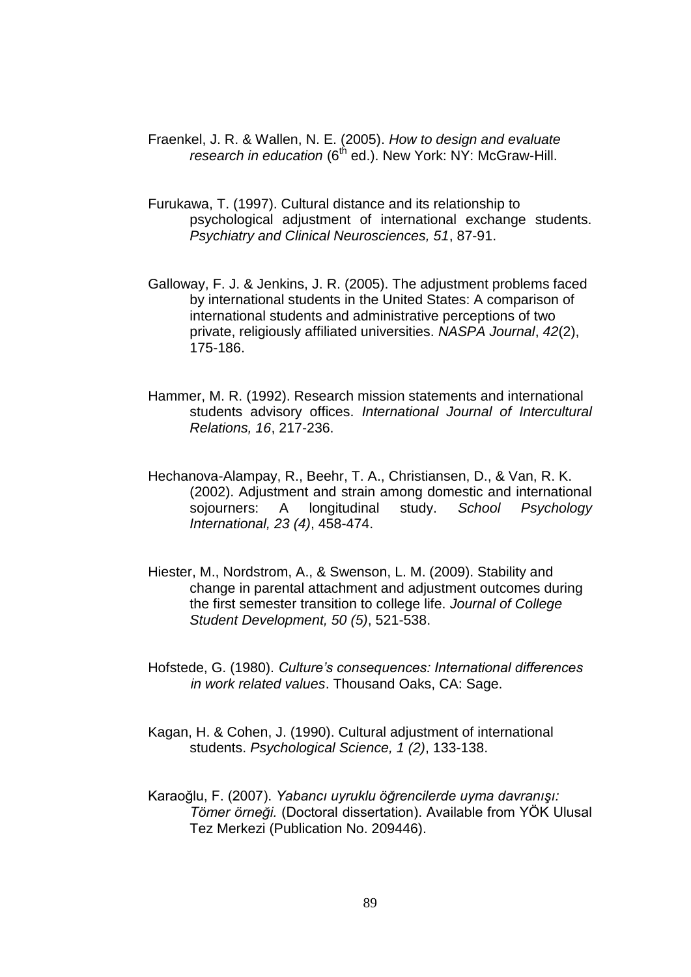- Fraenkel, J. R. & Wallen, N. E. (2005). *How to design and evaluate research in education* (6<sup>th</sup> ed.). New York: NY: McGraw-Hill.
- Furukawa, T. (1997). Cultural distance and its relationship to psychological adjustment of international exchange students. *Psychiatry and Clinical Neurosciences, 51*, 87-91.
- Galloway, F. J. & Jenkins, J. R. (2005). The adjustment problems faced by international students in the United States: A comparison of international students and administrative perceptions of two private, religiously affiliated universities. *NASPA Journal*, *42*(2), 175-186.
- Hammer, M. R. (1992). Research mission statements and international students advisory offices. *International Journal of Intercultural Relations, 16*, 217-236.
- Hechanova-Alampay, R., Beehr, T. A., Christiansen, D., & Van, R. K. (2002). Adjustment and strain among domestic and international sojourners: A longitudinal study. *School Psychology International, 23 (4)*, 458-474.
- Hiester, M., Nordstrom, A., & Swenson, L. M. (2009). Stability and change in parental attachment and adjustment outcomes during the first semester transition to college life. *Journal of College Student Development, 50 (5)*, 521-538.
- Hofstede, G. (1980). *Culture's consequences: International differences in work related values*. Thousand Oaks, CA: Sage.
- Kagan, H. & Cohen, J. (1990). Cultural adjustment of international students. *Psychological Science, 1 (2)*, 133-138.
- Karaoğlu, F. (2007). *Yabancı uyruklu öğrencilerde uyma davranışı: Tömer örneği.* (Doctoral dissertation). Available from YÖK Ulusal Tez Merkezi (Publication No. 209446).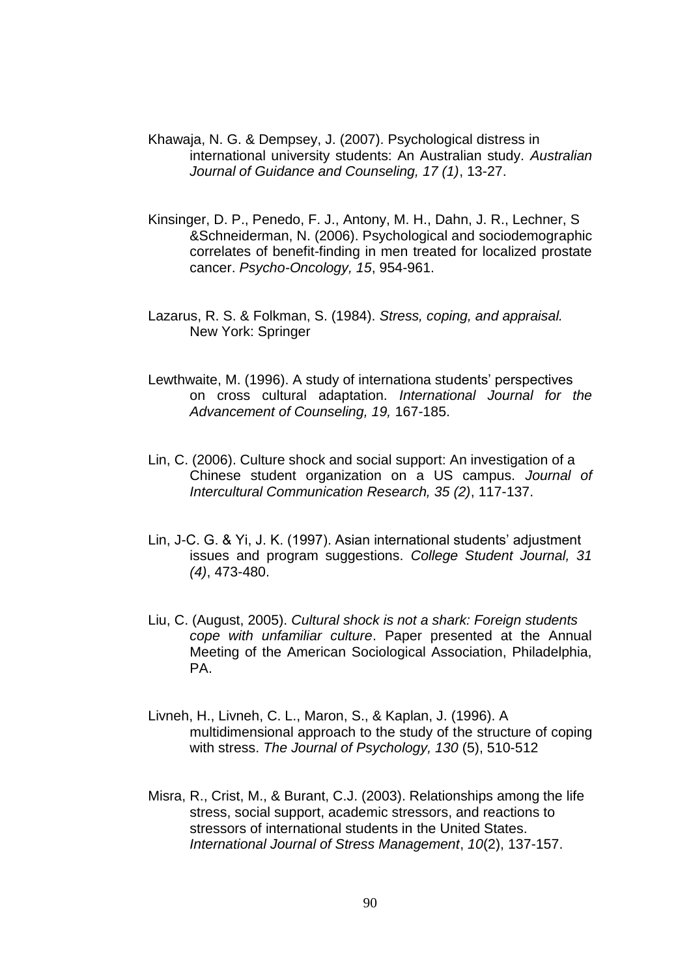- Khawaja, N. G. & Dempsey, J. (2007). Psychological distress in international university students: An Australian study. *Australian Journal of Guidance and Counseling, 17 (1)*, 13-27.
- Kinsinger, D. P., Penedo, F. J., Antony, M. H., Dahn, J. R., Lechner, S &Schneiderman, N. (2006). Psychological and sociodemographic correlates of benefit-finding in men treated for localized prostate cancer. *Psycho-Oncology, 15*, 954-961.
- Lazarus, R. S. & Folkman, S. (1984). *Stress, coping, and appraisal.* New York: Springer
- Lewthwaite, M. (1996). A study of internationa students' perspectives on cross cultural adaptation. *International Journal for the Advancement of Counseling, 19,* 167-185.
- Lin, C. (2006). Culture shock and social support: An investigation of a Chinese student organization on a US campus. *Journal of Intercultural Communication Research, 35 (2)*, 117-137.
- Lin, J-C. G. & Yi, J. K. (1997). Asian international students" adjustment issues and program suggestions. *College Student Journal, 31 (4)*, 473-480.
- Liu, C. (August, 2005). *Cultural shock is not a shark: Foreign students cope with unfamiliar culture*. Paper presented at the Annual Meeting of the American Sociological Association, Philadelphia, PA.
- Livneh, H., Livneh, C. L., Maron, S., & Kaplan, J. (1996). A multidimensional approach to the study of the structure of coping with stress. *The Journal of Psychology, 130* (5), 510-512
- Misra, R., Crist, M., & Burant, C.J. (2003). Relationships among the life stress, social support, academic stressors, and reactions to stressors of international students in the United States. *International Journal of Stress Management*, *10*(2), 137-157.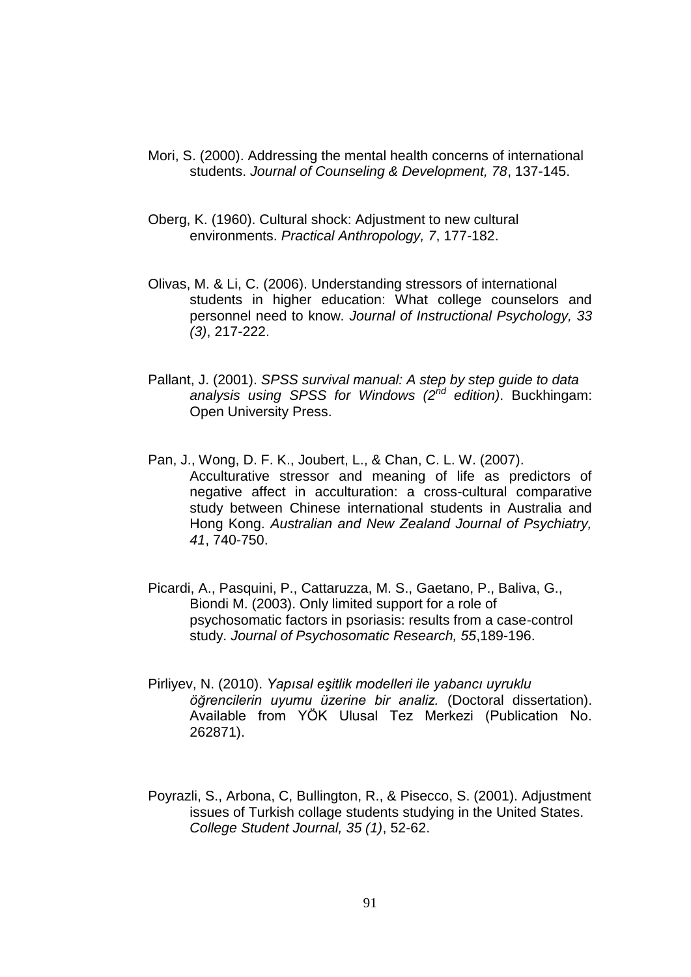- Mori, S. (2000). Addressing the mental health concerns of international students. *Journal of Counseling & Development, 78*, 137-145.
- Oberg, K. (1960). Cultural shock: Adjustment to new cultural environments. *Practical Anthropology, 7*, 177-182.
- Olivas, M. & Li, C. (2006). Understanding stressors of international students in higher education: What college counselors and personnel need to know. *Journal of Instructional Psychology, 33 (3)*, 217-222.
- Pallant, J. (2001). *SPSS survival manual: A step by step guide to data analysis using SPSS for Windows (2nd edition)*. Buckhingam: Open University Press.
- Pan, J., Wong, D. F. K., Joubert, L., & Chan, C. L. W. (2007). Acculturative stressor and meaning of life as predictors of negative affect in acculturation: a cross-cultural comparative study between Chinese international students in Australia and Hong Kong. *Australian and New Zealand Journal of Psychiatry, 41*, 740-750.
- Picardi, A., Pasquini, P., Cattaruzza, M. S., Gaetano, P., Baliva, G., Biondi M. (2003). Only limited support for a role of psychosomatic factors in psoriasis: results from a case-control study. *Journal of Psychosomatic Research, 55*,189-196.
- Pirliyev, N. (2010). *Yapısal eşitlik modelleri ile yabancı uyruklu öğrencilerin uyumu üzerine bir analiz.* (Doctoral dissertation). Available from YÖK Ulusal Tez Merkezi (Publication No. 262871).
- Poyrazli, S., Arbona, C, Bullington, R., & Pisecco, S. (2001). Adjustment issues of Turkish collage students studying in the United States. *College Student Journal, 35 (1)*, 52-62.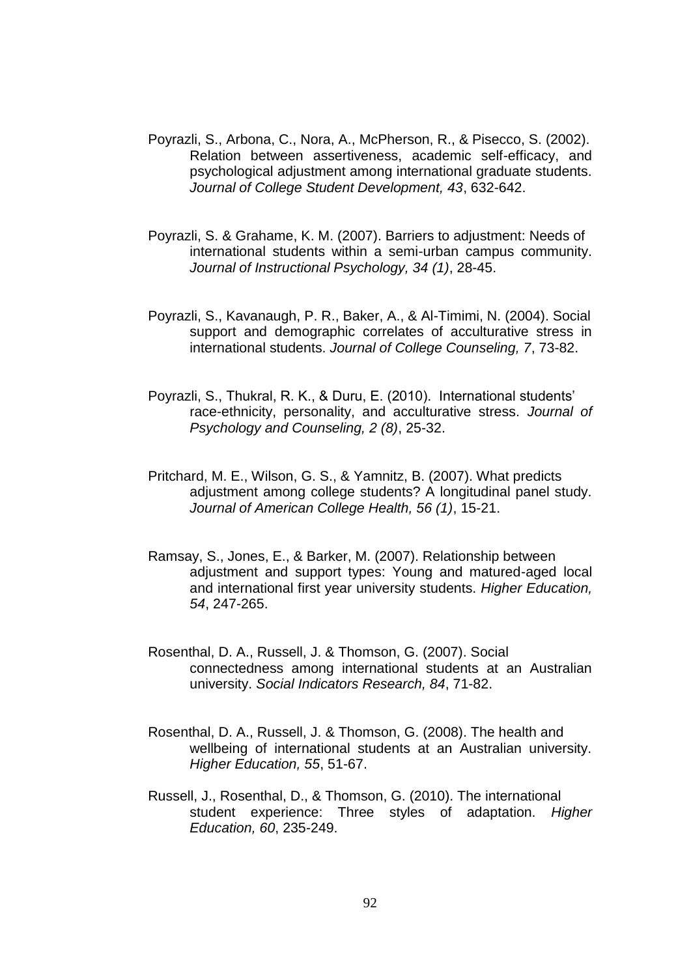- Poyrazli, S., Arbona, C., Nora, A., McPherson, R., & Pisecco, S. (2002). Relation between assertiveness, academic self-efficacy, and psychological adjustment among international graduate students. *Journal of College Student Development, 43*, 632-642.
- Poyrazli, S. & Grahame, K. M. (2007). Barriers to adjustment: Needs of international students within a semi-urban campus community. *Journal of Instructional Psychology, 34 (1)*, 28-45.
- Poyrazli, S., Kavanaugh, P. R., Baker, A., & Al-Timimi, N. (2004). Social support and demographic correlates of acculturative stress in international students. *Journal of College Counseling, 7*, 73-82.
- Poyrazli, S., Thukral, R. K., & Duru, E. (2010). International students" race-ethnicity, personality, and acculturative stress. *Journal of Psychology and Counseling, 2 (8)*, 25-32.
- Pritchard, M. E., Wilson, G. S., & Yamnitz, B. (2007). What predicts adjustment among college students? A longitudinal panel study. *Journal of American College Health, 56 (1)*, 15-21.
- Ramsay, S., Jones, E., & Barker, M. (2007). Relationship between adjustment and support types: Young and matured-aged local and international first year university students. *Higher Education, 54*, 247-265.
- Rosenthal, D. A., Russell, J. & Thomson, G. (2007). Social connectedness among international students at an Australian university. *Social Indicators Research, 84*, 71-82.
- Rosenthal, D. A., Russell, J. & Thomson, G. (2008). The health and wellbeing of international students at an Australian university. *Higher Education, 55*, 51-67.
- Russell, J., Rosenthal, D., & Thomson, G. (2010). The international student experience: Three styles of adaptation. *Higher Education, 60*, 235-249.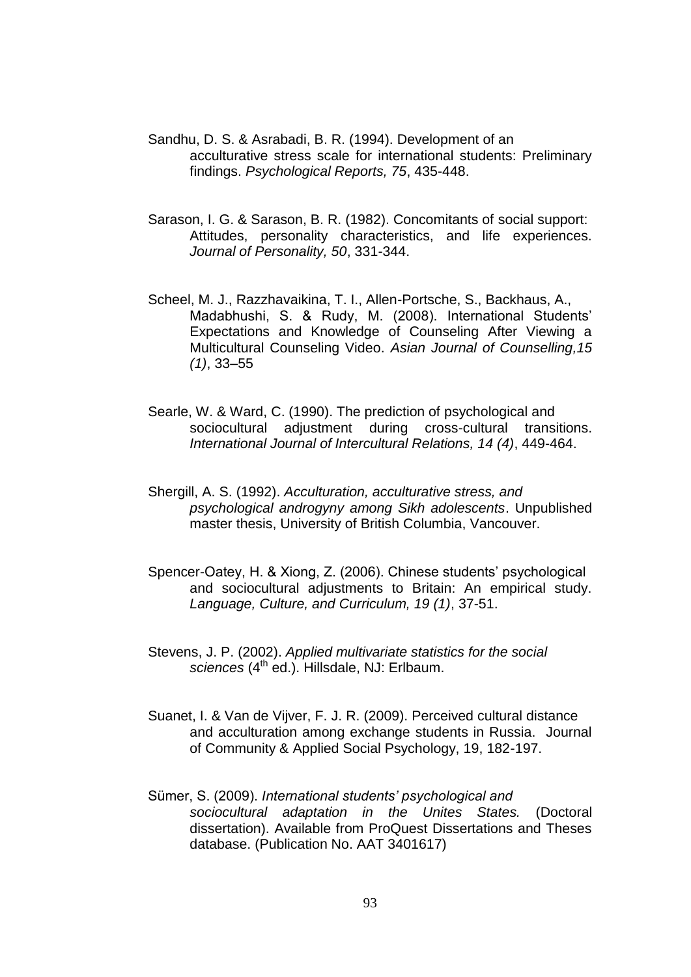- Sandhu, D. S. & Asrabadi, B. R. (1994). Development of an acculturative stress scale for international students: Preliminary findings. *Psychological Reports, 75*, 435-448.
- Sarason, I. G. & Sarason, B. R. (1982). Concomitants of social support: Attitudes, personality characteristics, and life experiences. *Journal of Personality, 50*, 331-344.
- Scheel, M. J., Razzhavaikina, T. I., Allen-Portsche, S., Backhaus, A., Madabhushi, S. & Rudy, M. (2008). International Students" Expectations and Knowledge of Counseling After Viewing a Multicultural Counseling Video. *Asian Journal of Counselling,15 (1)*, 33–55
- Searle, W. & Ward, C. (1990). The prediction of psychological and sociocultural adjustment during cross-cultural transitions. *International Journal of Intercultural Relations, 14 (4)*, 449-464.
- Shergill, A. S. (1992). *Acculturation, acculturative stress, and psychological androgyny among Sikh adolescents*. Unpublished master thesis, University of British Columbia, Vancouver.
- Spencer-Oatey, H. & Xiong, Z. (2006). Chinese students" psychological and sociocultural adjustments to Britain: An empirical study. *Language, Culture, and Curriculum, 19 (1)*, 37-51.
- Stevens, J. P. (2002). *Applied multivariate statistics for the social* sciences (4<sup>th</sup> ed.). Hillsdale, NJ: Erlbaum.
- Suanet, I. & Van de Vijver, F. J. R. (2009). Perceived cultural distance and acculturation among exchange students in Russia. Journal of Community & Applied Social Psychology, 19, 182-197.
- Sümer, S. (2009). *International students' psychological and sociocultural adaptation in the Unites States.* (Doctoral dissertation). Available from ProQuest Dissertations and Theses database. (Publication No. AAT 3401617)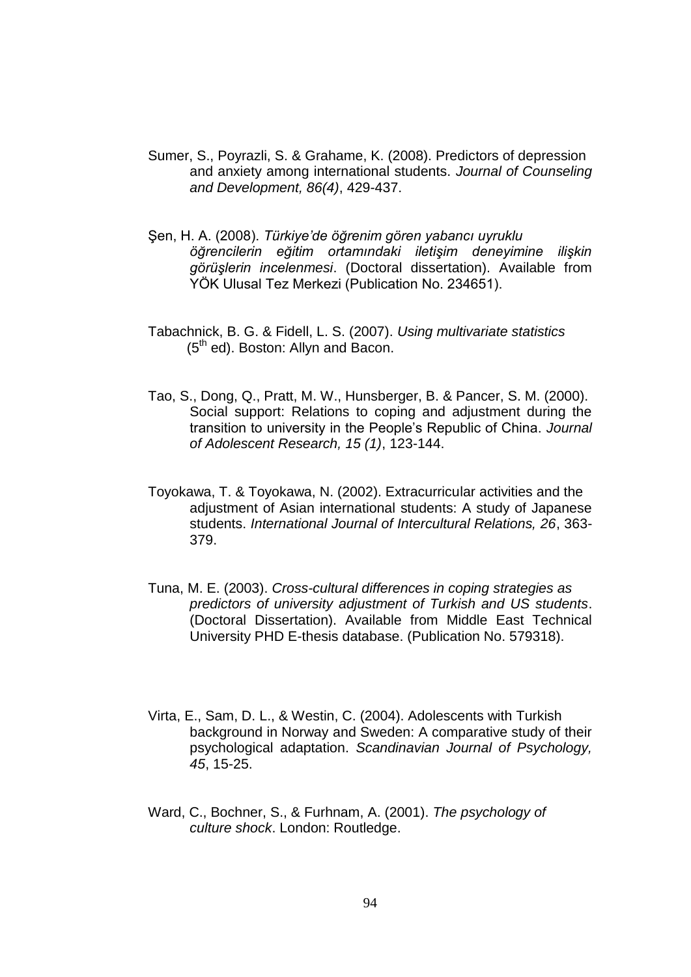- Sumer, S., Poyrazli, S. & Grahame, K. (2008). Predictors of depression and anxiety among international students. *Journal of Counseling and Development, 86(4)*, 429-437.
- ġen, H. A. (2008). *Türkiye'de öğrenim gören yabancı uyruklu öğrencilerin eğitim ortamındaki iletişim deneyimine ilişkin görüşlerin incelenmesi*. (Doctoral dissertation). Available from YÖK Ulusal Tez Merkezi (Publication No. 234651).
- Tabachnick, B. G. & Fidell, L. S. (2007). *Using multivariate statistics* (5<sup>th</sup> ed). Boston: Allyn and Bacon.
- Tao, S., Dong, Q., Pratt, M. W., Hunsberger, B. & Pancer, S. M. (2000). Social support: Relations to coping and adjustment during the transition to university in the People"s Republic of China. *Journal of Adolescent Research, 15 (1)*, 123-144.
- Toyokawa, T. & Toyokawa, N. (2002). Extracurricular activities and the adjustment of Asian international students: A study of Japanese students. *International Journal of Intercultural Relations, 26*, 363- 379.
- Tuna, M. E. (2003). *Cross-cultural differences in coping strategies as predictors of university adjustment of Turkish and US students*. (Doctoral Dissertation). Available from Middle East Technical University PHD E-thesis database. (Publication No. 579318).
- Virta, E., Sam, D. L., & Westin, C. (2004). Adolescents with Turkish background in Norway and Sweden: A comparative study of their psychological adaptation. *Scandinavian Journal of Psychology, 45*, 15-25.
- Ward, C., Bochner, S., & Furhnam, A. (2001). *The psychology of culture shock*. London: Routledge.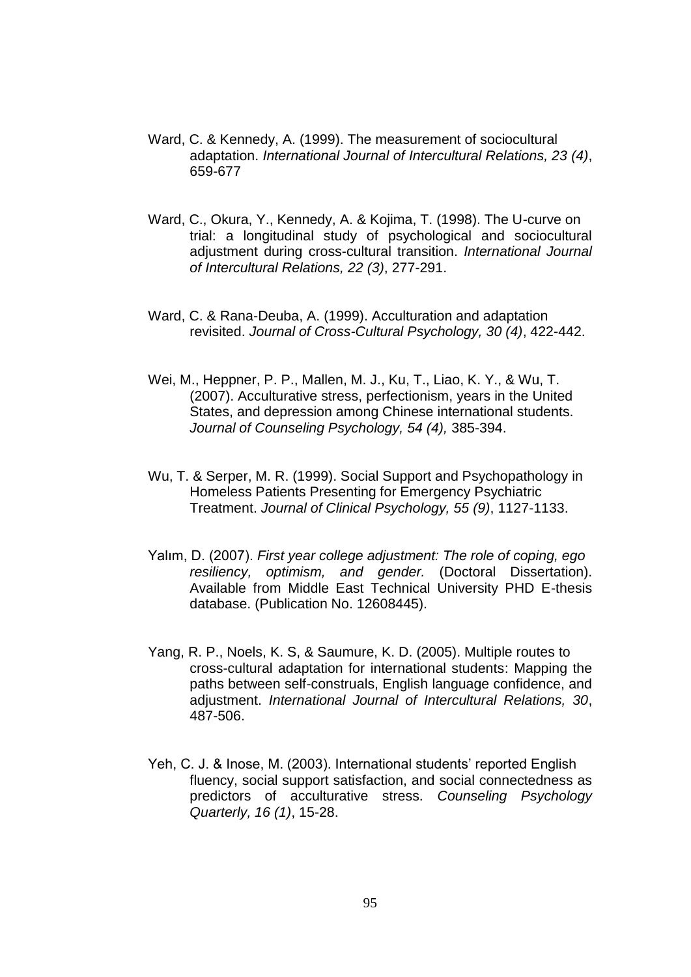- Ward, C. & Kennedy, A. (1999). The measurement of sociocultural adaptation. *International Journal of Intercultural Relations, 23 (4)*, 659-677
- Ward, C., Okura, Y., Kennedy, A. & Kojima, T. (1998). The U-curve on trial: a longitudinal study of psychological and sociocultural adjustment during cross-cultural transition. *International Journal of Intercultural Relations, 22 (3)*, 277-291.
- Ward, C. & Rana-Deuba, A. (1999). Acculturation and adaptation revisited. *Journal of Cross-Cultural Psychology, 30 (4)*, 422-442.
- Wei, M., Heppner, P. P., Mallen, M. J., Ku, T., Liao, K. Y., & Wu, T. (2007). Acculturative stress, perfectionism, years in the United States, and depression among Chinese international students. *Journal of Counseling Psychology, 54 (4),* 385-394.
- Wu, T. & Serper, M. R. (1999). Social Support and Psychopathology in Homeless Patients Presenting for Emergency Psychiatric Treatment. *Journal of Clinical Psychology, 55 (9)*, 1127-1133.
- Yalım, D. (2007). *First year college adjustment: The role of coping, ego resiliency, optimism, and gender.* (Doctoral Dissertation). Available from Middle East Technical University PHD E-thesis database. (Publication No. 12608445).
- Yang, R. P., Noels, K. S, & Saumure, K. D. (2005). Multiple routes to cross-cultural adaptation for international students: Mapping the paths between self-construals, English language confidence, and adjustment. *International Journal of Intercultural Relations, 30*, 487-506.
- Yeh, C. J. & Inose, M. (2003). International students' reported English fluency, social support satisfaction, and social connectedness as predictors of acculturative stress. *Counseling Psychology Quarterly, 16 (1)*, 15-28.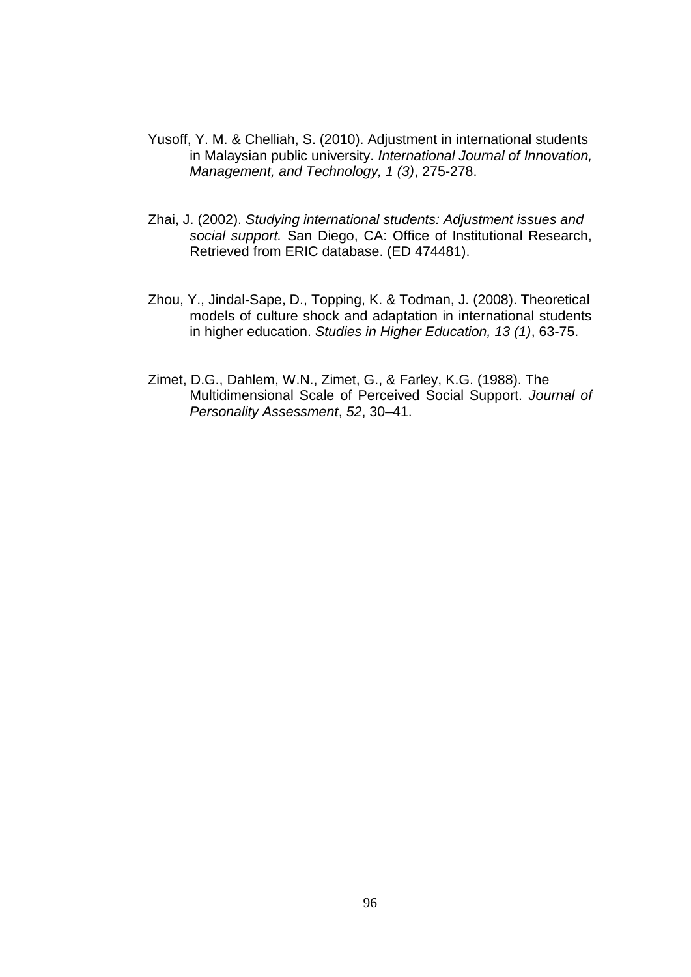- Yusoff, Y. M. & Chelliah, S. (2010). Adjustment in international students in Malaysian public university. *International Journal of Innovation, Management, and Technology, 1 (3)*, 275-278.
- Zhai, J. (2002). *Studying international students: Adjustment issues and social support.* San Diego, CA: Office of Institutional Research, Retrieved from ERIC database. (ED 474481).
- Zhou, Y., Jindal-Sape, D., Topping, K. & Todman, J. (2008). Theoretical models of culture shock and adaptation in international students in higher education. *Studies in Higher Education, 13 (1)*, 63-75.
- Zimet, D.G., Dahlem, W.N., Zimet, G., & Farley, K.G. (1988). The Multidimensional Scale of Perceived Social Support. *Journal of Personality Assessment*, *52*, 30–41.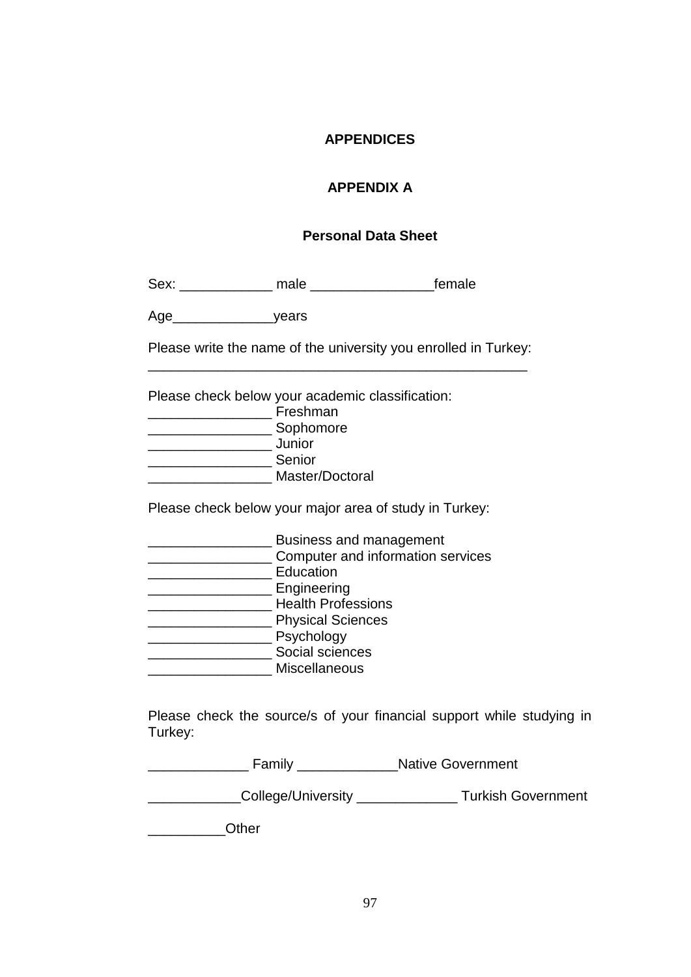#### **APPENDICES**

### **APPENDIX A**

#### **Personal Data Sheet**

Sex: \_\_\_\_\_\_\_\_\_\_\_\_ male \_\_\_\_\_\_\_\_\_\_\_\_\_\_\_\_female

Age\_\_\_\_\_\_\_\_\_\_\_\_\_years

Please write the name of the university you enrolled in Turkey: \_\_\_\_\_\_\_\_\_\_\_\_\_\_\_\_\_\_\_\_\_\_\_\_\_\_\_\_\_\_\_\_\_\_\_\_\_\_\_\_\_\_\_\_\_\_\_\_\_

Please check below your academic classification:

\_\_\_\_\_\_\_\_\_\_\_\_\_\_\_\_ Freshman \_\_\_\_\_\_\_\_\_\_\_\_\_\_\_\_ Sophomore \_\_\_\_\_\_\_\_\_\_\_\_\_\_\_\_ Junior \_\_\_\_\_\_\_\_\_\_\_\_\_\_\_\_ Senior \_\_\_\_\_\_\_\_\_\_\_\_\_\_\_\_ Master/Doctoral

Please check below your major area of study in Turkey:

| <b>Business and management</b>    |
|-----------------------------------|
| Computer and information services |
| Education                         |
| Engineering                       |
| <b>Health Professions</b>         |
| <b>Physical Sciences</b>          |
| Psychology                        |
| Social sciences                   |
| <b>Miscellaneous</b>              |

Please check the source/s of your financial support while studying in Turkey:

| Family             | <b>Native Government</b>  |  |  |
|--------------------|---------------------------|--|--|
| College/University | <b>Turkish Government</b> |  |  |
| Other              |                           |  |  |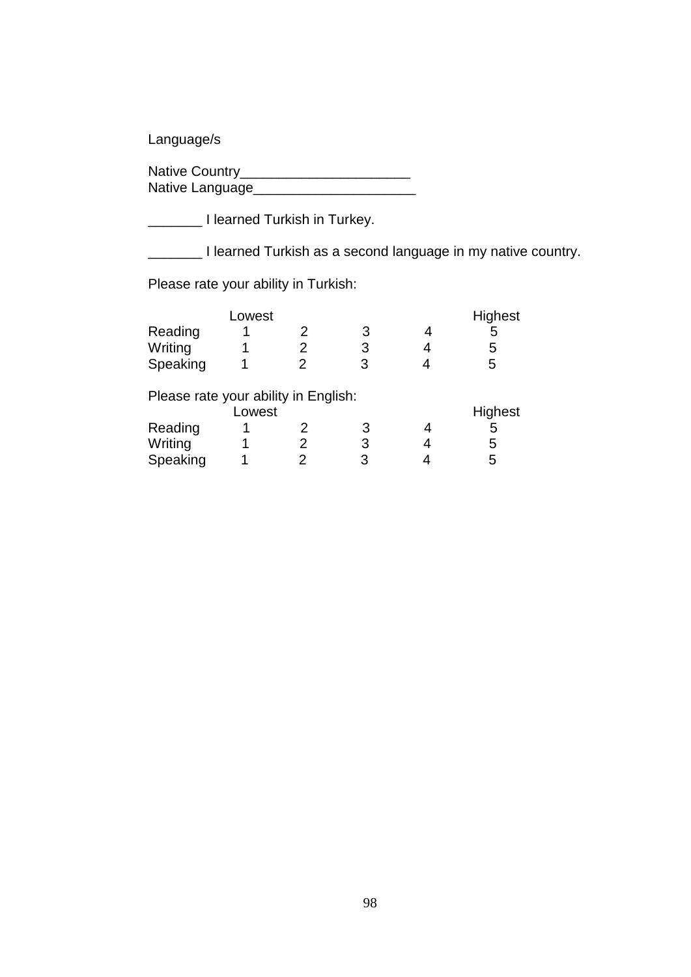Language/s

| Native Country_ |  |
|-----------------|--|
| Native Language |  |

\_\_\_\_\_\_\_ I learned Turkish in Turkey.

\_\_\_\_\_\_\_ I learned Turkish as a second language in my native country.

Please rate your ability in Turkish:

|                                      | Lowest |   |   | Highest |
|--------------------------------------|--------|---|---|---------|
| Reading                              |        |   |   | 5       |
| Writing                              |        |   | 3 | 5       |
| Speaking                             |        | 2 | 3 | 5       |
| Please rate your ability in English: |        |   |   |         |
|                                      | Lowest |   |   | Highest |
| Reading                              |        |   | З | 5       |
| Writing                              |        |   | 3 | 5       |
| Speaking                             |        |   | 3 | 5       |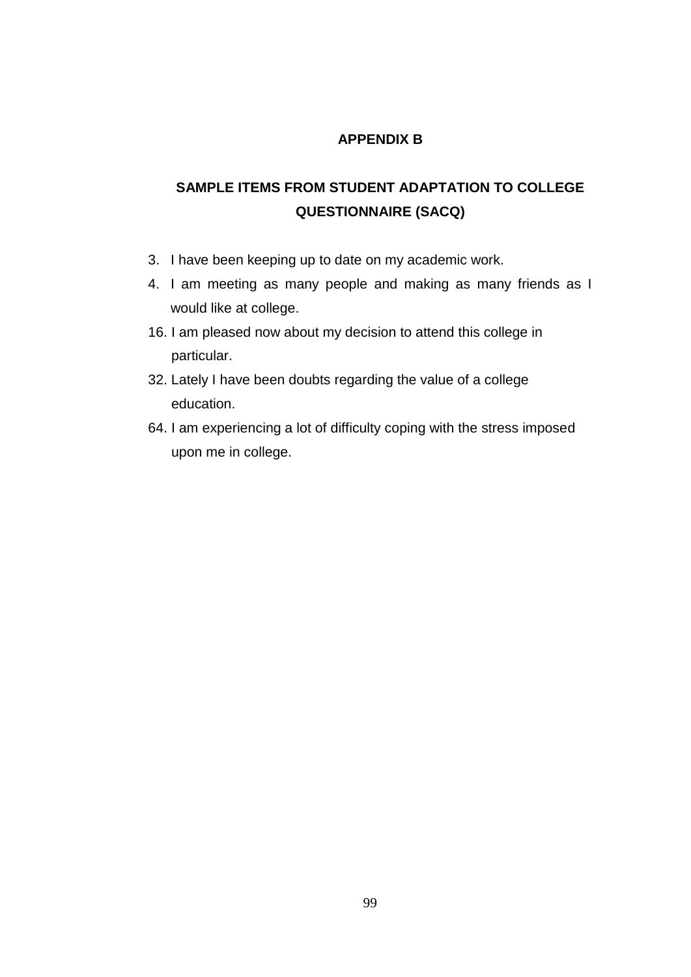#### **APPENDIX B**

## **SAMPLE ITEMS FROM STUDENT ADAPTATION TO COLLEGE QUESTIONNAIRE (SACQ)**

- 3. I have been keeping up to date on my academic work.
- 4. I am meeting as many people and making as many friends as I would like at college.
- 16. I am pleased now about my decision to attend this college in particular.
- 32. Lately I have been doubts regarding the value of a college education.
- 64. I am experiencing a lot of difficulty coping with the stress imposed upon me in college.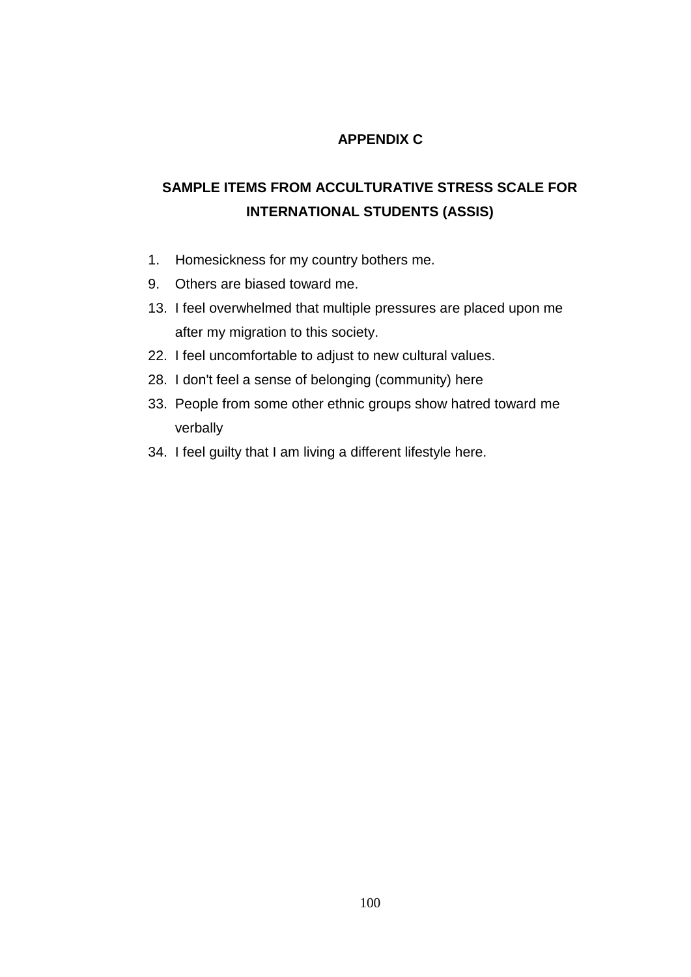## **APPENDIX C**

## **SAMPLE ITEMS FROM ACCULTURATIVE STRESS SCALE FOR INTERNATIONAL STUDENTS (ASSIS)**

- 1. Homesickness for my country bothers me.
- 9. Others are biased toward me.
- 13. I feel overwhelmed that multiple pressures are placed upon me after my migration to this society.
- 22. I feel uncomfortable to adjust to new cultural values.
- 28. I don't feel a sense of belonging (community) here
- 33. People from some other ethnic groups show hatred toward me verbally
- 34. I feel guilty that I am living a different lifestyle here.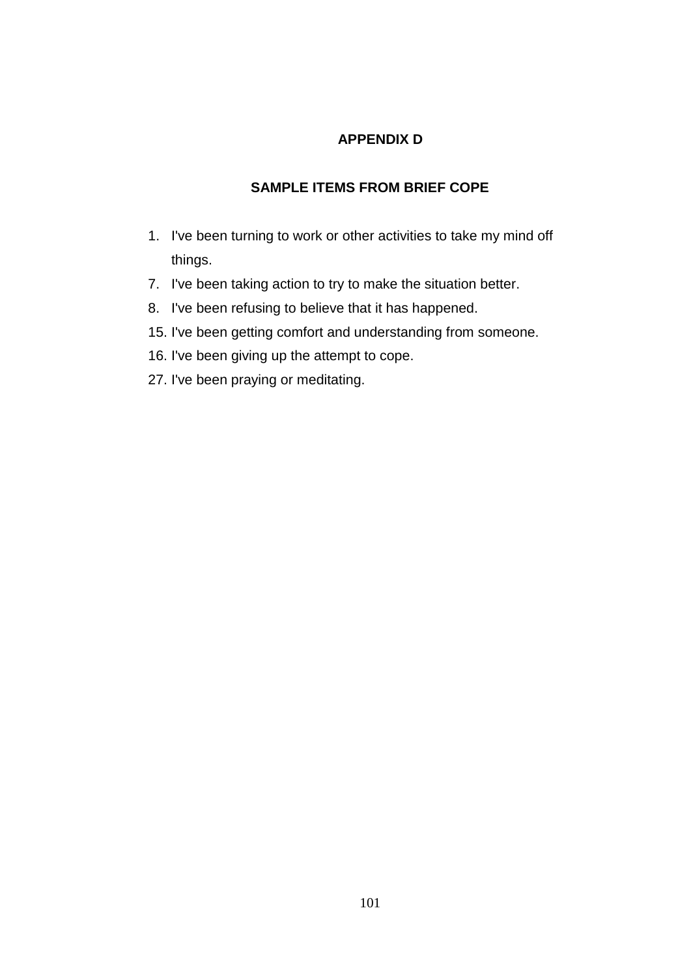#### **APPENDIX D**

## **SAMPLE ITEMS FROM BRIEF COPE**

- 1. I've been turning to work or other activities to take my mind off things.
- 7. I've been taking action to try to make the situation better.
- 8. I've been refusing to believe that it has happened.
- 15. I've been getting comfort and understanding from someone.
- 16. I've been giving up the attempt to cope.
- 27. I've been praying or meditating.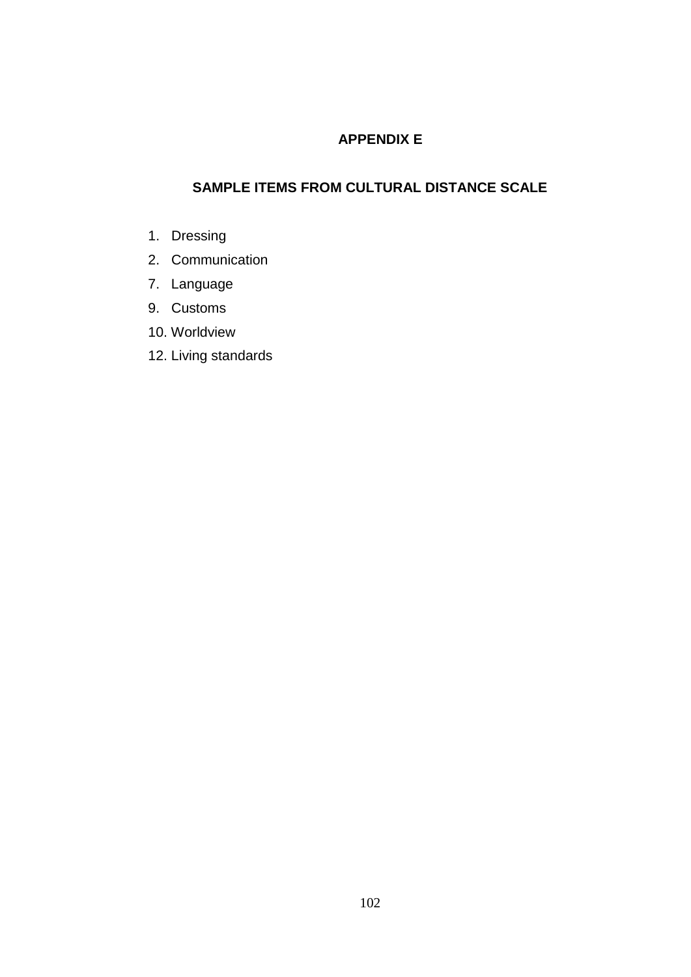#### **APPENDIX E**

#### **SAMPLE ITEMS FROM CULTURAL DISTANCE SCALE**

- 1. Dressing
- 2. Communication
- 7. Language
- 9. Customs
- 10. Worldview
- 12. Living standards